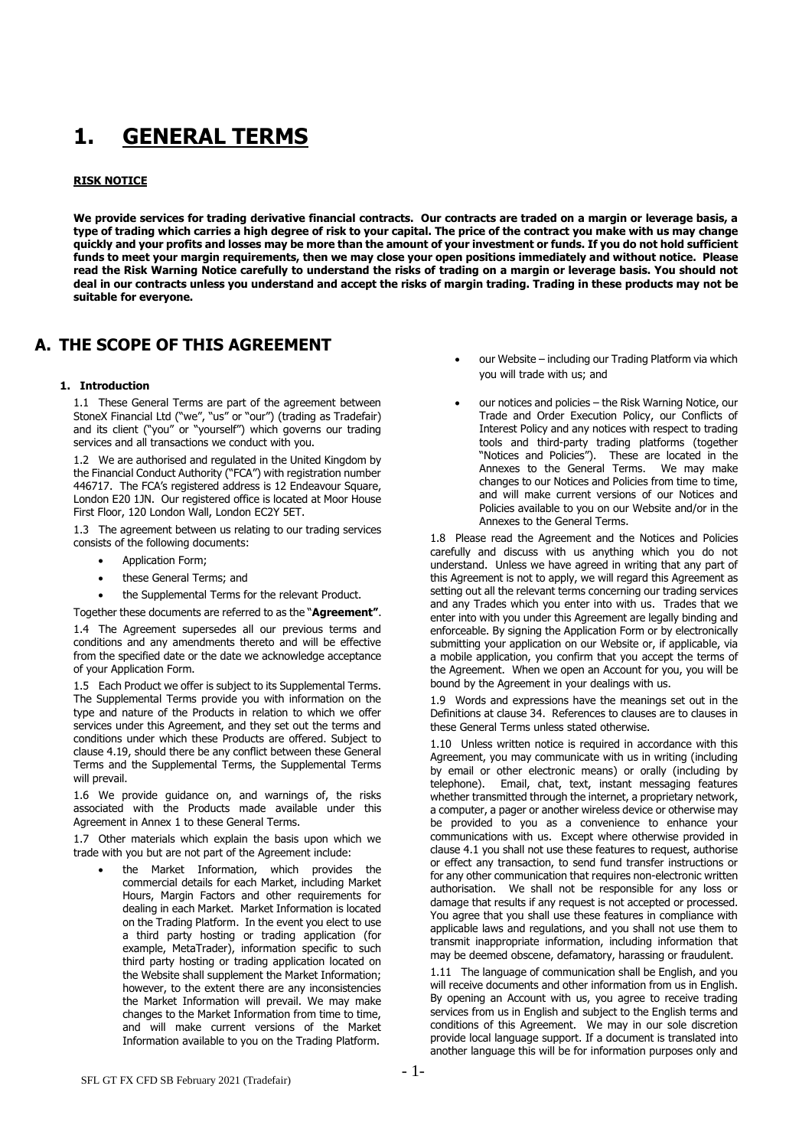# **1. GENERAL TERMS**

# **RISK NOTICE**

**We provide services for trading derivative financial contracts. Our contracts are traded on a margin or leverage basis, a type of trading which carries a high degree of risk to your capital. The price of the contract you make with us may change quickly and your profits and losses may be more than the amount of your investment or funds. If you do not hold sufficient funds to meet your margin requirements, then we may close your open positions immediately and without notice. Please read the Risk Warning Notice carefully to understand the risks of trading on a margin or leverage basis. You should not deal in our contracts unless you understand and accept the risks of margin trading. Trading in these products may not be suitable for everyone.** 

# **A. THE SCOPE OF THIS AGREEMENT**

## **1. Introduction**

1.1 These General Terms are part of the agreement between StoneX Financial Ltd ("we", "us" or "our") (trading as Tradefair) and its client ("you" or "yourself") which governs our trading services and all transactions we conduct with you.

1.2 We are authorised and regulated in the United Kingdom by the Financial Conduct Authority ("FCA") with registration number 446717. The FCA's registered address is 12 Endeavour Square, London E20 1JN. Our registered office is located at Moor House First Floor, 120 London Wall, London EC2Y 5ET.

1.3 The agreement between us relating to our trading services consists of the following documents:

- Application Form;
- these General Terms; and
- the Supplemental Terms for the relevant Product.

Together these documents are referred to as the "**Agreement"**.

1.4 The Agreement supersedes all our previous terms and conditions and any amendments thereto and will be effective from the specified date or the date we acknowledge acceptance of your Application Form.

1.5 Each Product we offer is subject to its Supplemental Terms. The Supplemental Terms provide you with information on the type and nature of the Products in relation to which we offer services under this Agreement, and they set out the terms and conditions under which these Products are offered. Subject to clause [4.19,](#page-3-0) should there be any conflict between these General Terms and the Supplemental Terms, the Supplemental Terms will prevail.

1.6 We provide guidance on, and warnings of, the risks associated with the Products made available under this Agreement in Annex 1 to these General Terms.

1.7 Other materials which explain the basis upon which we trade with you but are not part of the Agreement include:

the Market Information, which provides the commercial details for each Market, including Market Hours, Margin Factors and other requirements for dealing in each Market. Market Information is located on the Trading Platform. In the event you elect to use a third party hosting or trading application (for example, MetaTrader), information specific to such third party hosting or trading application located on the Website shall supplement the Market Information; however, to the extent there are any inconsistencies the Market Information will prevail. We may make changes to the Market Information from time to time, and will make current versions of the Market Information available to you on the Trading Platform.

- our Website including our Trading Platform via which you will trade with us; and
- our notices and policies the Risk Warning Notice, our Trade and Order Execution Policy, our Conflicts of Interest Policy and any notices with respect to trading tools and third-party trading platforms (together "Notices and Policies"). These are located in the Annexes to the General Terms. We may make changes to our Notices and Policies from time to time, and will make current versions of our Notices and Policies available to you on our Website and/or in the Annexes to the General Terms.

1.8 Please read the Agreement and the Notices and Policies carefully and discuss with us anything which you do not understand. Unless we have agreed in writing that any part of this Agreement is not to apply, we will regard this Agreement as setting out all the relevant terms concerning our trading services and any Trades which you enter into with us. Trades that we enter into with you under this Agreement are legally binding and enforceable. By signing the Application Form or by electronically submitting your application on our Website or, if applicable, via a mobile application, you confirm that you accept the terms of the Agreement. When we open an Account for you, you will be bound by the Agreement in your dealings with us.

1.9 Words and expressions have the meanings set out in the Definitions at clause 34. References to clauses are to clauses in these General Terms unless stated otherwise.

1.10 Unless written notice is required in accordance with this Agreement, you may communicate with us in writing (including by email or other electronic means) or orally (including by telephone). Email, chat, text, instant messaging features whether transmitted through the internet, a proprietary network, a computer, a pager or another wireless device or otherwise may be provided to you as a convenience to enhance your communications with us. Except where otherwise provided in clause 4.1 you shall not use these features to request, authorise or effect any transaction, to send fund transfer instructions or for any other communication that requires non-electronic written authorisation. We shall not be responsible for any loss or damage that results if any request is not accepted or processed. You agree that you shall use these features in compliance with applicable laws and regulations, and you shall not use them to transmit inappropriate information, including information that may be deemed obscene, defamatory, harassing or fraudulent.

1.11 The language of communication shall be English, and you will receive documents and other information from us in English. By opening an Account with us, you agree to receive trading services from us in English and subject to the English terms and conditions of this Agreement. We may in our sole discretion provide local language support. If a document is translated into another language this will be for information purposes only and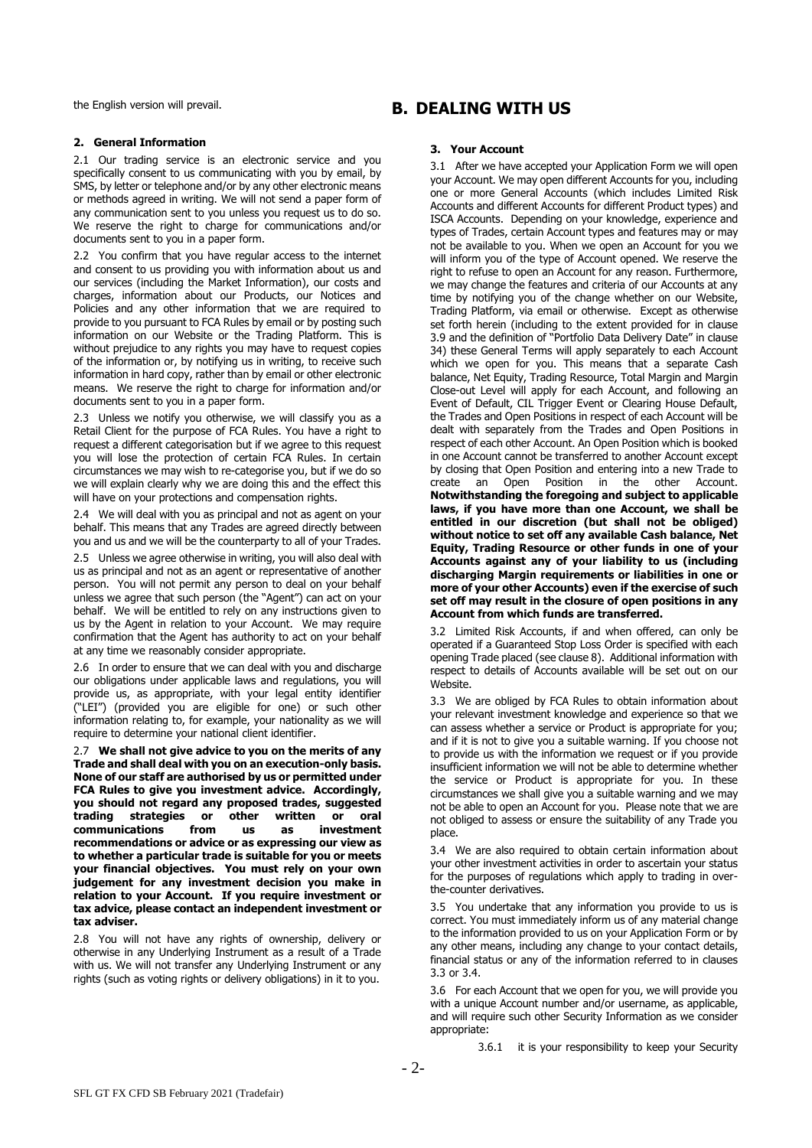the English version will prevail.

# **2. General Information**

2.1 Our trading service is an electronic service and you specifically consent to us communicating with you by email, by SMS, by letter or telephone and/or by any other electronic means or methods agreed in writing. We will not send a paper form of any communication sent to you unless you request us to do so. We reserve the right to charge for communications and/or documents sent to you in a paper form.

2.2 You confirm that you have regular access to the internet and consent to us providing you with information about us and our services (including the Market Information), our costs and charges, information about our Products, our Notices and Policies and any other information that we are required to provide to you pursuant to FCA Rules by email or by posting such information on our Website or the Trading Platform. This is without prejudice to any rights you may have to request copies of the information or, by notifying us in writing, to receive such information in hard copy, rather than by email or other electronic means. We reserve the right to charge for information and/or documents sent to you in a paper form.

2.3 Unless we notify you otherwise, we will classify you as a Retail Client for the purpose of FCA Rules. You have a right to request a different categorisation but if we agree to this request you will lose the protection of certain FCA Rules. In certain circumstances we may wish to re-categorise you, but if we do so we will explain clearly why we are doing this and the effect this will have on your protections and compensation rights.

2.4 We will deal with you as principal and not as agent on your behalf. This means that any Trades are agreed directly between you and us and we will be the counterparty to all of your Trades.

2.5 Unless we agree otherwise in writing, you will also deal with us as principal and not as an agent or representative of another person. You will not permit any person to deal on your behalf unless we agree that such person (the "Agent") can act on your behalf. We will be entitled to rely on any instructions given to us by the Agent in relation to your Account. We may require confirmation that the Agent has authority to act on your behalf at any time we reasonably consider appropriate.

2.6 In order to ensure that we can deal with you and discharge our obligations under applicable laws and regulations, you will provide us, as appropriate, with your legal entity identifier ("LEI") (provided you are eligible for one) or such other information relating to, for example, your nationality as we will require to determine your national client identifier.

2.7 **We shall not give advice to you on the merits of any Trade and shall deal with you on an execution-only basis. None of our staff are authorised by us or permitted under FCA Rules to give you investment advice. Accordingly, you should not regard any proposed trades, suggested trading strategies or other written or oral communications from us as investment recommendations or advice or as expressing our view as to whether a particular trade is suitable for you or meets your financial objectives. You must rely on your own judgement for any investment decision you make in relation to your Account. If you require investment or tax advice, please contact an independent investment or tax adviser.**

2.8 You will not have any rights of ownership, delivery or otherwise in any Underlying Instrument as a result of a Trade with us. We will not transfer any Underlying Instrument or any rights (such as voting rights or delivery obligations) in it to you.

# **B. DEALING WITH US**

# **3. Your Account**

3.1 After we have accepted your Application Form we will open your Account. We may open different Accounts for you, including one or more General Accounts (which includes Limited Risk Accounts and different Accounts for different Product types) and ISCA Accounts. Depending on your knowledge, experience and types of Trades, certain Account types and features may or may not be available to you. When we open an Account for you we will inform you of the type of Account opened. We reserve the right to refuse to open an Account for any reason. Furthermore, we may change the features and criteria of our Accounts at any time by notifying you of the change whether on our Website, Trading Platform, via email or otherwise. Except as otherwise set forth herein (including to the extent provided for in clause [3.9](#page-2-0) and the definition of "Portfolio Data Delivery Date" in clause [34\)](#page-17-0) these General Terms will apply separately to each Account which we open for you. This means that a separate Cash balance, Net Equity, Trading Resource, Total Margin and Margin Close-out Level will apply for each Account, and following an Event of Default, CIL Trigger Event or Clearing House Default, the Trades and Open Positions in respect of each Account will be dealt with separately from the Trades and Open Positions in respect of each other Account. An Open Position which is booked in one Account cannot be transferred to another Account except by closing that Open Position and entering into a new Trade to create an Open Position in the other Account. **Notwithstanding the foregoing and subject to applicable laws, if you have more than one Account, we shall be entitled in our discretion (but shall not be obliged) without notice to set off any available Cash balance, Net Equity, Trading Resource or other funds in one of your Accounts against any of your liability to us (including discharging Margin requirements or liabilities in one or more of your other Accounts) even if the exercise of such set off may result in the closure of open positions in any Account from which funds are transferred.**

3.2 Limited Risk Accounts, if and when offered, can only be operated if a Guaranteed Stop Loss Order is specified with each opening Trade placed (see clause 8). Additional information with respect to details of Accounts available will be set out on our Website.

<span id="page-1-0"></span>3.3 We are obliged by FCA Rules to obtain information about your relevant investment knowledge and experience so that we can assess whether a service or Product is appropriate for you; and if it is not to give you a suitable warning. If you choose not to provide us with the information we request or if you provide insufficient information we will not be able to determine whether the service or Product is appropriate for you. In these circumstances we shall give you a suitable warning and we may not be able to open an Account for you. Please note that we are not obliged to assess or ensure the suitability of any Trade you place.

<span id="page-1-1"></span>3.4 We are also required to obtain certain information about your other investment activities in order to ascertain your status for the purposes of regulations which apply to trading in overthe-counter derivatives.

<span id="page-1-2"></span>3.5 You undertake that any information you provide to us is correct. You must immediately inform us of any material change to the information provided to us on your Application Form or by any other means, including any change to your contact details, financial status or any of the information referred to in clauses [3.3](#page-1-0) or [3.4.](#page-1-1)

3.6 For each Account that we open for you, we will provide you with a unique Account number and/or username, as applicable, and will require such other Security Information as we consider appropriate:

3.6.1 it is your responsibility to keep your Security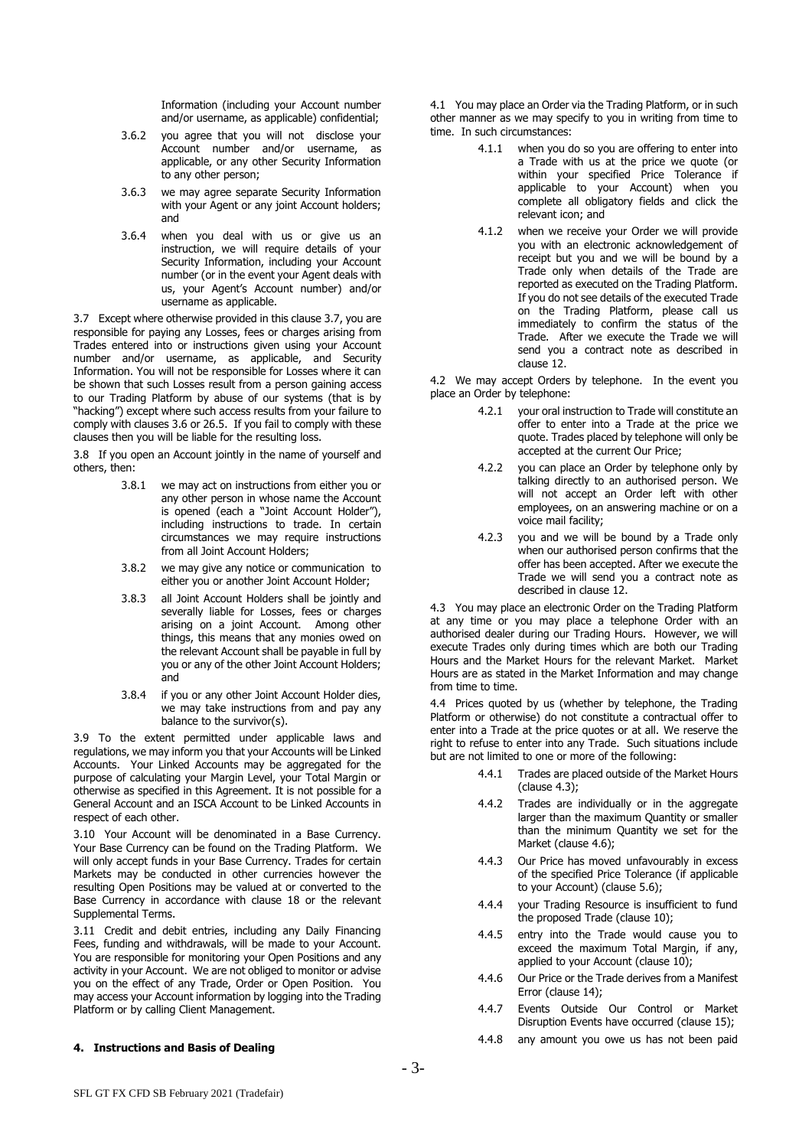Information (including your Account number and/or username, as applicable) confidential;

- 3.6.2 you agree that you will not disclose your Account number and/or username, as applicable, or any other Security Information to any other person;
- 3.6.3 we may agree separate Security Information with your Agent or any joint Account holders; and
- 3.6.4 when you deal with us or give us an instruction, we will require details of your Security Information, including your Account number (or in the event your Agent deals with us, your Agent's Account number) and/or username as applicable.

<span id="page-2-1"></span>3.7 Except where otherwise provided in this clause [3.7,](#page-2-1) you are responsible for paying any Losses, fees or charges arising from Trades entered into or instructions given using your Account number and/or username, as applicable, and Security Information. You will not be responsible for Losses where it can be shown that such Losses result from a person gaining access to our Trading Platform by abuse of our systems (that is by "hacking") except where such access results from your failure to comply with clauses [3.6](#page-1-2) or 26.5. If you fail to comply with these clauses then you will be liable for the resulting loss.

<span id="page-2-3"></span>3.8 If you open an Account jointly in the name of yourself and others, then:

- 3.8.1 we may act on instructions from either you or any other person in whose name the Account is opened (each a "Joint Account Holder"), including instructions to trade. In certain circumstances we may require instructions from all Joint Account Holders;
- 3.8.2 we may give any notice or communication to either you or another Joint Account Holder;
- 3.8.3 all Joint Account Holders shall be jointly and severally liable for Losses, fees or charges arising on a joint Account. Among other things, this means that any monies owed on the relevant Account shall be payable in full by you or any of the other Joint Account Holders; and
- 3.8.4 if you or any other Joint Account Holder dies, we may take instructions from and pay any balance to the survivor(s).

<span id="page-2-0"></span>3.9 To the extent permitted under applicable laws and regulations, we may inform you that your Accounts will be Linked Accounts. Your Linked Accounts may be aggregated for the purpose of calculating your Margin Level, your Total Margin or otherwise as specified in this Agreement. It is not possible for a General Account and an ISCA Account to be Linked Accounts in respect of each other.

3.10 Your Account will be denominated in a Base Currency. Your Base Currency can be found on the Trading Platform. We will only accept funds in your Base Currency. Trades for certain Markets may be conducted in other currencies however the resulting Open Positions may be valued at or converted to the Base Currency in accordance with clause 18 or the relevant Supplemental Terms.

3.11 Credit and debit entries, including any Daily Financing Fees, funding and withdrawals, will be made to your Account. You are responsible for monitoring your Open Positions and any activity in your Account. We are not obliged to monitor or advise you on the effect of any Trade, Order or Open Position. You may access your Account information by logging into the Trading Platform or by calling Client Management.

#### **4. Instructions and Basis of Dealing**

4.1 You may place an Order via the Trading Platform, or in such other manner as we may specify to you in writing from time to time. In such circumstances:

- 4.1.1 when you do so you are offering to enter into a Trade with us at the price we quote (or within your specified Price Tolerance if applicable to your Account) when you complete all obligatory fields and click the relevant icon; and
- 4.1.2 when we receive your Order we will provide you with an electronic acknowledgement of receipt but you and we will be bound by a Trade only when details of the Trade are reported as executed on the Trading Platform. If you do not see details of the executed Trade on the Trading Platform, please call us immediately to confirm the status of the Trade. After we execute the Trade we will send you a contract note as described in clause 12.

4.2 We may accept Orders by telephone. In the event you place an Order by telephone:

- 4.2.1 your oral instruction to Trade will constitute an offer to enter into a Trade at the price we quote. Trades placed by telephone will only be accepted at the current Our Price;
- 4.2.2 you can place an Order by telephone only by talking directly to an authorised person. We will not accept an Order left with other employees, on an answering machine or on a voice mail facility;
- 4.2.3 you and we will be bound by a Trade only when our authorised person confirms that the offer has been accepted. After we execute the Trade we will send you a contract note as described in clause 12.

4.3 You may place an electronic Order on the Trading Platform at any time or you may place a telephone Order with an authorised dealer during our Trading Hours. However, we will execute Trades only during times which are both our Trading Hours and the Market Hours for the relevant Market. Market Hours are as stated in the Market Information and may change from time to time.

<span id="page-2-2"></span>4.4 Prices quoted by us (whether by telephone, the Trading Platform or otherwise) do not constitute a contractual offer to enter into a Trade at the price quotes or at all. We reserve the right to refuse to enter into any Trade. Such situations include but are not limited to one or more of the following:

- 4.4.1 Trades are placed outside of the Market Hours (clause 4.3);
- 4.4.2 Trades are individually or in the aggregate larger than the maximum Quantity or smaller than the minimum Quantity we set for the Market (clause 4.6);
- 4.4.3 Our Price has moved unfavourably in excess of the specified Price Tolerance (if applicable to your Account) (clause 5.6);
- 4.4.4 your Trading Resource is insufficient to fund the proposed Trade (clause 10);
- 4.4.5 entry into the Trade would cause you to exceed the maximum Total Margin, if any, applied to your Account (clause 10);
- 4.4.6 Our Price or the Trade derives from a Manifest Error (clause 14);
- 4.4.7 Events Outside Our Control or Market Disruption Events have occurred (clause 15);
- 4.4.8 any amount you owe us has not been paid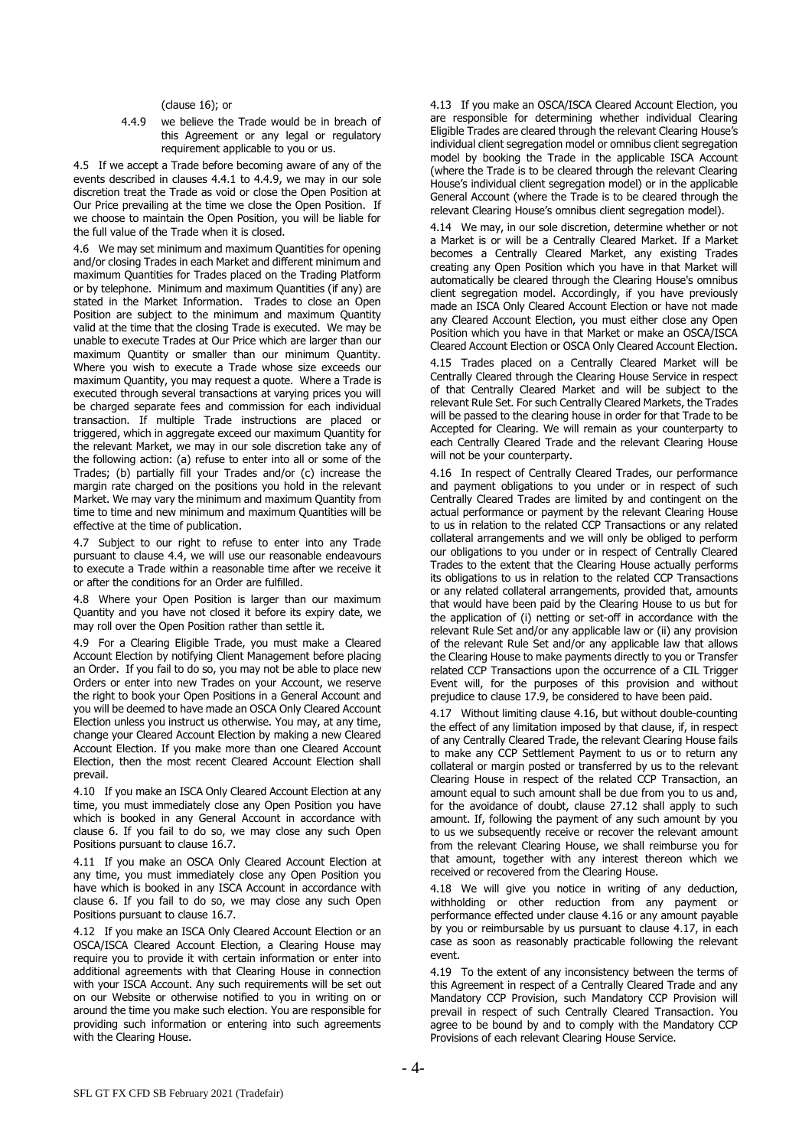(clause 16); or

4.4.9 we believe the Trade would be in breach of this Agreement or any legal or regulatory requirement applicable to you or us.

4.5 If we accept a Trade before becoming aware of any of the events described in clauses 4.4.1 to 4.4.9, we may in our sole discretion treat the Trade as void or close the Open Position at Our Price prevailing at the time we close the Open Position. If we choose to maintain the Open Position, you will be liable for the full value of the Trade when it is closed.

4.6 We may set minimum and maximum Quantities for opening and/or closing Trades in each Market and different minimum and maximum Quantities for Trades placed on the Trading Platform or by telephone. Minimum and maximum Quantities (if any) are stated in the Market Information. Trades to close an Open Position are subject to the minimum and maximum Quantity valid at the time that the closing Trade is executed. We may be unable to execute Trades at Our Price which are larger than our maximum Quantity or smaller than our minimum Quantity. Where you wish to execute a Trade whose size exceeds our maximum Quantity, you may request a quote. Where a Trade is executed through several transactions at varying prices you will be charged separate fees and commission for each individual transaction. If multiple Trade instructions are placed or triggered, which in aggregate exceed our maximum Quantity for the relevant Market, we may in our sole discretion take any of the following action: (a) refuse to enter into all or some of the Trades; (b) partially fill your Trades and/or (c) increase the margin rate charged on the positions you hold in the relevant Market. We may vary the minimum and maximum Quantity from time to time and new minimum and maximum Quantities will be effective at the time of publication.

4.7 Subject to our right to refuse to enter into any Trade pursuant to clause [4.4,](#page-2-2) we will use our reasonable endeavours to execute a Trade within a reasonable time after we receive it or after the conditions for an Order are fulfilled.

4.8 Where your Open Position is larger than our maximum Quantity and you have not closed it before its expiry date, we may roll over the Open Position rather than settle it.

<span id="page-3-3"></span>4.9 For a Clearing Eligible Trade, you must make a Cleared Account Election by notifying Client Management before placing an Order. If you fail to do so, you may not be able to place new Orders or enter into new Trades on your Account, we reserve the right to book your Open Positions in a General Account and you will be deemed to have made an OSCA Only Cleared Account Election unless you instruct us otherwise. You may, at any time, change your Cleared Account Election by making a new Cleared Account Election. If you make more than one Cleared Account Election, then the most recent Cleared Account Election shall prevail.

<span id="page-3-5"></span>4.10 If you make an ISCA Only Cleared Account Election at any time, you must immediately close any Open Position you have which is booked in any General Account in accordance with clause [6.](#page-4-0) If you fail to do so, we may close any such Open Positions pursuant to clause [16.7.](#page-9-0)

<span id="page-3-6"></span>4.11 If you make an OSCA Only Cleared Account Election at any time, you must immediately close any Open Position you have which is booked in any ISCA Account in accordance with clause [6.](#page-4-0) If you fail to do so, we may close any such Open Positions pursuant to clause [16.7.](#page-9-0)

4.12 If you make an ISCA Only Cleared Account Election or an OSCA/ISCA Cleared Account Election, a Clearing House may require you to provide it with certain information or enter into additional agreements with that Clearing House in connection with your ISCA Account. Any such requirements will be set out on our Website or otherwise notified to you in writing on or around the time you make such election. You are responsible for providing such information or entering into such agreements with the Clearing House.

4.13 If you make an OSCA/ISCA Cleared Account Election, you are responsible for determining whether individual Clearing Eligible Trades are cleared through the relevant Clearing House's individual client segregation model or omnibus client segregation model by booking the Trade in the applicable ISCA Account (where the Trade is to be cleared through the relevant Clearing House's individual client segregation model) or in the applicable General Account (where the Trade is to be cleared through the relevant Clearing House's omnibus client segregation model).

<span id="page-3-4"></span>4.14 We may, in our sole discretion, determine whether or not a Market is or will be a Centrally Cleared Market. If a Market becomes a Centrally Cleared Market, any existing Trades creating any Open Position which you have in that Market will automatically be cleared through the Clearing House's omnibus client segregation model. Accordingly, if you have previously made an ISCA Only Cleared Account Election or have not made any Cleared Account Election, you must either close any Open Position which you have in that Market or make an OSCA/ISCA Cleared Account Election or OSCA Only Cleared Account Election.

4.15 Trades placed on a Centrally Cleared Market will be Centrally Cleared through the Clearing House Service in respect of that Centrally Cleared Market and will be subject to the relevant Rule Set. For such Centrally Cleared Markets, the Trades will be passed to the clearing house in order for that Trade to be Accepted for Clearing. We will remain as your counterparty to each Centrally Cleared Trade and the relevant Clearing House will not be your counterparty.

<span id="page-3-1"></span>4.16 In respect of Centrally Cleared Trades, our performance and payment obligations to you under or in respect of such Centrally Cleared Trades are limited by and contingent on the actual performance or payment by the relevant Clearing House to us in relation to the related CCP Transactions or any related collateral arrangements and we will only be obliged to perform our obligations to you under or in respect of Centrally Cleared Trades to the extent that the Clearing House actually performs its obligations to us in relation to the related CCP Transactions or any related collateral arrangements, provided that, amounts that would have been paid by the Clearing House to us but for the application of (i) netting or set-off in accordance with the relevant Rule Set and/or any applicable law or (ii) any provision of the relevant Rule Set and/or any applicable law that allows the Clearing House to make payments directly to you or Transfer related CCP Transactions upon the occurrence of a CIL Trigger Event will, for the purposes of this provision and without prejudice to claus[e 17.9,](#page-10-0) be considered to have been paid.

<span id="page-3-2"></span>4.17 Without limiting clause [4.16,](#page-3-1) but without double-counting the effect of any limitation imposed by that clause, if, in respect of any Centrally Cleared Trade, the relevant Clearing House fails to make any CCP Settlement Payment to us or to return any collateral or margin posted or transferred by us to the relevant Clearing House in respect of the related CCP Transaction, an amount equal to such amount shall be due from you to us and, for the avoidance of doubt, clause 27.12 shall apply to such amount. If, following the payment of any such amount by you to us we subsequently receive or recover the relevant amount from the relevant Clearing House, we shall reimburse you for that amount, together with any interest thereon which we received or recovered from the Clearing House.

4.18 We will give you notice in writing of any deduction, withholding or other reduction from any payment or performance effected under clause [4.16](#page-3-1) or any amount payable by you or reimbursable by us pursuant to clause [4.17,](#page-3-2) in each case as soon as reasonably practicable following the relevant event.

<span id="page-3-0"></span>4.19 To the extent of any inconsistency between the terms of this Agreement in respect of a Centrally Cleared Trade and any Mandatory CCP Provision, such Mandatory CCP Provision will prevail in respect of such Centrally Cleared Transaction. You agree to be bound by and to comply with the Mandatory CCP Provisions of each relevant Clearing House Service.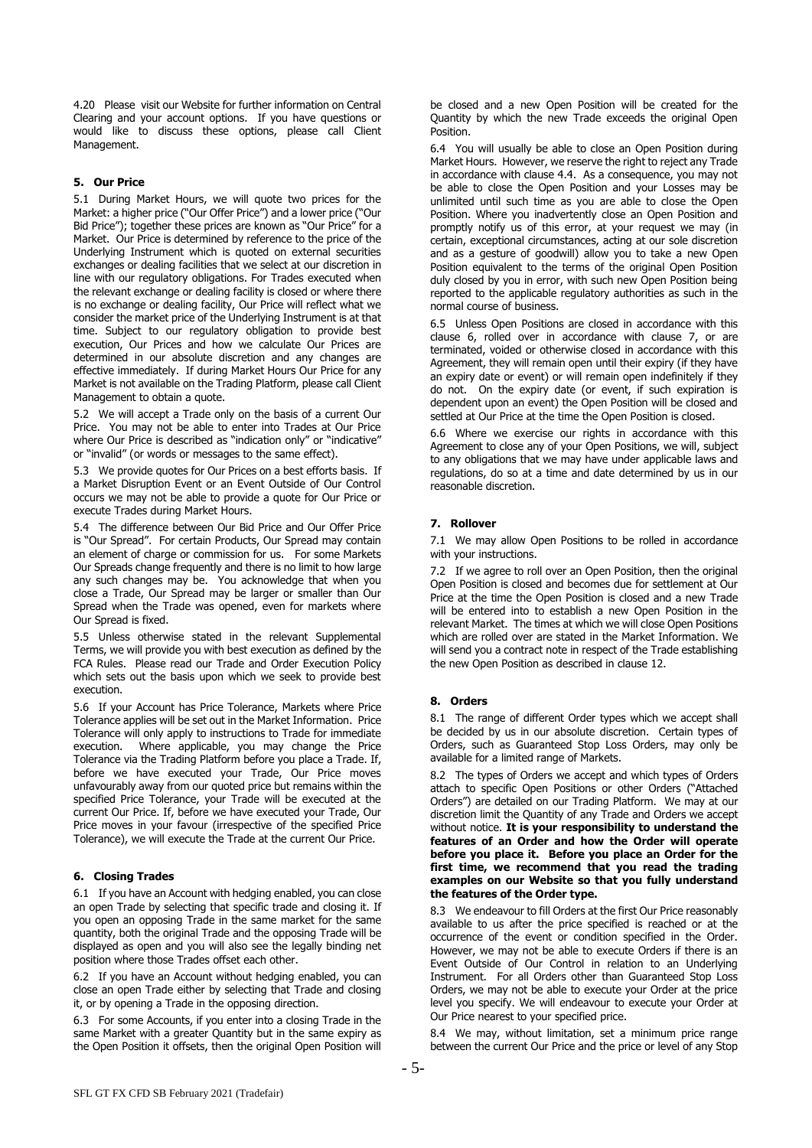4.20 Please visit our Website for further information on Central Clearing and your account options. If you have questions or would like to discuss these options, please call Client Management.

# **5. Our Price**

5.1 During Market Hours, we will quote two prices for the Market: a higher price ("Our Offer Price") and a lower price ("Our Bid Price"); together these prices are known as "Our Price" for a Market. Our Price is determined by reference to the price of the Underlying Instrument which is quoted on external securities exchanges or dealing facilities that we select at our discretion in line with our regulatory obligations. For Trades executed when the relevant exchange or dealing facility is closed or where there is no exchange or dealing facility, Our Price will reflect what we consider the market price of the Underlying Instrument is at that time. Subject to our regulatory obligation to provide best execution, Our Prices and how we calculate Our Prices are determined in our absolute discretion and any changes are effective immediately. If during Market Hours Our Price for any Market is not available on the Trading Platform, please call Client Management to obtain a quote.

5.2 We will accept a Trade only on the basis of a current Our Price. You may not be able to enter into Trades at Our Price where Our Price is described as "indication only" or "indicative" or "invalid" (or words or messages to the same effect).

5.3 We provide quotes for Our Prices on a best efforts basis. If a Market Disruption Event or an Event Outside of Our Control occurs we may not be able to provide a quote for Our Price or execute Trades during Market Hours.

5.4 The difference between Our Bid Price and Our Offer Price is "Our Spread". For certain Products, Our Spread may contain an element of charge or commission for us. For some Markets Our Spreads change frequently and there is no limit to how large any such changes may be. You acknowledge that when you close a Trade, Our Spread may be larger or smaller than Our Spread when the Trade was opened, even for markets where Our Spread is fixed.

5.5 Unless otherwise stated in the relevant Supplemental Terms, we will provide you with best execution as defined by the FCA Rules. Please read our Trade and Order Execution Policy which sets out the basis upon which we seek to provide best execution.

5.6 If your Account has Price Tolerance, Markets where Price Tolerance applies will be set out in the Market Information. Price Tolerance will only apply to instructions to Trade for immediate execution. Where applicable, you may change the Price Tolerance via the Trading Platform before you place a Trade. If, before we have executed your Trade, Our Price moves unfavourably away from our quoted price but remains within the specified Price Tolerance, your Trade will be executed at the current Our Price. If, before we have executed your Trade, Our Price moves in your favour (irrespective of the specified Price Tolerance), we will execute the Trade at the current Our Price.

## <span id="page-4-0"></span>**6. Closing Trades**

6.1 If you have an Account with hedging enabled, you can close an open Trade by selecting that specific trade and closing it. If you open an opposing Trade in the same market for the same quantity, both the original Trade and the opposing Trade will be displayed as open and you will also see the legally binding net position where those Trades offset each other.

6.2 If you have an Account without hedging enabled, you can close an open Trade either by selecting that Trade and closing it, or by opening a Trade in the opposing direction.

6.3 For some Accounts, if you enter into a closing Trade in the same Market with a greater Quantity but in the same expiry as the Open Position it offsets, then the original Open Position will

be closed and a new Open Position will be created for the Quantity by which the new Trade exceeds the original Open Position.

6.4 You will usually be able to close an Open Position during Market Hours. However, we reserve the right to reject any Trade in accordance with clause 4.4. As a consequence, you may not be able to close the Open Position and your Losses may be unlimited until such time as you are able to close the Open Position. Where you inadvertently close an Open Position and promptly notify us of this error, at your request we may (in certain, exceptional circumstances, acting at our sole discretion and as a gesture of goodwill) allow you to take a new Open Position equivalent to the terms of the original Open Position duly closed by you in error, with such new Open Position being reported to the applicable regulatory authorities as such in the normal course of business.

6.5 Unless Open Positions are closed in accordance with this clause 6, rolled over in accordance with clause 7, or are terminated, voided or otherwise closed in accordance with this Agreement, they will remain open until their expiry (if they have an expiry date or event) or will remain open indefinitely if they do not. On the expiry date (or event, if such expiration is dependent upon an event) the Open Position will be closed and settled at Our Price at the time the Open Position is closed.

6.6 Where we exercise our rights in accordance with this Agreement to close any of your Open Positions, we will, subject to any obligations that we may have under applicable laws and regulations, do so at a time and date determined by us in our reasonable discretion.

# <span id="page-4-1"></span>**7. Rollover**

7.1 We may allow Open Positions to be rolled in accordance with your instructions.

7.2 If we agree to roll over an Open Position, then the original Open Position is closed and becomes due for settlement at Our Price at the time the Open Position is closed and a new Trade will be entered into to establish a new Open Position in the relevant Market. The times at which we will close Open Positions which are rolled over are stated in the Market Information. We will send you a contract note in respect of the Trade establishing the new Open Position as described in clause 12.

#### **8. Orders**

8.1 The range of different Order types which we accept shall be decided by us in our absolute discretion. Certain types of Orders, such as Guaranteed Stop Loss Orders, may only be available for a limited range of Markets.

8.2 The types of Orders we accept and which types of Orders attach to specific Open Positions or other Orders ("Attached Orders") are detailed on our Trading Platform. We may at our discretion limit the Quantity of any Trade and Orders we accept without notice. **It is your responsibility to understand the features of an Order and how the Order will operate before you place it. Before you place an Order for the first time, we recommend that you read the trading examples on our Website so that you fully understand the features of the Order type.** 

8.3 We endeavour to fill Orders at the first Our Price reasonably available to us after the price specified is reached or at the occurrence of the event or condition specified in the Order. However, we may not be able to execute Orders if there is an Event Outside of Our Control in relation to an Underlying Instrument. For all Orders other than Guaranteed Stop Loss Orders, we may not be able to execute your Order at the price level you specify. We will endeavour to execute your Order at Our Price nearest to your specified price.

8.4 We may, without limitation, set a minimum price range between the current Our Price and the price or level of any Stop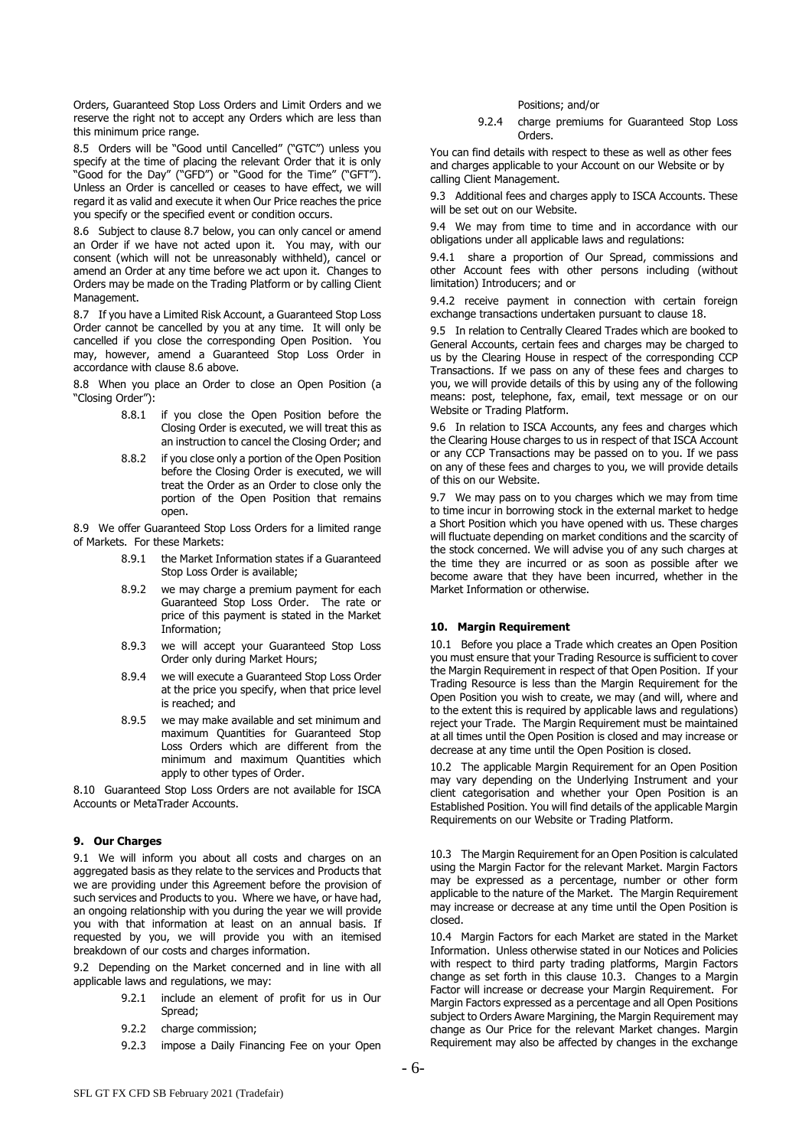Orders, Guaranteed Stop Loss Orders and Limit Orders and we reserve the right not to accept any Orders which are less than this minimum price range.

8.5 Orders will be "Good until Cancelled" ("GTC") unless you specify at the time of placing the relevant Order that it is only "Good for the Day" ("GFD") or "Good for the Time" ("GFT"). Unless an Order is cancelled or ceases to have effect, we will regard it as valid and execute it when Our Price reaches the price you specify or the specified event or condition occurs.

8.6 Subject to clause 8.7 below, you can only cancel or amend an Order if we have not acted upon it. You may, with our consent (which will not be unreasonably withheld), cancel or amend an Order at any time before we act upon it. Changes to Orders may be made on the Trading Platform or by calling Client Management.

8.7 If you have a Limited Risk Account, a Guaranteed Stop Loss Order cannot be cancelled by you at any time. It will only be cancelled if you close the corresponding Open Position. You may, however, amend a Guaranteed Stop Loss Order in accordance with clause 8.6 above.

8.8 When you place an Order to close an Open Position (a "Closing Order"):

- 8.8.1 if you close the Open Position before the Closing Order is executed, we will treat this as an instruction to cancel the Closing Order; and
- 8.8.2 if you close only a portion of the Open Position before the Closing Order is executed, we will treat the Order as an Order to close only the portion of the Open Position that remains open.

8.9 We offer Guaranteed Stop Loss Orders for a limited range of Markets. For these Markets:

- 8.9.1 the Market Information states if a Guaranteed Stop Loss Order is available;
- 8.9.2 we may charge a premium payment for each Guaranteed Stop Loss Order. The rate or price of this payment is stated in the Market Information;
- 8.9.3 we will accept your Guaranteed Stop Loss Order only during Market Hours;
- 8.9.4 we will execute a Guaranteed Stop Loss Order at the price you specify, when that price level is reached; and
- 8.9.5 we may make available and set minimum and maximum Quantities for Guaranteed Stop Loss Orders which are different from the minimum and maximum Quantities which apply to other types of Order.

8.10 Guaranteed Stop Loss Orders are not available for ISCA Accounts or MetaTrader Accounts.

# **9. Our Charges**

9.1 We will inform you about all costs and charges on an aggregated basis as they relate to the services and Products that we are providing under this Agreement before the provision of such services and Products to you. Where we have, or have had, an ongoing relationship with you during the year we will provide you with that information at least on an annual basis. If requested by you, we will provide you with an itemised breakdown of our costs and charges information.

9.2 Depending on the Market concerned and in line with all applicable laws and regulations, we may:

- 9.2.1 include an element of profit for us in Our Spread;
- 9.2.2 charge commission;
- 9.2.3 impose a Daily Financing Fee on your Open

#### Positions; and/or

9.2.4 charge premiums for Guaranteed Stop Loss Orders.

You can find details with respect to these as well as other fees and charges applicable to your Account on our Website or by calling Client Management.

9.3 Additional fees and charges apply to ISCA Accounts. These will be set out on our Website.

9.4 We may from time to time and in accordance with our obligations under all applicable laws and regulations:

9.4.1 share a proportion of Our Spread, commissions and other Account fees with other persons including (without limitation) Introducers; and or

9.4.2 receive payment in connection with certain foreign exchange transactions undertaken pursuant to clause 18.

9.5 In relation to Centrally Cleared Trades which are booked to General Accounts, certain fees and charges may be charged to us by the Clearing House in respect of the corresponding CCP Transactions. If we pass on any of these fees and charges to you, we will provide details of this by using any of the following means: post, telephone, fax, email, text message or on our Website or Trading Platform.

9.6 In relation to ISCA Accounts, any fees and charges which the Clearing House charges to us in respect of that ISCA Account or any CCP Transactions may be passed on to you. If we pass on any of these fees and charges to you, we will provide details of this on our Website.

9.7 We may pass on to you charges which we may from time to time incur in borrowing stock in the external market to hedge a Short Position which you have opened with us. These charges will fluctuate depending on market conditions and the scarcity of the stock concerned. We will advise you of any such charges at the time they are incurred or as soon as possible after we become aware that they have been incurred, whether in the Market Information or otherwise.

## **10. Margin Requirement**

10.1 Before you place a Trade which creates an Open Position you must ensure that your Trading Resource is sufficient to cover the Margin Requirement in respect of that Open Position. If your Trading Resource is less than the Margin Requirement for the Open Position you wish to create, we may (and will, where and to the extent this is required by applicable laws and regulations) reject your Trade. The Margin Requirement must be maintained at all times until the Open Position is closed and may increase or decrease at any time until the Open Position is closed.

10.2 The applicable Margin Requirement for an Open Position may vary depending on the Underlying Instrument and your client categorisation and whether your Open Position is an Established Position. You will find details of the applicable Margin Requirements on our Website or Trading Platform.

10.3 The Margin Requirement for an Open Position is calculated using the Margin Factor for the relevant Market. Margin Factors may be expressed as a percentage, number or other form applicable to the nature of the Market. The Margin Requirement may increase or decrease at any time until the Open Position is closed.

10.4 Margin Factors for each Market are stated in the Market Information. Unless otherwise stated in our Notices and Policies with respect to third party trading platforms, Margin Factors change as set forth in this clause 10.3. Changes to a Margin Factor will increase or decrease your Margin Requirement. For Margin Factors expressed as a percentage and all Open Positions subject to Orders Aware Margining, the Margin Requirement may change as Our Price for the relevant Market changes. Margin Requirement may also be affected by changes in the exchange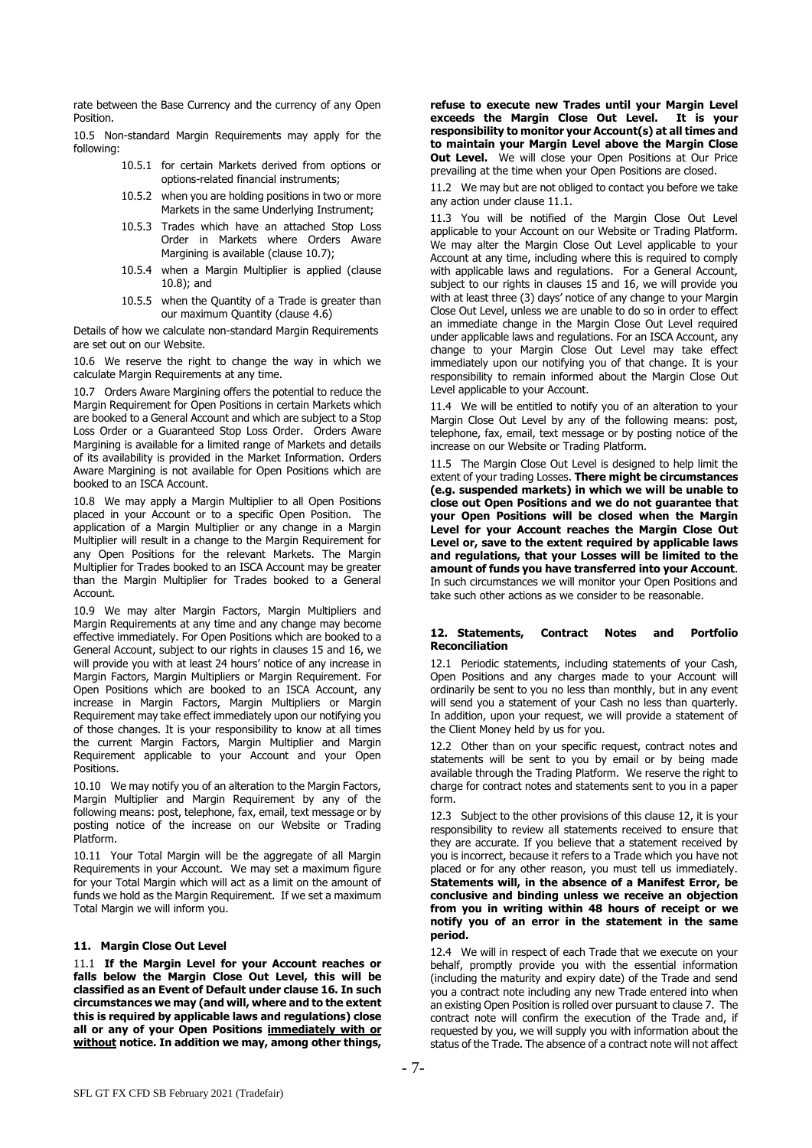rate between the Base Currency and the currency of any Open Position.

10.5 Non-standard Margin Requirements may apply for the following:

- 10.5.1 for certain Markets derived from options or options-related financial instruments;
- 10.5.2 when you are holding positions in two or more Markets in the same Underlying Instrument;
- 10.5.3 Trades which have an attached Stop Loss Order in Markets where Orders Aware Margining is available (clause 10.7);
- 10.5.4 when a Margin Multiplier is applied (clause 10.8); and
- 10.5.5 when the Quantity of a Trade is greater than our maximum Quantity (clause 4.6)

Details of how we calculate non-standard Margin Requirements are set out on our Website.

10.6 We reserve the right to change the way in which we calculate Margin Requirements at any time.

10.7 Orders Aware Margining offers the potential to reduce the Margin Requirement for Open Positions in certain Markets which are booked to a General Account and which are subject to a Stop Loss Order or a Guaranteed Stop Loss Order. Orders Aware Margining is available for a limited range of Markets and details of its availability is provided in the Market Information. Orders Aware Margining is not available for Open Positions which are booked to an ISCA Account.

10.8 We may apply a Margin Multiplier to all Open Positions placed in your Account or to a specific Open Position. The application of a Margin Multiplier or any change in a Margin Multiplier will result in a change to the Margin Requirement for any Open Positions for the relevant Markets. The Margin Multiplier for Trades booked to an ISCA Account may be greater than the Margin Multiplier for Trades booked to a General Account.

10.9 We may alter Margin Factors, Margin Multipliers and Margin Requirements at any time and any change may become effective immediately. For Open Positions which are booked to a General Account, subject to our rights in clauses 15 and 16, we will provide you with at least 24 hours' notice of any increase in Margin Factors, Margin Multipliers or Margin Requirement. For Open Positions which are booked to an ISCA Account, any increase in Margin Factors, Margin Multipliers or Margin Requirement may take effect immediately upon our notifying you of those changes. It is your responsibility to know at all times the current Margin Factors, Margin Multiplier and Margin Requirement applicable to your Account and your Open Positions.

10.10 We may notify you of an alteration to the Margin Factors, Margin Multiplier and Margin Requirement by any of the following means: post, telephone, fax, email, text message or by posting notice of the increase on our Website or Trading Platform.

10.11 Your Total Margin will be the aggregate of all Margin Requirements in your Account. We may set a maximum figure for your Total Margin which will act as a limit on the amount of funds we hold as the Margin Requirement. If we set a maximum Total Margin we will inform you.

## **11. Margin Close Out Level**

11.1 **If the Margin Level for your Account reaches or falls below the Margin Close Out Level, this will be classified as an Event of Default under clause 16. In such circumstances we may (and will, where and to the extent this is required by applicable laws and regulations) close all or any of your Open Positions immediately with or without notice. In addition we may, among other things,** 

**refuse to execute new Trades until your Margin Level exceeds the Margin Close Out Level. It is your responsibility to monitor your Account(s) at all times and to maintain your Margin Level above the Margin Close Out Level.** We will close your Open Positions at Our Price prevailing at the time when your Open Positions are closed.

11.2 We may but are not obliged to contact you before we take any action under clause 11.1.

11.3 You will be notified of the Margin Close Out Level applicable to your Account on our Website or Trading Platform. We may alter the Margin Close Out Level applicable to your Account at any time, including where this is required to comply with applicable laws and regulations. For a General Account, subject to our rights in clauses 15 and 16, we will provide you with at least three (3) days' notice of any change to your Margin Close Out Level, unless we are unable to do so in order to effect an immediate change in the Margin Close Out Level required under applicable laws and regulations. For an ISCA Account, any change to your Margin Close Out Level may take effect immediately upon our notifying you of that change. It is your responsibility to remain informed about the Margin Close Out Level applicable to your Account.

11.4 We will be entitled to notify you of an alteration to your Margin Close Out Level by any of the following means: post, telephone, fax, email, text message or by posting notice of the increase on our Website or Trading Platform.

11.5 The Margin Close Out Level is designed to help limit the extent of your trading Losses. **There might be circumstances (e.g. suspended markets) in which we will be unable to close out Open Positions and we do not guarantee that your Open Positions will be closed when the Margin Level for your Account reaches the Margin Close Out Level or, save to the extent required by applicable laws and regulations, that your Losses will be limited to the amount of funds you have transferred into your Account**. In such circumstances we will monitor your Open Positions and take such other actions as we consider to be reasonable.

# <span id="page-6-0"></span>**12. Statements, Contract Notes and Portfolio Reconciliation**

12.1 Periodic statements, including statements of your Cash, Open Positions and any charges made to your Account will ordinarily be sent to you no less than monthly, but in any event will send you a statement of your Cash no less than quarterly. In addition, upon your request, we will provide a statement of the Client Money held by us for you.

12.2 Other than on your specific request, contract notes and statements will be sent to you by email or by being made available through the Trading Platform. We reserve the right to charge for contract notes and statements sent to you in a paper form.

12.3 Subject to the other provisions of this clause [12,](#page-6-0) it is your responsibility to review all statements received to ensure that they are accurate. If you believe that a statement received by you is incorrect, because it refers to a Trade which you have not placed or for any other reason, you must tell us immediately. **Statements will, in the absence of a Manifest Error, be conclusive and binding unless we receive an objection from you in writing within 48 hours of receipt or we notify you of an error in the statement in the same period.**

12.4 We will in respect of each Trade that we execute on your behalf, promptly provide you with the essential information (including the maturity and expiry date) of the Trade and send you a contract note including any new Trade entered into when an existing Open Position is rolled over pursuant to claus[e 7.](#page-4-1) The contract note will confirm the execution of the Trade and, if requested by you, we will supply you with information about the status of the Trade. The absence of a contract note will not affect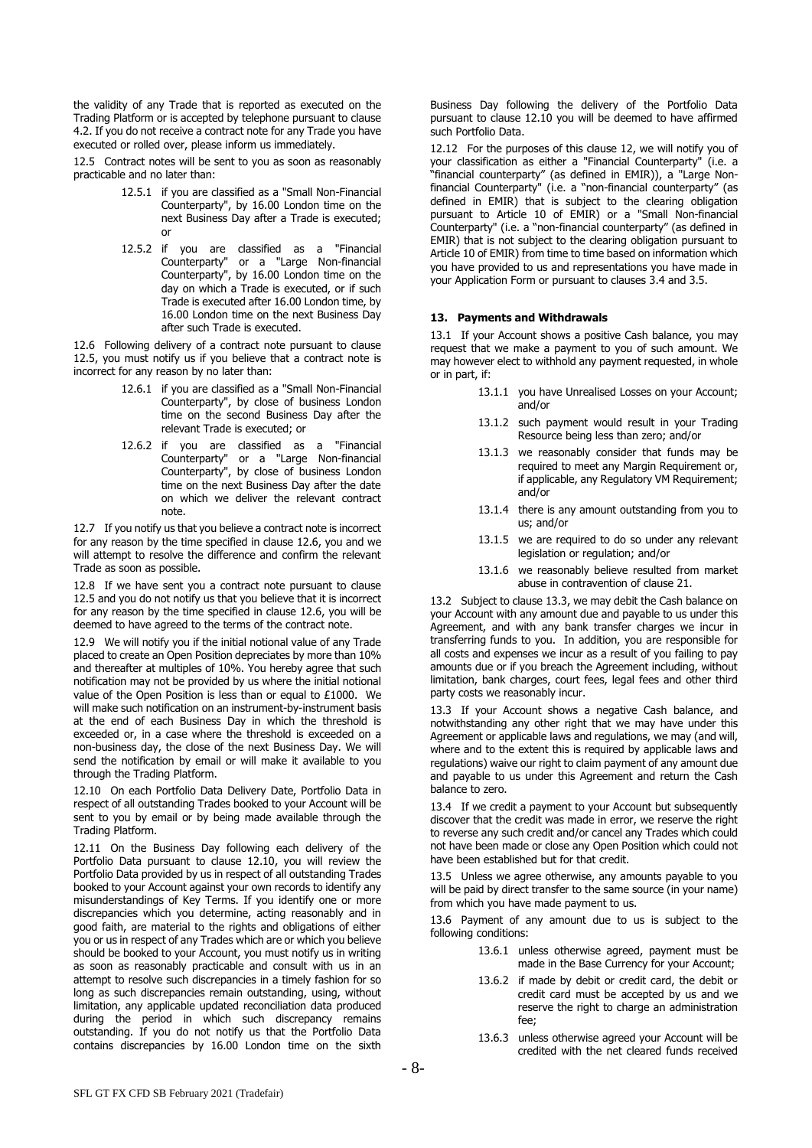the validity of any Trade that is reported as executed on the Trading Platform or is accepted by telephone pursuant to clause 4.2. If you do not receive a contract note for any Trade you have executed or rolled over, please inform us immediately.

<span id="page-7-0"></span>12.5 Contract notes will be sent to you as soon as reasonably practicable and no later than:

- 12.5.1 if you are classified as a "Small Non-Financial Counterparty", by 16.00 London time on the next Business Day after a Trade is executed; or
- 12.5.2 if you are classified as a "Financial Counterparty" or a "Large Non-financial Counterparty", by 16.00 London time on the day on which a Trade is executed, or if such Trade is executed after 16.00 London time, by 16.00 London time on the next Business Day after such Trade is executed.

<span id="page-7-1"></span>12.6 Following delivery of a contract note pursuant to clause [12.5,](#page-7-0) you must notify us if you believe that a contract note is incorrect for any reason by no later than:

- 12.6.1 if you are classified as a "Small Non-Financial Counterparty", by close of business London time on the second Business Day after the relevant Trade is executed; or
- 12.6.2 if you are classified as a "Financial Counterparty" or a "Large Non-financial Counterparty", by close of business London time on the next Business Day after the date on which we deliver the relevant contract note.

12.7 If you notify us that you believe a contract note is incorrect for any reason by the time specified in clause [12.6,](#page-7-1) you and we will attempt to resolve the difference and confirm the relevant Trade as soon as possible.

12.8 If we have sent you a contract note pursuant to clause [12.5](#page-7-0) and you do not notify us that you believe that it is incorrect for any reason by the time specified in clause [12.6,](#page-7-1) you will be deemed to have agreed to the terms of the contract note.

12.9 We will notify you if the initial notional value of any Trade placed to create an Open Position depreciates by more than 10% and thereafter at multiples of 10%. You hereby agree that such notification may not be provided by us where the initial notional value of the Open Position is less than or equal to £1000. We will make such notification on an instrument-by-instrument basis at the end of each Business Day in which the threshold is exceeded or, in a case where the threshold is exceeded on a non-business day, the close of the next Business Day. We will send the notification by email or will make it available to you through the Trading Platform.

<span id="page-7-2"></span>12.10 On each Portfolio Data Delivery Date, Portfolio Data in respect of all outstanding Trades booked to your Account will be sent to you by email or by being made available through the Trading Platform.

12.11 On the Business Day following each delivery of the Portfolio Data pursuant to clause [12.10,](#page-7-2) you will review the Portfolio Data provided by us in respect of all outstanding Trades booked to your Account against your own records to identify any misunderstandings of Key Terms. If you identify one or more discrepancies which you determine, acting reasonably and in good faith, are material to the rights and obligations of either you or us in respect of any Trades which are or which you believe should be booked to your Account, you must notify us in writing as soon as reasonably practicable and consult with us in an attempt to resolve such discrepancies in a timely fashion for so long as such discrepancies remain outstanding, using, without limitation, any applicable updated reconciliation data produced during the period in which such discrepancy remains outstanding. If you do not notify us that the Portfolio Data contains discrepancies by 16.00 London time on the sixth

Business Day following the delivery of the Portfolio Data pursuant to clause [12.10](#page-7-2) you will be deemed to have affirmed such Portfolio Data.

<span id="page-7-3"></span>12.12 For the purposes of this clause [12,](#page-6-0) we will notify you of your classification as either a "Financial Counterparty" (i.e. a "financial counterparty" (as defined in EMIR)), a "Large Nonfinancial Counterparty" (i.e. a "non-financial counterparty" (as defined in EMIR) that is subject to the clearing obligation pursuant to Article 10 of EMIR) or a "Small Non-financial Counterparty" (i.e. a "non-financial counterparty" (as defined in EMIR) that is not subject to the clearing obligation pursuant to Article 10 of EMIR) from time to time based on information which you have provided to us and representations you have made in your Application Form or pursuant to clauses [3.4](#page-1-1) an[d 3.5.](#page-1-2)

## **13. Payments and Withdrawals**

13.1 If your Account shows a positive Cash balance, you may request that we make a payment to you of such amount. We may however elect to withhold any payment requested, in whole or in part, if:

- 13.1.1 you have Unrealised Losses on your Account; and/or
- 13.1.2 such payment would result in your Trading Resource being less than zero; and/or
- 13.1.3 we reasonably consider that funds may be required to meet any Margin Requirement or, if applicable, any Regulatory VM Requirement; and/or
- 13.1.4 there is any amount outstanding from you to us; and/or
- 13.1.5 we are required to do so under any relevant legislation or regulation; and/or
- 13.1.6 we reasonably believe resulted from market abuse in contravention of clause 21.

13.2 Subject to clause 13.3, we may debit the Cash balance on your Account with any amount due and payable to us under this Agreement, and with any bank transfer charges we incur in transferring funds to you. In addition, you are responsible for all costs and expenses we incur as a result of you failing to pay amounts due or if you breach the Agreement including, without limitation, bank charges, court fees, legal fees and other third party costs we reasonably incur.

13.3 If your Account shows a negative Cash balance, and notwithstanding any other right that we may have under this Agreement or applicable laws and regulations, we may (and will, where and to the extent this is required by applicable laws and regulations) waive our right to claim payment of any amount due and payable to us under this Agreement and return the Cash balance to zero.

13.4 If we credit a payment to your Account but subsequently discover that the credit was made in error, we reserve the right to reverse any such credit and/or cancel any Trades which could not have been made or close any Open Position which could not have been established but for that credit.

13.5 Unless we agree otherwise, any amounts payable to you will be paid by direct transfer to the same source (in your name) from which you have made payment to us.

13.6 Payment of any amount due to us is subject to the following conditions:

- 13.6.1 unless otherwise agreed, payment must be made in the Base Currency for your Account;
- 13.6.2 if made by debit or credit card, the debit or credit card must be accepted by us and we reserve the right to charge an administration fee;
- 13.6.3 unless otherwise agreed your Account will be credited with the net cleared funds received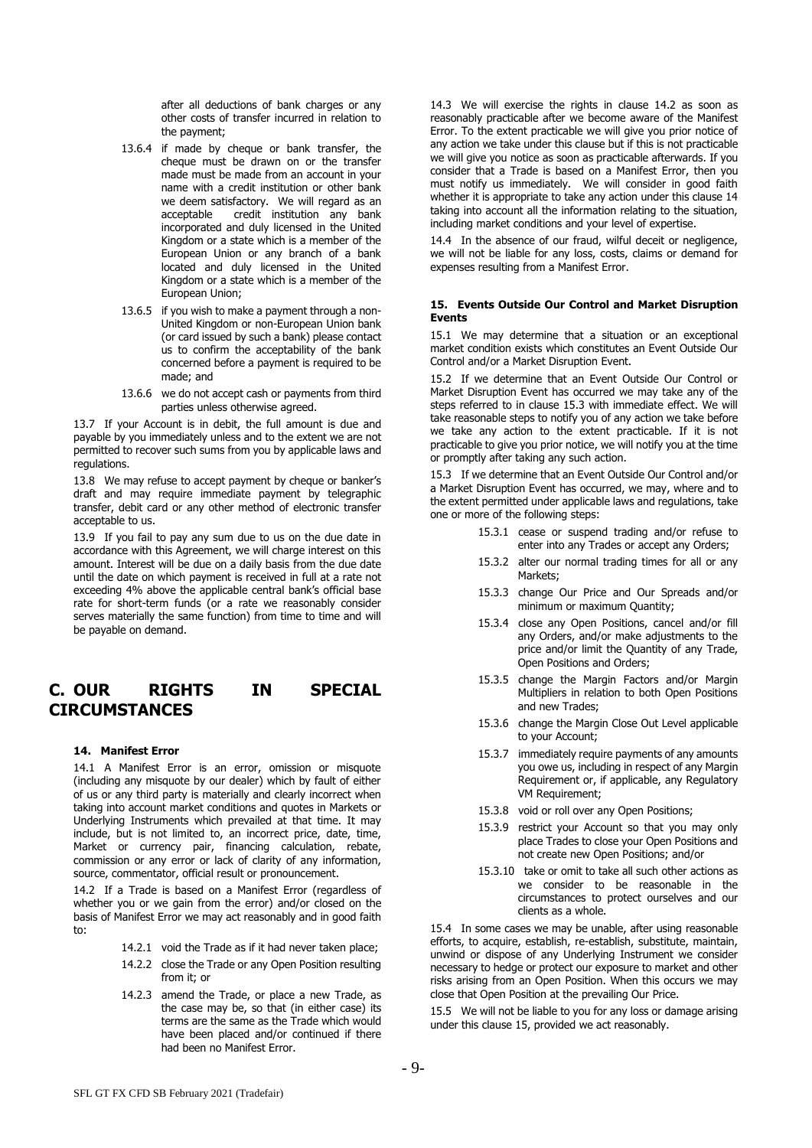after all deductions of bank charges or any other costs of transfer incurred in relation to the payment;

- <span id="page-8-0"></span>13.6.4 if made by cheque or bank transfer, the cheque must be drawn on or the transfer made must be made from an account in your name with a credit institution or other bank we deem satisfactory. We will regard as an acceptable credit institution any bank credit institution any bank incorporated and duly licensed in the United Kingdom or a state which is a member of the European Union or any branch of a bank located and duly licensed in the United Kingdom or a state which is a member of the European Union;
- 13.6.5 if you wish to make a payment through a non-United Kingdom or non-European Union bank (or card issued by such a bank) please contact us to confirm the acceptability of the bank concerned before a payment is required to be made; and
- 13.6.6 we do not accept cash or payments from third parties unless otherwise agreed.

13.7 If your Account is in debit, the full amount is due and payable by you immediately unless and to the extent we are not permitted to recover such sums from you by applicable laws and regulations.

13.8 We may refuse to accept payment by cheque or banker's draft and may require immediate payment by telegraphic transfer, debit card or any other method of electronic transfer acceptable to us.

13.9 If you fail to pay any sum due to us on the due date in accordance with this Agreement, we will charge interest on this amount. Interest will be due on a daily basis from the due date until the date on which payment is received in full at a rate not exceeding 4% above the applicable central bank's official base rate for short-term funds (or a rate we reasonably consider serves materially the same function) from time to time and will be payable on demand.

# **C. OUR RIGHTS IN SPECIAL CIRCUMSTANCES**

# **14. Manifest Error**

14.1 A Manifest Error is an error, omission or misquote (including any misquote by our dealer) which by fault of either of us or any third party is materially and clearly incorrect when taking into account market conditions and quotes in Markets or Underlying Instruments which prevailed at that time. It may include, but is not limited to, an incorrect price, date, time, Market or currency pair, financing calculation, rebate, commission or any error or lack of clarity of any information, source, commentator, official result or pronouncement.

14.2 If a Trade is based on a Manifest Error (regardless of whether you or we gain from the error) and/or closed on the basis of Manifest Error we may act reasonably and in good faith to:

14.2.1 void the Trade as if it had never taken place;

- 14.2.2 close the Trade or any Open Position resulting from it; or
- 14.2.3 amend the Trade, or place a new Trade, as the case may be, so that (in either case) its terms are the same as the Trade which would have been placed and/or continued if there had been no Manifest Error.

14.3 We will exercise the rights in clause 14.2 as soon as reasonably practicable after we become aware of the Manifest Error. To the extent practicable we will give you prior notice of any action we take under this clause but if this is not practicable we will give you notice as soon as practicable afterwards. If you consider that a Trade is based on a Manifest Error, then you must notify us immediately. We will consider in good faith whether it is appropriate to take any action under this clause 14 taking into account all the information relating to the situation, including market conditions and your level of expertise.

14.4 In the absence of our fraud, wilful deceit or negligence, we will not be liable for any loss, costs, claims or demand for expenses resulting from a Manifest Error.

## **15. Events Outside Our Control and Market Disruption Events**

15.1 We may determine that a situation or an exceptional market condition exists which constitutes an Event Outside Our Control and/or a Market Disruption Event.

15.2 If we determine that an Event Outside Our Control or Market Disruption Event has occurred we may take any of the steps referred to in clause 15.3 with immediate effect. We will take reasonable steps to notify you of any action we take before we take any action to the extent practicable. If it is not practicable to give you prior notice, we will notify you at the time or promptly after taking any such action.

15.3 If we determine that an Event Outside Our Control and/or a Market Disruption Event has occurred, we may, where and to the extent permitted under applicable laws and regulations, take one or more of the following steps:

- 15.3.1 cease or suspend trading and/or refuse to enter into any Trades or accept any Orders;
- 15.3.2 alter our normal trading times for all or any Markets;
- 15.3.3 change Our Price and Our Spreads and/or minimum or maximum Quantity;
- 15.3.4 close any Open Positions, cancel and/or fill any Orders, and/or make adjustments to the price and/or limit the Quantity of any Trade, Open Positions and Orders;
- 15.3.5 change the Margin Factors and/or Margin Multipliers in relation to both Open Positions and new Trades;
- 15.3.6 change the Margin Close Out Level applicable to your Account;
- 15.3.7 immediately require payments of any amounts you owe us, including in respect of any Margin Requirement or, if applicable, any Regulatory VM Requirement;
- 15.3.8 void or roll over any Open Positions;
- 15.3.9 restrict your Account so that you may only place Trades to close your Open Positions and not create new Open Positions; and/or
- 15.3.10 take or omit to take all such other actions as we consider to be reasonable in the circumstances to protect ourselves and our clients as a whole.

15.4 In some cases we may be unable, after using reasonable efforts, to acquire, establish, re-establish, substitute, maintain, unwind or dispose of any Underlying Instrument we consider necessary to hedge or protect our exposure to market and other risks arising from an Open Position. When this occurs we may close that Open Position at the prevailing Our Price.

15.5 We will not be liable to you for any loss or damage arising under this clause 15, provided we act reasonably.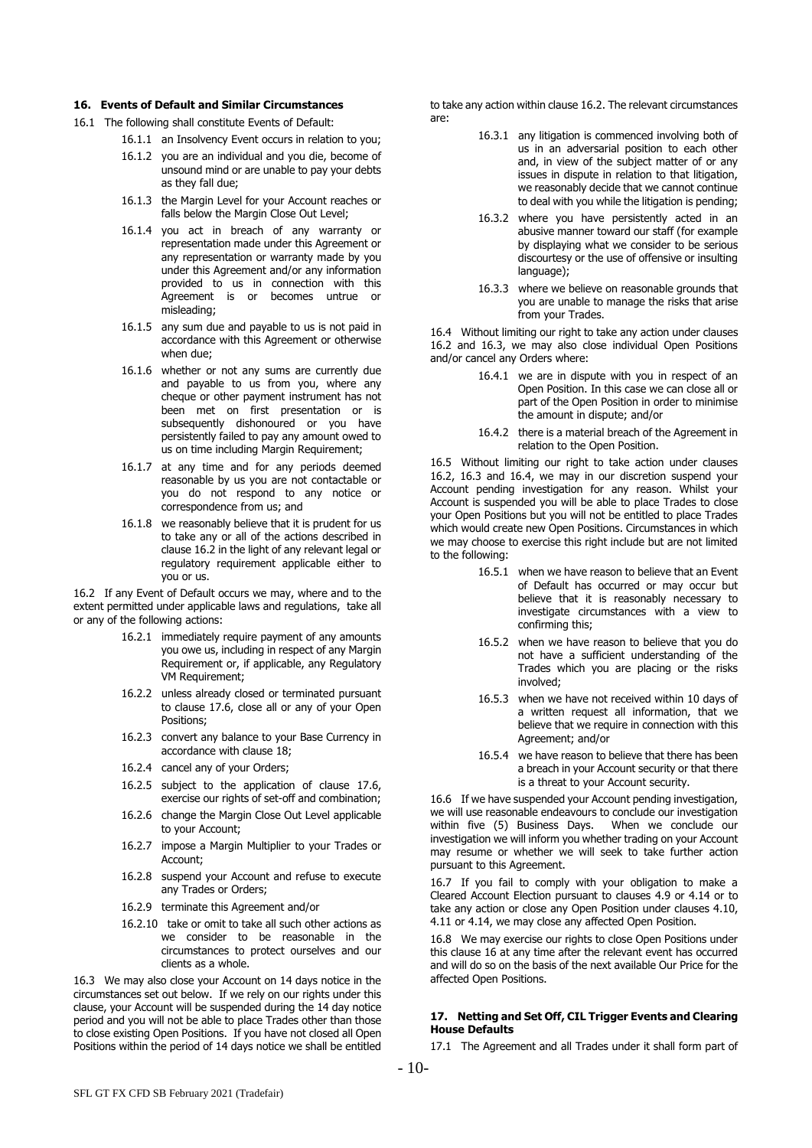#### **16. Events of Default and Similar Circumstances**

- 16.1 The following shall constitute Events of Default:
	- 16.1.1 an Insolvency Event occurs in relation to you;
	- 16.1.2 you are an individual and you die, become of unsound mind or are unable to pay your debts as they fall due;
	- 16.1.3 the Margin Level for your Account reaches or falls below the Margin Close Out Level;
	- 16.1.4 you act in breach of any warranty or representation made under this Agreement or any representation or warranty made by you under this Agreement and/or any information provided to us in connection with this Agreement is or becomes untrue or misleading;
	- 16.1.5 any sum due and payable to us is not paid in accordance with this Agreement or otherwise when due;
	- 16.1.6 whether or not any sums are currently due and payable to us from you, where any cheque or other payment instrument has not been met on first presentation or is subsequently dishonoured or you have persistently failed to pay any amount owed to us on time including Margin Requirement;
	- 16.1.7 at any time and for any periods deemed reasonable by us you are not contactable or you do not respond to any notice or correspondence from us; and
	- 16.1.8 we reasonably believe that it is prudent for us to take any or all of the actions described in clause 16.2 in the light of any relevant legal or regulatory requirement applicable either to you or us.

16.2 If any Event of Default occurs we may, where and to the extent permitted under applicable laws and regulations, take all or any of the following actions:

- 16.2.1 immediately require payment of any amounts you owe us, including in respect of any Margin Requirement or, if applicable, any Regulatory VM Requirement;
- 16.2.2 unless already closed or terminated pursuant to clause [17.6,](#page-10-1) close all or any of your Open Positions;
- 16.2.3 convert any balance to your Base Currency in accordance with clause 18;
- 16.2.4 cancel any of your Orders;
- 16.2.5 subject to the application of clause [17.6,](#page-10-1) exercise our rights of set-off and combination;
- 16.2.6 change the Margin Close Out Level applicable to your Account;
- 16.2.7 impose a Margin Multiplier to your Trades or Account;
- 16.2.8 suspend your Account and refuse to execute any Trades or Orders;
- 16.2.9 terminate this Agreement and/or
- 16.2.10 take or omit to take all such other actions as we consider to be reasonable in the circumstances to protect ourselves and our clients as a whole.

16.3 We may also close your Account on 14 days notice in the circumstances set out below. If we rely on our rights under this clause, your Account will be suspended during the 14 day notice period and you will not be able to place Trades other than those to close existing Open Positions. If you have not closed all Open Positions within the period of 14 days notice we shall be entitled

to take any action within clause 16.2. The relevant circumstances are:

- 16.3.1 any litigation is commenced involving both of us in an adversarial position to each other and, in view of the subject matter of or any issues in dispute in relation to that litigation, we reasonably decide that we cannot continue to deal with you while the litigation is pending;
- 16.3.2 where you have persistently acted in an abusive manner toward our staff (for example by displaying what we consider to be serious discourtesy or the use of offensive or insulting language);
- 16.3.3 where we believe on reasonable grounds that you are unable to manage the risks that arise from your Trades.

16.4 Without limiting our right to take any action under clauses 16.2 and 16.3, we may also close individual Open Positions and/or cancel any Orders where:

- 16.4.1 we are in dispute with you in respect of an Open Position. In this case we can close all or part of the Open Position in order to minimise the amount in dispute; and/or
- 16.4.2 there is a material breach of the Agreement in relation to the Open Position.

16.5 Without limiting our right to take action under clauses 16.2, 16.3 and 16.4, we may in our discretion suspend your Account pending investigation for any reason. Whilst your Account is suspended you will be able to place Trades to close your Open Positions but you will not be entitled to place Trades which would create new Open Positions. Circumstances in which we may choose to exercise this right include but are not limited to the following:

- 16.5.1 when we have reason to believe that an Event of Default has occurred or may occur but believe that it is reasonably necessary to investigate circumstances with a view to confirming this;
- 16.5.2 when we have reason to believe that you do not have a sufficient understanding of the Trades which you are placing or the risks involved;
- 16.5.3 when we have not received within 10 days of a written request all information, that we believe that we require in connection with this Agreement; and/or
- 16.5.4 we have reason to believe that there has been a breach in your Account security or that there is a threat to your Account security.

16.6 If we have suspended your Account pending investigation, we will use reasonable endeavours to conclude our investigation within five (5) Business Days. When we conclude our investigation we will inform you whether trading on your Account may resume or whether we will seek to take further action pursuant to this Agreement.

<span id="page-9-0"></span>16.7 If you fail to comply with your obligation to make a Cleared Account Election pursuant to clauses [4.9](#page-3-3) or [4.14](#page-3-4) or to take any action or close any Open Position under clauses [4.10,](#page-3-5) [4.11](#page-3-6) o[r 4.14,](#page-3-4) we may close any affected Open Position.

16.8 We may exercise our rights to close Open Positions under this clause 16 at any time after the relevant event has occurred and will do so on the basis of the next available Our Price for the affected Open Positions.

# **17. Netting and Set Off, CIL Trigger Events and Clearing House Defaults**

17.1 The Agreement and all Trades under it shall form part of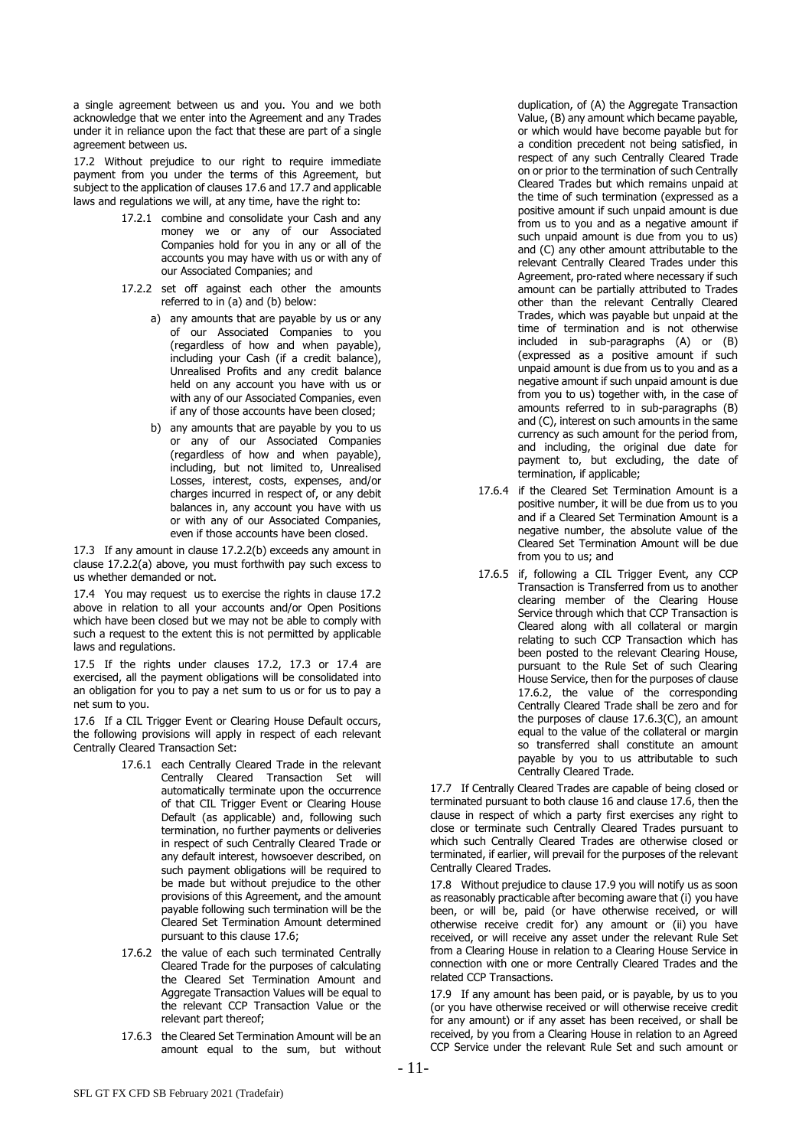a single agreement between us and you. You and we both acknowledge that we enter into the Agreement and any Trades under it in reliance upon the fact that these are part of a single agreement between us.

17.2 Without prejudice to our right to require immediate payment from you under the terms of this Agreement, but subject to the application of clause[s 17.6](#page-10-1) an[d 17.7](#page-10-2) and applicable laws and regulations we will, at any time, have the right to:

- 17.2.1 combine and consolidate your Cash and any money we or any of our Associated Companies hold for you in any or all of the accounts you may have with us or with any of our Associated Companies; and
- 17.2.2 set off against each other the amounts referred to in (a) and (b) below:
	- a) any amounts that are payable by us or any of our Associated Companies to you (regardless of how and when payable), including your Cash (if a credit balance), Unrealised Profits and any credit balance held on any account you have with us or with any of our Associated Companies, even if any of those accounts have been closed;
	- b) any amounts that are payable by you to us or any of our Associated Companies (regardless of how and when payable), including, but not limited to, Unrealised Losses, interest, costs, expenses, and/or charges incurred in respect of, or any debit balances in, any account you have with us or with any of our Associated Companies, even if those accounts have been closed.

17.3 If any amount in clause 17.2.2(b) exceeds any amount in clause 17.2.2(a) above, you must forthwith pay such excess to us whether demanded or not.

17.4 You may request us to exercise the rights in clause 17.2 above in relation to all your accounts and/or Open Positions which have been closed but we may not be able to comply with such a request to the extent this is not permitted by applicable laws and regulations.

17.5 If the rights under clauses 17.2, 17.3 or 17.4 are exercised, all the payment obligations will be consolidated into an obligation for you to pay a net sum to us or for us to pay a net sum to you.

<span id="page-10-1"></span>17.6 If a CIL Trigger Event or Clearing House Default occurs, the following provisions will apply in respect of each relevant Centrally Cleared Transaction Set:

- 17.6.1 each Centrally Cleared Trade in the relevant Centrally Cleared Transaction Set will automatically terminate upon the occurrence of that CIL Trigger Event or Clearing House Default (as applicable) and, following such termination, no further payments or deliveries in respect of such Centrally Cleared Trade or any default interest, howsoever described, on such payment obligations will be required to be made but without prejudice to the other provisions of this Agreement, and the amount payable following such termination will be the Cleared Set Termination Amount determined pursuant to this clause [17.6;](#page-10-1)
- <span id="page-10-3"></span>17.6.2 the value of each such terminated Centrally Cleared Trade for the purposes of calculating the Cleared Set Termination Amount and Aggregate Transaction Values will be equal to the relevant CCP Transaction Value or the relevant part thereof;
- <span id="page-10-4"></span>17.6.3 the Cleared Set Termination Amount will be an amount equal to the sum, but without

duplication, of (A) the Aggregate Transaction Value, (B) any amount which became payable, or which would have become payable but for a condition precedent not being satisfied, in respect of any such Centrally Cleared Trade on or prior to the termination of such Centrally Cleared Trades but which remains unpaid at the time of such termination (expressed as a positive amount if such unpaid amount is due from us to you and as a negative amount if such unpaid amount is due from you to us) and (C) any other amount attributable to the relevant Centrally Cleared Trades under this Agreement, pro-rated where necessary if such amount can be partially attributed to Trades other than the relevant Centrally Cleared Trades, which was payable but unpaid at the time of termination and is not otherwise included in sub-paragraphs (A) or (B) (expressed as a positive amount if such unpaid amount is due from us to you and as a negative amount if such unpaid amount is due from you to us) together with, in the case of amounts referred to in sub-paragraphs (B) and (C), interest on such amounts in the same currency as such amount for the period from, and including, the original due date for payment to, but excluding, the date of termination, if applicable;

- 17.6.4 if the Cleared Set Termination Amount is a positive number, it will be due from us to you and if a Cleared Set Termination Amount is a negative number, the absolute value of the Cleared Set Termination Amount will be due from you to us; and
- 17.6.5 if, following a CIL Trigger Event, any CCP Transaction is Transferred from us to another clearing member of the Clearing House Service through which that CCP Transaction is Cleared along with all collateral or margin relating to such CCP Transaction which has been posted to the relevant Clearing House, pursuant to the Rule Set of such Clearing House Service, then for the purposes of clause [17.6.2,](#page-10-3) the value of the corresponding Centrally Cleared Trade shall be zero and for the purposes of clause [17.6.3\(](#page-10-4)C), an amount equal to the value of the collateral or margin so transferred shall constitute an amount payable by you to us attributable to such Centrally Cleared Trade.

<span id="page-10-2"></span>17.7 If Centrally Cleared Trades are capable of being closed or terminated pursuant to both clause [16](#page-8-0) and claus[e 17.6,](#page-10-1) then the clause in respect of which a party first exercises any right to close or terminate such Centrally Cleared Trades pursuant to which such Centrally Cleared Trades are otherwise closed or terminated, if earlier, will prevail for the purposes of the relevant Centrally Cleared Trades.

17.8 Without prejudice to clause [17.9](#page-10-0) you will notify us as soon as reasonably practicable after becoming aware that (i) you have been, or will be, paid (or have otherwise received, or will otherwise receive credit for) any amount or (ii) you have received, or will receive any asset under the relevant Rule Set from a Clearing House in relation to a Clearing House Service in connection with one or more Centrally Cleared Trades and the related CCP Transactions.

<span id="page-10-0"></span>17.9 If any amount has been paid, or is payable, by us to you (or you have otherwise received or will otherwise receive credit for any amount) or if any asset has been received, or shall be received, by you from a Clearing House in relation to an Agreed CCP Service under the relevant Rule Set and such amount or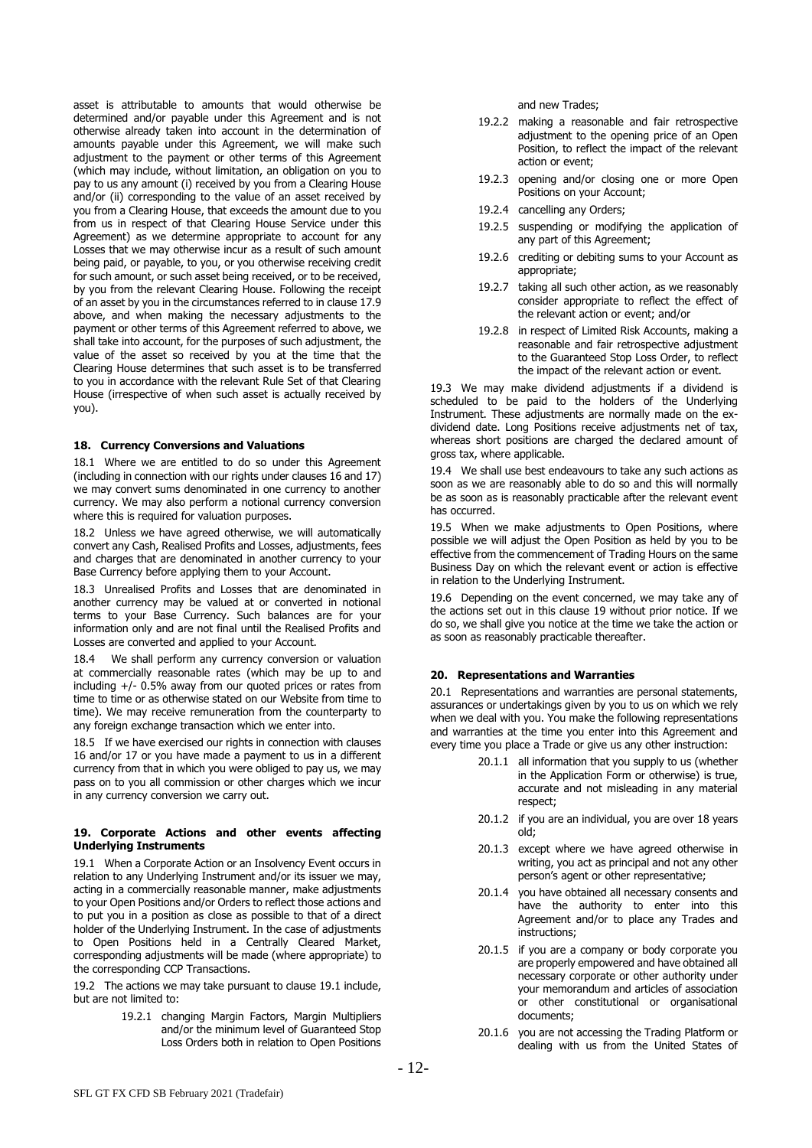asset is attributable to amounts that would otherwise be determined and/or payable under this Agreement and is not otherwise already taken into account in the determination of amounts payable under this Agreement, we will make such adjustment to the payment or other terms of this Agreement (which may include, without limitation, an obligation on you to pay to us any amount (i) received by you from a Clearing House and/or (ii) corresponding to the value of an asset received by you from a Clearing House, that exceeds the amount due to you from us in respect of that Clearing House Service under this Agreement) as we determine appropriate to account for any Losses that we may otherwise incur as a result of such amount being paid, or payable, to you, or you otherwise receiving credit for such amount, or such asset being received, or to be received, by you from the relevant Clearing House. Following the receipt of an asset by you in the circumstances referred to in clause [17.9](#page-10-0) above, and when making the necessary adjustments to the payment or other terms of this Agreement referred to above, we shall take into account, for the purposes of such adjustment, the value of the asset so received by you at the time that the Clearing House determines that such asset is to be transferred to you in accordance with the relevant Rule Set of that Clearing House (irrespective of when such asset is actually received by you).

#### **18. Currency Conversions and Valuations**

18.1 Where we are entitled to do so under this Agreement (including in connection with our rights under clauses 16 and 17) we may convert sums denominated in one currency to another currency. We may also perform a notional currency conversion where this is required for valuation purposes.

18.2 Unless we have agreed otherwise, we will automatically convert any Cash, Realised Profits and Losses, adjustments, fees and charges that are denominated in another currency to your Base Currency before applying them to your Account.

18.3 Unrealised Profits and Losses that are denominated in another currency may be valued at or converted in notional terms to your Base Currency. Such balances are for your information only and are not final until the Realised Profits and Losses are converted and applied to your Account.

18.4 We shall perform any currency conversion or valuation at commercially reasonable rates (which may be up to and including +/- 0.5% away from our quoted prices or rates from time to time or as otherwise stated on our Website from time to time). We may receive remuneration from the counterparty to any foreign exchange transaction which we enter into.

18.5 If we have exercised our rights in connection with clauses 16 and/or 17 or you have made a payment to us in a different currency from that in which you were obliged to pay us, we may pass on to you all commission or other charges which we incur in any currency conversion we carry out.

#### **19. Corporate Actions and other events affecting Underlying Instruments**

19.1 When a Corporate Action or an Insolvency Event occurs in relation to any Underlying Instrument and/or its issuer we may, acting in a commercially reasonable manner, make adjustments to your Open Positions and/or Orders to reflect those actions and to put you in a position as close as possible to that of a direct holder of the Underlying Instrument. In the case of adjustments to Open Positions held in a Centrally Cleared Market, corresponding adjustments will be made (where appropriate) to the corresponding CCP Transactions.

19.2 The actions we may take pursuant to clause 19.1 include, but are not limited to:

> 19.2.1 changing Margin Factors, Margin Multipliers and/or the minimum level of Guaranteed Stop Loss Orders both in relation to Open Positions

and new Trades;

- 19.2.2 making a reasonable and fair retrospective adjustment to the opening price of an Open Position, to reflect the impact of the relevant action or event;
- 19.2.3 opening and/or closing one or more Open Positions on your Account;
- 19.2.4 cancelling any Orders;
- 19.2.5 suspending or modifying the application of any part of this Agreement;
- 19.2.6 crediting or debiting sums to your Account as appropriate;
- 19.2.7 taking all such other action, as we reasonably consider appropriate to reflect the effect of the relevant action or event; and/or
- 19.2.8 in respect of Limited Risk Accounts, making a reasonable and fair retrospective adjustment to the Guaranteed Stop Loss Order, to reflect the impact of the relevant action or event.

19.3 We may make dividend adjustments if a dividend is scheduled to be paid to the holders of the Underlying Instrument. These adjustments are normally made on the exdividend date. Long Positions receive adjustments net of tax, whereas short positions are charged the declared amount of gross tax, where applicable.

19.4 We shall use best endeavours to take any such actions as soon as we are reasonably able to do so and this will normally be as soon as is reasonably practicable after the relevant event has occurred.

19.5 When we make adjustments to Open Positions, where possible we will adjust the Open Position as held by you to be effective from the commencement of Trading Hours on the same Business Day on which the relevant event or action is effective in relation to the Underlying Instrument.

19.6 Depending on the event concerned, we may take any of the actions set out in this clause 19 without prior notice. If we do so, we shall give you notice at the time we take the action or as soon as reasonably practicable thereafter.

#### **20. Representations and Warranties**

20.1 Representations and warranties are personal statements, assurances or undertakings given by you to us on which we rely when we deal with you. You make the following representations and warranties at the time you enter into this Agreement and every time you place a Trade or give us any other instruction:

- 20.1.1 all information that you supply to us (whether in the Application Form or otherwise) is true, accurate and not misleading in any material respect;
- 20.1.2 if you are an individual, you are over 18 years old;
- 20.1.3 except where we have agreed otherwise in writing, you act as principal and not any other person's agent or other representative;
- 20.1.4 you have obtained all necessary consents and have the authority to enter into this Agreement and/or to place any Trades and instructions;
- 20.1.5 if you are a company or body corporate you are properly empowered and have obtained all necessary corporate or other authority under your memorandum and articles of association or other constitutional or organisational documents;
- 20.1.6 you are not accessing the Trading Platform or dealing with us from the United States of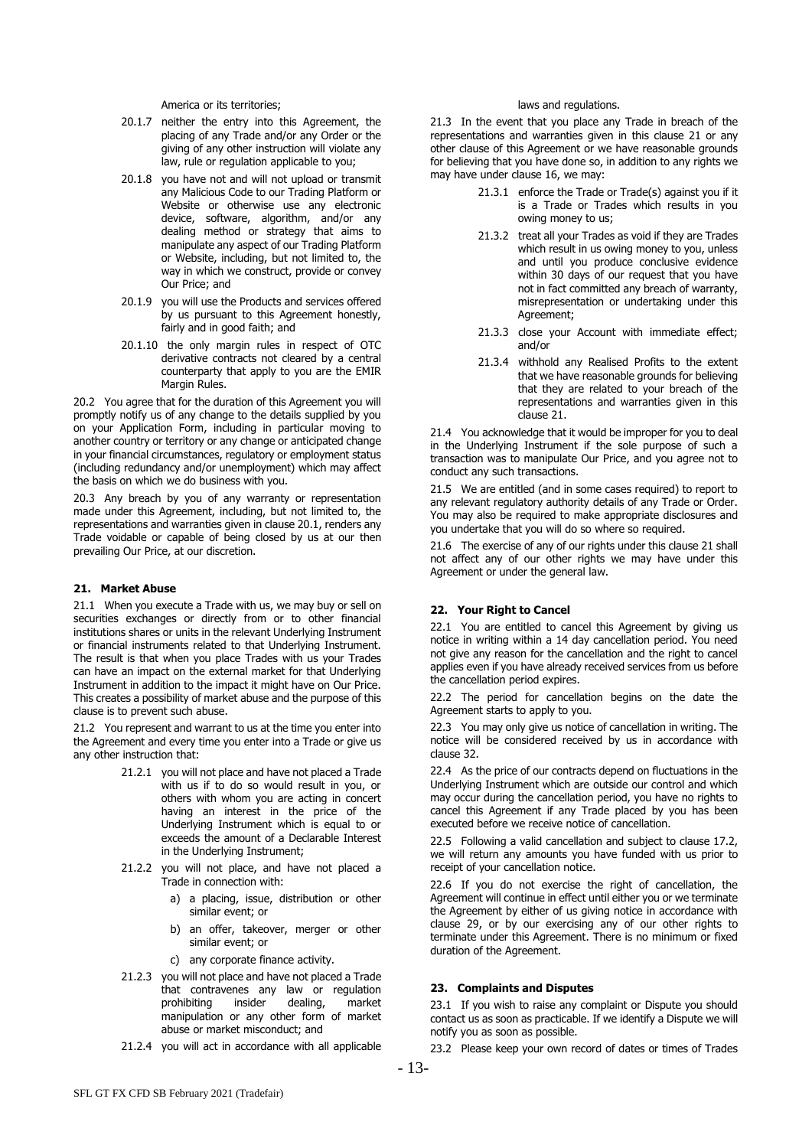America or its territories;

- 20.1.7 neither the entry into this Agreement, the placing of any Trade and/or any Order or the giving of any other instruction will violate any law, rule or regulation applicable to you;
- 20.1.8 you have not and will not upload or transmit any Malicious Code to our Trading Platform or Website or otherwise use any electronic device, software, algorithm, and/or any dealing method or strategy that aims to manipulate any aspect of our Trading Platform or Website, including, but not limited to, the way in which we construct, provide or convey Our Price; and
- 20.1.9 you will use the Products and services offered by us pursuant to this Agreement honestly, fairly and in good faith; and
- 20.1.10 the only margin rules in respect of OTC derivative contracts not cleared by a central counterparty that apply to you are the EMIR Margin Rules.

20.2 You agree that for the duration of this Agreement you will promptly notify us of any change to the details supplied by you on your Application Form, including in particular moving to another country or territory or any change or anticipated change in your financial circumstances, regulatory or employment status (including redundancy and/or unemployment) which may affect the basis on which we do business with you.

20.3 Any breach by you of any warranty or representation made under this Agreement, including, but not limited to, the representations and warranties given in clause 20.1, renders any Trade voidable or capable of being closed by us at our then prevailing Our Price, at our discretion.

# **21. Market Abuse**

21.1 When you execute a Trade with us, we may buy or sell on securities exchanges or directly from or to other financial institutions shares or units in the relevant Underlying Instrument or financial instruments related to that Underlying Instrument. The result is that when you place Trades with us your Trades can have an impact on the external market for that Underlying Instrument in addition to the impact it might have on Our Price. This creates a possibility of market abuse and the purpose of this clause is to prevent such abuse.

21.2 You represent and warrant to us at the time you enter into the Agreement and every time you enter into a Trade or give us any other instruction that:

- 21.2.1 you will not place and have not placed a Trade with us if to do so would result in you, or others with whom you are acting in concert having an interest in the price of the Underlying Instrument which is equal to or exceeds the amount of a Declarable Interest in the Underlying Instrument;
- 21.2.2 you will not place, and have not placed a Trade in connection with:
	- a) a placing, issue, distribution or other similar event; or
	- b) an offer, takeover, merger or other similar event; or
	- c) any corporate finance activity.
- 21.2.3 you will not place and have not placed a Trade that contravenes any law or regulation prohibiting insider dealing, market manipulation or any other form of market abuse or market misconduct; and
- 21.2.4 you will act in accordance with all applicable

#### laws and regulations.

21.3 In the event that you place any Trade in breach of the representations and warranties given in this clause 21 or any other clause of this Agreement or we have reasonable grounds for believing that you have done so, in addition to any rights we may have under clause 16, we may:

- 21.3.1 enforce the Trade or Trade(s) against you if it is a Trade or Trades which results in you owing money to us;
- 21.3.2 treat all your Trades as void if they are Trades which result in us owing money to you, unless and until you produce conclusive evidence within 30 days of our request that you have not in fact committed any breach of warranty, misrepresentation or undertaking under this Agreement;
- 21.3.3 close your Account with immediate effect; and/or
- 21.3.4 withhold any Realised Profits to the extent that we have reasonable grounds for believing that they are related to your breach of the representations and warranties given in this clause 21.

21.4 You acknowledge that it would be improper for you to deal in the Underlying Instrument if the sole purpose of such a transaction was to manipulate Our Price, and you agree not to conduct any such transactions.

21.5 We are entitled (and in some cases required) to report to any relevant regulatory authority details of any Trade or Order. You may also be required to make appropriate disclosures and you undertake that you will do so where so required.

21.6 The exercise of any of our rights under this clause 21 shall not affect any of our other rights we may have under this Agreement or under the general law.

# **22. Your Right to Cancel**

22.1 You are entitled to cancel this Agreement by giving us notice in writing within a 14 day cancellation period. You need not give any reason for the cancellation and the right to cancel applies even if you have already received services from us before the cancellation period expires.

22.2 The period for cancellation begins on the date the Agreement starts to apply to you.

22.3 You may only give us notice of cancellation in writing. The notice will be considered received by us in accordance with clause 32.

22.4 As the price of our contracts depend on fluctuations in the Underlying Instrument which are outside our control and which may occur during the cancellation period, you have no rights to cancel this Agreement if any Trade placed by you has been executed before we receive notice of cancellation.

22.5 Following a valid cancellation and subject to clause 17.2, we will return any amounts you have funded with us prior to receipt of your cancellation notice.

22.6 If you do not exercise the right of cancellation, the Agreement will continue in effect until either you or we terminate the Agreement by either of us giving notice in accordance with clause 29, or by our exercising any of our other rights to terminate under this Agreement. There is no minimum or fixed duration of the Agreement.

#### <span id="page-12-0"></span>**23. Complaints and Disputes**

23.1 If you wish to raise any complaint or Dispute you should contact us as soon as practicable. If we identify a Dispute we will notify you as soon as possible.

23.2 Please keep your own record of dates or times of Trades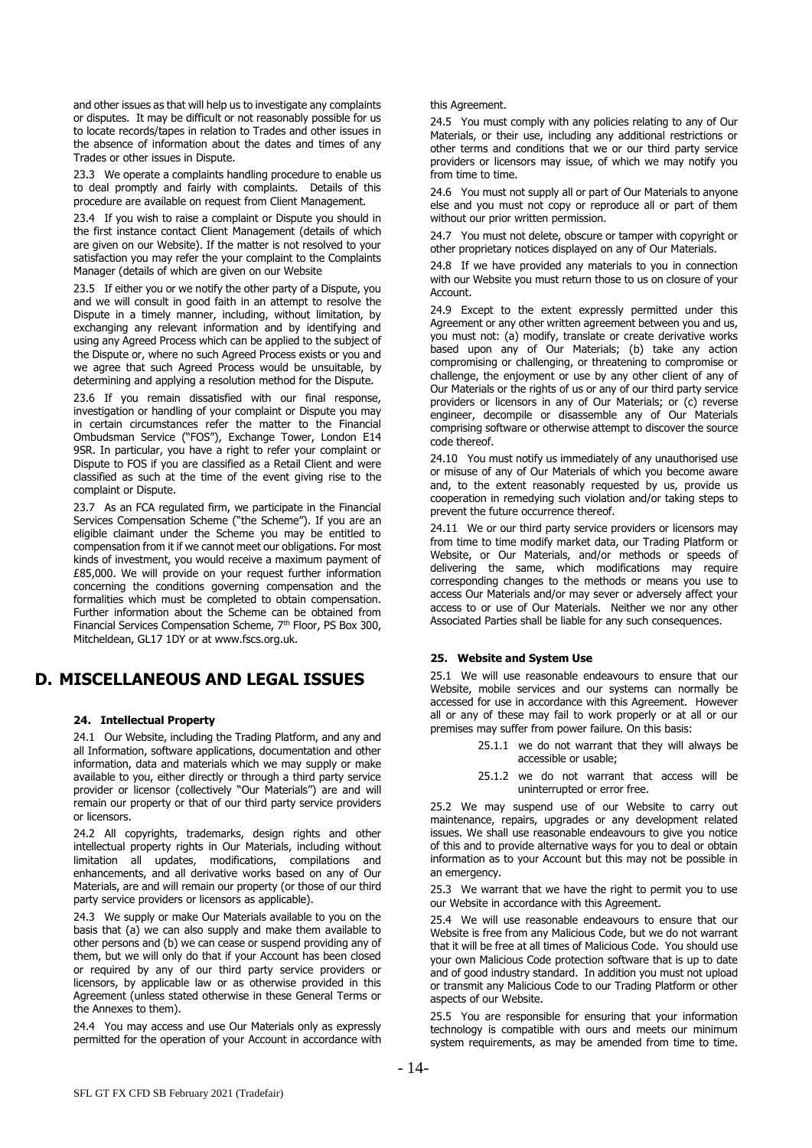and other issues as that will help us to investigate any complaints or disputes. It may be difficult or not reasonably possible for us to locate records/tapes in relation to Trades and other issues in the absence of information about the dates and times of any Trades or other issues in Dispute.

23.3 We operate a complaints handling procedure to enable us to deal promptly and fairly with complaints. Details of this procedure are available on request from Client Management.

23.4 If you wish to raise a complaint or Dispute you should in the first instance contact Client Management (details of which are given on our Website). If the matter is not resolved to your satisfaction you may refer the your complaint to the Complaints Manager (details of which are given on our Website

23.5 If either you or we notify the other party of a Dispute, you and we will consult in good faith in an attempt to resolve the Dispute in a timely manner, including, without limitation, by exchanging any relevant information and by identifying and using any Agreed Process which can be applied to the subject of the Dispute or, where no such Agreed Process exists or you and we agree that such Agreed Process would be unsuitable, by determining and applying a resolution method for the Dispute.

23.6 If you remain dissatisfied with our final response, investigation or handling of your complaint or Dispute you may in certain circumstances refer the matter to the Financial Ombudsman Service ("FOS"), Exchange Tower, London E14 9SR. In particular, you have a right to refer your complaint or Dispute to FOS if you are classified as a Retail Client and were classified as such at the time of the event giving rise to the complaint or Dispute.

<span id="page-13-3"></span>23.7 As an FCA regulated firm, we participate in the Financial Services Compensation Scheme ("the Scheme"). If you are an eligible claimant under the Scheme you may be entitled to compensation from it if we cannot meet our obligations. For most kinds of investment, you would receive a maximum payment of £85,000. We will provide on your request further information concerning the conditions governing compensation and the formalities which must be completed to obtain compensation. Further information about the Scheme can be obtained from Financial Services Compensation Scheme, 7<sup>th</sup> Floor, PS Box 300, Mitcheldean, GL17 1DY or at www.fscs.org.uk.

# **D. MISCELLANEOUS AND LEGAL ISSUES**

# <span id="page-13-1"></span>**24. Intellectual Property**

<span id="page-13-2"></span>24.1 Our Website, including the Trading Platform, and any and all Information, software applications, documentation and other information, data and materials which we may supply or make available to you, either directly or through a third party service provider or licensor (collectively "Our Materials") are and will remain our property or that of our third party service providers or licensors.

24.2 All copyrights, trademarks, design rights and other intellectual property rights in Our Materials, including without limitation all updates, modifications, compilations and enhancements, and all derivative works based on any of Our Materials, are and will remain our property (or those of our third party service providers or licensors as applicable).

24.3 We supply or make Our Materials available to you on the basis that (a) we can also supply and make them available to other persons and (b) we can cease or suspend providing any of them, but we will only do that if your Account has been closed or required by any of our third party service providers or licensors, by applicable law or as otherwise provided in this Agreement (unless stated otherwise in these General Terms or the Annexes to them).

24.4 You may access and use Our Materials only as expressly permitted for the operation of your Account in accordance with

#### this Agreement.

24.5 You must comply with any policies relating to any of Our Materials, or their use, including any additional restrictions or other terms and conditions that we or our third party service providers or licensors may issue, of which we may notify you from time to time.

24.6 You must not supply all or part of Our Materials to anyone else and you must not copy or reproduce all or part of them without our prior written permission.

24.7 You must not delete, obscure or tamper with copyright or other proprietary notices displayed on any of Our Materials.

24.8 If we have provided any materials to you in connection with our Website you must return those to us on closure of your Account.

24.9 Except to the extent expressly permitted under this Agreement or any other written agreement between you and us, you must not: (a) modify, translate or create derivative works based upon any of Our Materials; (b) take any action compromising or challenging, or threatening to compromise or challenge, the enjoyment or use by any other client of any of Our Materials or the rights of us or any of our third party service providers or licensors in any of Our Materials; or (c) reverse engineer, decompile or disassemble any of Our Materials comprising software or otherwise attempt to discover the source code thereof.

24.10 You must notify us immediately of any unauthorised use or misuse of any of Our Materials of which you become aware and, to the extent reasonably requested by us, provide us cooperation in remedying such violation and/or taking steps to prevent the future occurrence thereof.

24.11 We or our third party service providers or licensors may from time to time modify market data, our Trading Platform or Website, or Our Materials, and/or methods or speeds of delivering the same, which modifications may require corresponding changes to the methods or means you use to access Our Materials and/or may sever or adversely affect your access to or use of Our Materials. Neither we nor any other Associated Parties shall be liable for any such consequences.

# <span id="page-13-0"></span>**25. Website and System Use**

25.1 We will use reasonable endeavours to ensure that our Website, mobile services and our systems can normally be accessed for use in accordance with this Agreement. However all or any of these may fail to work properly or at all or our premises may suffer from power failure. On this basis:

- 25.1.1 we do not warrant that they will always be accessible or usable;
- 25.1.2 we do not warrant that access will be uninterrupted or error free.

25.2 We may suspend use of our Website to carry out maintenance, repairs, upgrades or any development related issues. We shall use reasonable endeavours to give you notice of this and to provide alternative ways for you to deal or obtain information as to your Account but this may not be possible in an emergency.

25.3 We warrant that we have the right to permit you to use our Website in accordance with this Agreement.

25.4 We will use reasonable endeavours to ensure that our Website is free from any Malicious Code, but we do not warrant that it will be free at all times of Malicious Code. You should use your own Malicious Code protection software that is up to date and of good industry standard. In addition you must not upload or transmit any Malicious Code to our Trading Platform or other aspects of our Website.

25.5 You are responsible for ensuring that your information technology is compatible with ours and meets our minimum system requirements, as may be amended from time to time.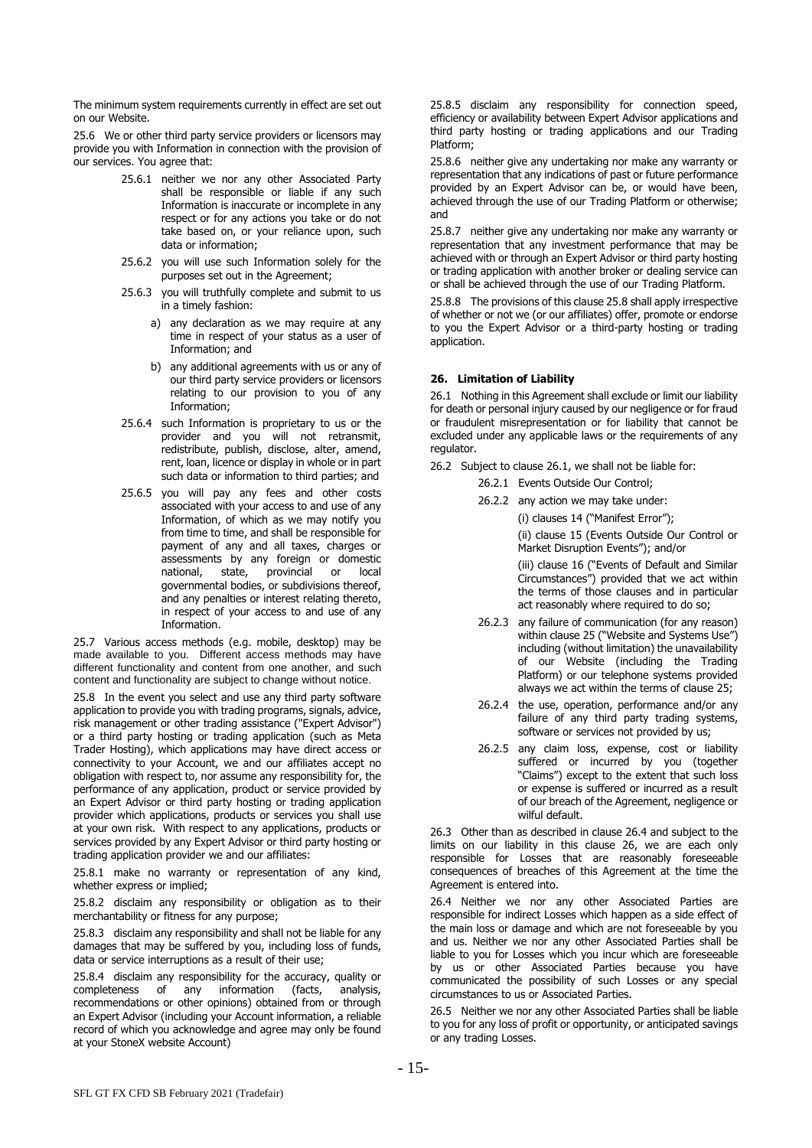The minimum system requirements currently in effect are set out on our Website.

25.6 We or other third party service providers or licensors may provide you with Information in connection with the provision of our services. You agree that:

- 25.6.1 neither we nor any other Associated Party shall be responsible or liable if any such Information is inaccurate or incomplete in any respect or for any actions you take or do not take based on, or your reliance upon, such data or information;
- 25.6.2 you will use such Information solely for the purposes set out in the Agreement;
- 25.6.3 you will truthfully complete and submit to us in a timely fashion:
	- a) any declaration as we may require at any time in respect of your status as a user of Information; and
	- b) any additional agreements with us or any of our third party service providers or licensors relating to our provision to you of any Information;
- 25.6.4 such Information is proprietary to us or the provider and you will not retransmit, redistribute, publish, disclose, alter, amend, rent, loan, licence or display in whole or in part such data or information to third parties; and
- 25.6.5 you will pay any fees and other costs associated with your access to and use of any Information, of which as we may notify you from time to time, and shall be responsible for payment of any and all taxes, charges or assessments by any foreign or domestic national, state, provincial or local governmental bodies, or subdivisions thereof, and any penalties or interest relating thereto, in respect of your access to and use of any Information.

25.7 Various access methods (e.g. mobile, desktop) may be made available to you. Different access methods may have different functionality and content from one another, and such content and functionality are subject to change without notice.

<span id="page-14-0"></span>25.8 In the event you select and use any third party software application to provide you with trading programs, signals, advice, risk management or other trading assistance ("Expert Advisor") or a third party hosting or trading application (such as Meta Trader Hosting), which applications may have direct access or connectivity to your Account, we and our affiliates accept no obligation with respect to, nor assume any responsibility for, the performance of any application, product or service provided by an Expert Advisor or third party hosting or trading application provider which applications, products or services you shall use at your own risk. With respect to any applications, products or services provided by any Expert Advisor or third party hosting or trading application provider we and our affiliates:

25.8.1 make no warranty or representation of any kind, whether express or implied;

25.8.2 disclaim any responsibility or obligation as to their merchantability or fitness for any purpose;

25.8.3 disclaim any responsibility and shall not be liable for any damages that may be suffered by you, including loss of funds, data or service interruptions as a result of their use;

25.8.4 disclaim any responsibility for the accuracy, quality or completeness of any information (facts, analysis, information (facts, analysis, recommendations or other opinions) obtained from or through an Expert Advisor (including your Account information, a reliable record of which you acknowledge and agree may only be found at your StoneX website Account)

25.8.5 disclaim any responsibility for connection speed, efficiency or availability between Expert Advisor applications and third party hosting or trading applications and our Trading Platform;

25.8.6 neither give any undertaking nor make any warranty or representation that any indications of past or future performance provided by an Expert Advisor can be, or would have been, achieved through the use of our Trading Platform or otherwise; and

25.8.7 neither give any undertaking nor make any warranty or representation that any investment performance that may be achieved with or through an Expert Advisor or third party hosting or trading application with another broker or dealing service can or shall be achieved through the use of our Trading Platform.

25.8.8 The provisions of this clause [25.8](#page-14-0) shall apply irrespective of whether or not we (or our affiliates) offer, promote or endorse to you the Expert Advisor or a third-party hosting or trading application.

# <span id="page-14-3"></span>**26. Limitation of Liability**

<span id="page-14-1"></span>26.1 Nothing in this Agreement shall exclude or limit our liability for death or personal injury caused by our negligence or for fraud or fraudulent misrepresentation or for liability that cannot be excluded under any applicable laws or the requirements of any regulator.

- 26.2 Subject to clause [26.1,](#page-14-1) we shall not be liable for:
	- 26.2.1 Events Outside Our Control;
	- 26.2.2 any action we may take under:

(i) clauses 14 ("Manifest Error");

(ii) clause 15 (Events Outside Our Control or Market Disruption Events"); and/or

(iii) clause 16 ("Events of Default and Similar Circumstances") provided that we act within the terms of those clauses and in particular act reasonably where required to do so;

- 26.2.3 any failure of communication (for any reason) within claus[e 25](#page-13-0) ("Website and Systems Use") including (without limitation) the unavailability of our Website (including the Trading Platform) or our telephone systems provided always we act within the terms of clause [25;](#page-13-0)
- 26.2.4 the use, operation, performance and/or any failure of any third party trading systems, software or services not provided by us;
- 26.2.5 any claim loss, expense, cost or liability suffered or incurred by you (together "Claims") except to the extent that such loss or expense is suffered or incurred as a result of our breach of the Agreement, negligence or wilful default.

26.3 Other than as described in clause [26.4](#page-14-2) and subject to the limits on our liability in this clause [26,](#page-14-3) we are each only responsible for Losses that are reasonably foreseeable consequences of breaches of this Agreement at the time the Agreement is entered into.

<span id="page-14-2"></span>26.4 Neither we nor any other Associated Parties are responsible for indirect Losses which happen as a side effect of the main loss or damage and which are not foreseeable by you and us. Neither we nor any other Associated Parties shall be liable to you for Losses which you incur which are foreseeable by us or other Associated Parties because you have communicated the possibility of such Losses or any special circumstances to us or Associated Parties.

26.5 Neither we nor any other Associated Parties shall be liable to you for any loss of profit or opportunity, or anticipated savings or any trading Losses.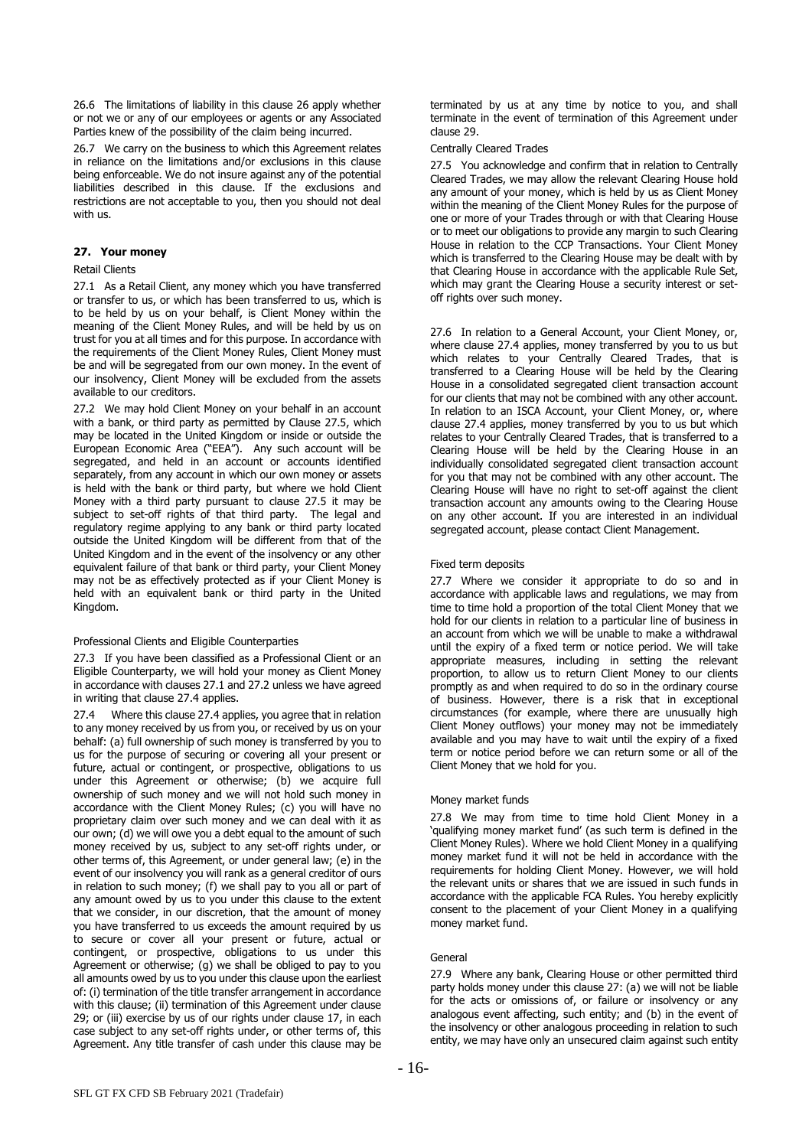26.6 The limitations of liability in this clause [26](#page-14-3) apply whether or not we or any of our employees or agents or any Associated Parties knew of the possibility of the claim being incurred.

26.7 We carry on the business to which this Agreement relates in reliance on the limitations and/or exclusions in this clause being enforceable. We do not insure against any of the potential liabilities described in this clause. If the exclusions and restrictions are not acceptable to you, then you should not deal with us.

# <span id="page-15-4"></span>**27. Your money**

#### Retail Clients

<span id="page-15-1"></span>27.1 As a Retail Client, any money which you have transferred or transfer to us, or which has been transferred to us, which is to be held by us on your behalf, is Client Money within the meaning of the Client Money Rules, and will be held by us on trust for you at all times and for this purpose. In accordance with the requirements of the Client Money Rules, Client Money must be and will be segregated from our own money. In the event of our insolvency, Client Money will be excluded from the assets available to our creditors.

<span id="page-15-2"></span>27.2 We may hold Client Money on your behalf in an account with a bank, or third party as permitted by Clause [27.5,](#page-15-0) which may be located in the United Kingdom or inside or outside the European Economic Area ("EEA"). Any such account will be segregated, and held in an account or accounts identified separately, from any account in which our own money or assets is held with the bank or third party, but where we hold Client Money with a third party pursuant to clause [27.5](#page-15-0) it may be subject to set-off rights of that third party. The legal and regulatory regime applying to any bank or third party located outside the United Kingdom will be different from that of the United Kingdom and in the event of the insolvency or any other equivalent failure of that bank or third party, your Client Money may not be as effectively protected as if your Client Money is held with an equivalent bank or third party in the United Kingdom.

#### Professional Clients and Eligible Counterparties

27.3 If you have been classified as a Professional Client or an Eligible Counterparty, we will hold your money as Client Money in accordance with clauses [27.1](#page-15-1) and [27.2](#page-15-2) unless we have agreed in writing that clause [27.4](#page-15-3) applies.

<span id="page-15-3"></span>27.4 Where this claus[e 27.4](#page-15-3) applies, you agree that in relation to any money received by us from you, or received by us on your behalf: (a) full ownership of such money is transferred by you to us for the purpose of securing or covering all your present or future, actual or contingent, or prospective, obligations to us under this Agreement or otherwise; (b) we acquire full ownership of such money and we will not hold such money in accordance with the Client Money Rules; (c) you will have no proprietary claim over such money and we can deal with it as our own; (d) we will owe you a debt equal to the amount of such money received by us, subject to any set-off rights under, or other terms of, this Agreement, or under general law; (e) in the event of our insolvency you will rank as a general creditor of ours in relation to such money; (f) we shall pay to you all or part of any amount owed by us to you under this clause to the extent that we consider, in our discretion, that the amount of money you have transferred to us exceeds the amount required by us to secure or cover all your present or future, actual or contingent, or prospective, obligations to us under this Agreement or otherwise; (g) we shall be obliged to pay to you all amounts owed by us to you under this clause upon the earliest of: (i) termination of the title transfer arrangement in accordance with this clause; (ii) termination of this Agreement under clause [29;](#page-16-0) or (iii) exercise by us of our rights under clause 17, in each case subject to any set-off rights under, or other terms of, this Agreement. Any title transfer of cash under this clause may be

terminated by us at any time by notice to you, and shall terminate in the event of termination of this Agreement under clause [29.](#page-16-0)

#### Centrally Cleared Trades

<span id="page-15-0"></span>27.5 You acknowledge and confirm that in relation to Centrally Cleared Trades, we may allow the relevant Clearing House hold any amount of your money, which is held by us as Client Money within the meaning of the Client Money Rules for the purpose of one or more of your Trades through or with that Clearing House or to meet our obligations to provide any margin to such Clearing House in relation to the CCP Transactions. Your Client Money which is transferred to the Clearing House may be dealt with by that Clearing House in accordance with the applicable Rule Set, which may grant the Clearing House a security interest or setoff rights over such money.

27.6 In relation to a General Account, your Client Money, or, where clause [27.4](#page-15-3) applies, money transferred by you to us but which relates to your Centrally Cleared Trades, that is transferred to a Clearing House will be held by the Clearing House in a consolidated segregated client transaction account for our clients that may not be combined with any other account. In relation to an ISCA Account, your Client Money, or, where clause [27.4](#page-15-3) applies, money transferred by you to us but which relates to your Centrally Cleared Trades, that is transferred to a Clearing House will be held by the Clearing House in an individually consolidated segregated client transaction account for you that may not be combined with any other account. The Clearing House will have no right to set-off against the client transaction account any amounts owing to the Clearing House on any other account. If you are interested in an individual segregated account, please contact Client Management.

#### Fixed term deposits

27.7 Where we consider it appropriate to do so and in accordance with applicable laws and regulations, we may from time to time hold a proportion of the total Client Money that we hold for our clients in relation to a particular line of business in an account from which we will be unable to make a withdrawal until the expiry of a fixed term or notice period. We will take appropriate measures, including in setting the relevant proportion, to allow us to return Client Money to our clients promptly as and when required to do so in the ordinary course of business. However, there is a risk that in exceptional circumstances (for example, where there are unusually high Client Money outflows) your money may not be immediately available and you may have to wait until the expiry of a fixed term or notice period before we can return some or all of the Client Money that we hold for you.

#### Money market funds

27.8 We may from time to time hold Client Money in a 'qualifying money market fund' (as such term is defined in the Client Money Rules). Where we hold Client Money in a qualifying money market fund it will not be held in accordance with the requirements for holding Client Money. However, we will hold the relevant units or shares that we are issued in such funds in accordance with the applicable FCA Rules. You hereby explicitly consent to the placement of your Client Money in a qualifying money market fund.

# General

27.9 Where any bank, Clearing House or other permitted third party holds money under this clause [27:](#page-15-4) (a) we will not be liable for the acts or omissions of, or failure or insolvency or any analogous event affecting, such entity; and (b) in the event of the insolvency or other analogous proceeding in relation to such entity, we may have only an unsecured claim against such entity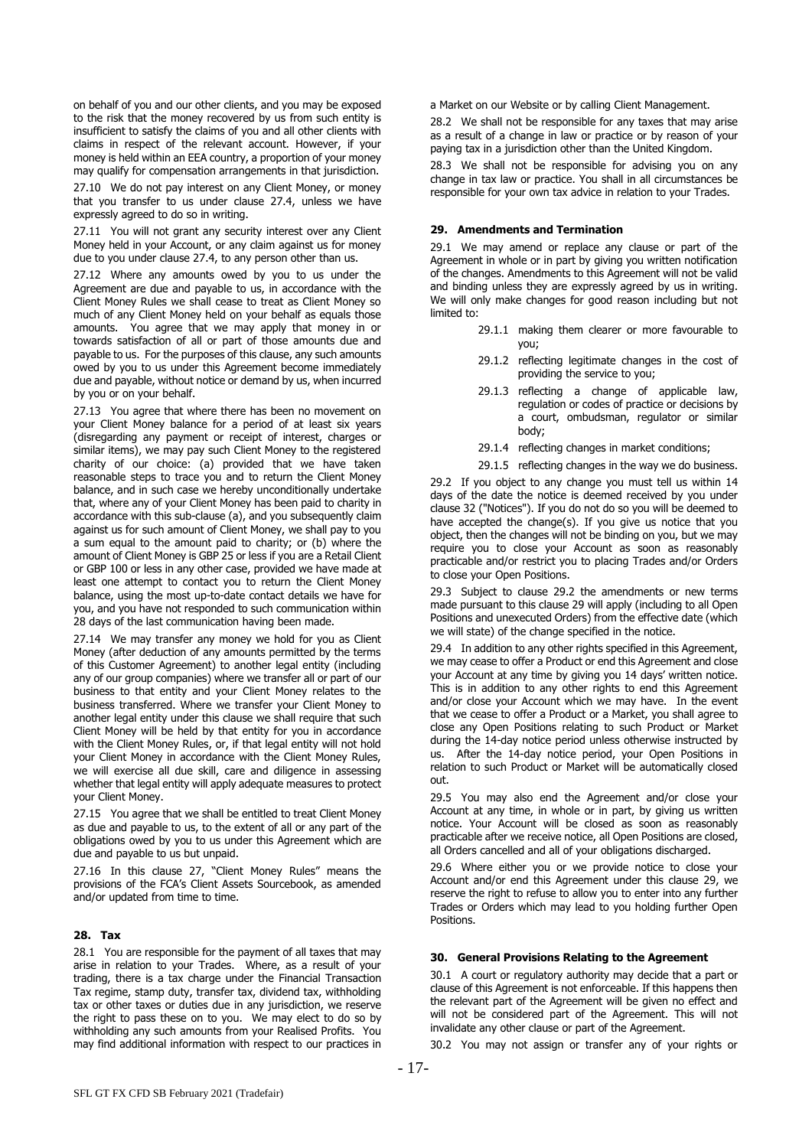on behalf of you and our other clients, and you may be exposed to the risk that the money recovered by us from such entity is insufficient to satisfy the claims of you and all other clients with claims in respect of the relevant account. However, if your money is held within an EEA country, a proportion of your money may qualify for compensation arrangements in that jurisdiction.

27.10 We do not pay interest on any Client Money, or money that you transfer to us under clause [27.4,](#page-15-3) unless we have expressly agreed to do so in writing.

27.11 You will not grant any security interest over any Client Money held in your Account, or any claim against us for money due to you under clause [27.4,](#page-15-3) to any person other than us.

27.12 Where any amounts owed by you to us under the Agreement are due and payable to us, in accordance with the Client Money Rules we shall cease to treat as Client Money so much of any Client Money held on your behalf as equals those amounts. You agree that we may apply that money in or towards satisfaction of all or part of those amounts due and payable to us. For the purposes of this clause, any such amounts owed by you to us under this Agreement become immediately due and payable, without notice or demand by us, when incurred by you or on your behalf.

27.13 You agree that where there has been no movement on your Client Money balance for a period of at least six years (disregarding any payment or receipt of interest, charges or similar items), we may pay such Client Money to the registered charity of our choice: (a) provided that we have taken reasonable steps to trace you and to return the Client Money balance, and in such case we hereby unconditionally undertake that, where any of your Client Money has been paid to charity in accordance with this sub-clause (a), and you subsequently claim against us for such amount of Client Money, we shall pay to you a sum equal to the amount paid to charity; or (b) where the amount of Client Money is GBP 25 or less if you are a Retail Client or GBP 100 or less in any other case, provided we have made at least one attempt to contact you to return the Client Money balance, using the most up-to-date contact details we have for you, and you have not responded to such communication within 28 days of the last communication having been made.

27.14 We may transfer any money we hold for you as Client Money (after deduction of any amounts permitted by the terms of this Customer Agreement) to another legal entity (including any of our group companies) where we transfer all or part of our business to that entity and your Client Money relates to the business transferred. Where we transfer your Client Money to another legal entity under this clause we shall require that such Client Money will be held by that entity for you in accordance with the Client Money Rules, or, if that legal entity will not hold your Client Money in accordance with the Client Money Rules, we will exercise all due skill, care and diligence in assessing whether that legal entity will apply adequate measures to protect your Client Money.

27.15 You agree that we shall be entitled to treat Client Money as due and payable to us, to the extent of all or any part of the obligations owed by you to us under this Agreement which are due and payable to us but unpaid.

<span id="page-16-2"></span>27.16 In this clause [27,](#page-15-4) "Client Money Rules" means the provisions of the FCA's Client Assets Sourcebook, as amended and/or updated from time to time.

# **28. Tax**

28.1 You are responsible for the payment of all taxes that may arise in relation to your Trades. Where, as a result of your trading, there is a tax charge under the Financial Transaction Tax regime, stamp duty, transfer tax, dividend tax, withholding tax or other taxes or duties due in any jurisdiction, we reserve the right to pass these on to you. We may elect to do so by withholding any such amounts from your Realised Profits. You may find additional information with respect to our practices in

a Market on our Website or by calling Client Management.

28.2 We shall not be responsible for any taxes that may arise as a result of a change in law or practice or by reason of your paying tax in a jurisdiction other than the United Kingdom.

28.3 We shall not be responsible for advising you on any change in tax law or practice. You shall in all circumstances be responsible for your own tax advice in relation to your Trades.

# <span id="page-16-0"></span>**29. Amendments and Termination**

29.1 We may amend or replace any clause or part of the Agreement in whole or in part by giving you written notification of the changes. Amendments to this Agreement will not be valid and binding unless they are expressly agreed by us in writing. We will only make changes for good reason including but not limited to:

- 29.1.1 making them clearer or more favourable to you;
- 29.1.2 reflecting legitimate changes in the cost of providing the service to you;
- 29.1.3 reflecting a change of applicable law, regulation or codes of practice or decisions by a court, ombudsman, regulator or similar body;
- 29.1.4 reflecting changes in market conditions;
- 29.1.5 reflecting changes in the way we do business.

<span id="page-16-1"></span>29.2 If you object to any change you must tell us within 14 days of the date the notice is deemed received by you under clause 32 ("Notices"). If you do not do so you will be deemed to have accepted the change(s). If you give us notice that you object, then the changes will not be binding on you, but we may require you to close your Account as soon as reasonably practicable and/or restrict you to placing Trades and/or Orders to close your Open Positions.

29.3 Subject to clause [29.2](#page-16-1) the amendments or new terms made pursuant to this clause [29](#page-16-0) will apply (including to all Open Positions and unexecuted Orders) from the effective date (which we will state) of the change specified in the notice.

29.4 In addition to any other rights specified in this Agreement, we may cease to offer a Product or end this Agreement and close your Account at any time by giving you 14 days' written notice. This is in addition to any other rights to end this Agreement and/or close your Account which we may have. In the event that we cease to offer a Product or a Market, you shall agree to close any Open Positions relating to such Product or Market during the 14-day notice period unless otherwise instructed by us. After the 14-day notice period, your Open Positions in relation to such Product or Market will be automatically closed out.

29.5 You may also end the Agreement and/or close your Account at any time, in whole or in part, by giving us written notice. Your Account will be closed as soon as reasonably practicable after we receive notice, all Open Positions are closed, all Orders cancelled and all of your obligations discharged.

29.6 Where either you or we provide notice to close your Account and/or end this Agreement under this clause [29,](#page-16-0) we reserve the right to refuse to allow you to enter into any further Trades or Orders which may lead to you holding further Open Positions.

#### **30. General Provisions Relating to the Agreement**

30.1 A court or regulatory authority may decide that a part or clause of this Agreement is not enforceable. If this happens then the relevant part of the Agreement will be given no effect and will not be considered part of the Agreement. This will not invalidate any other clause or part of the Agreement.

30.2 You may not assign or transfer any of your rights or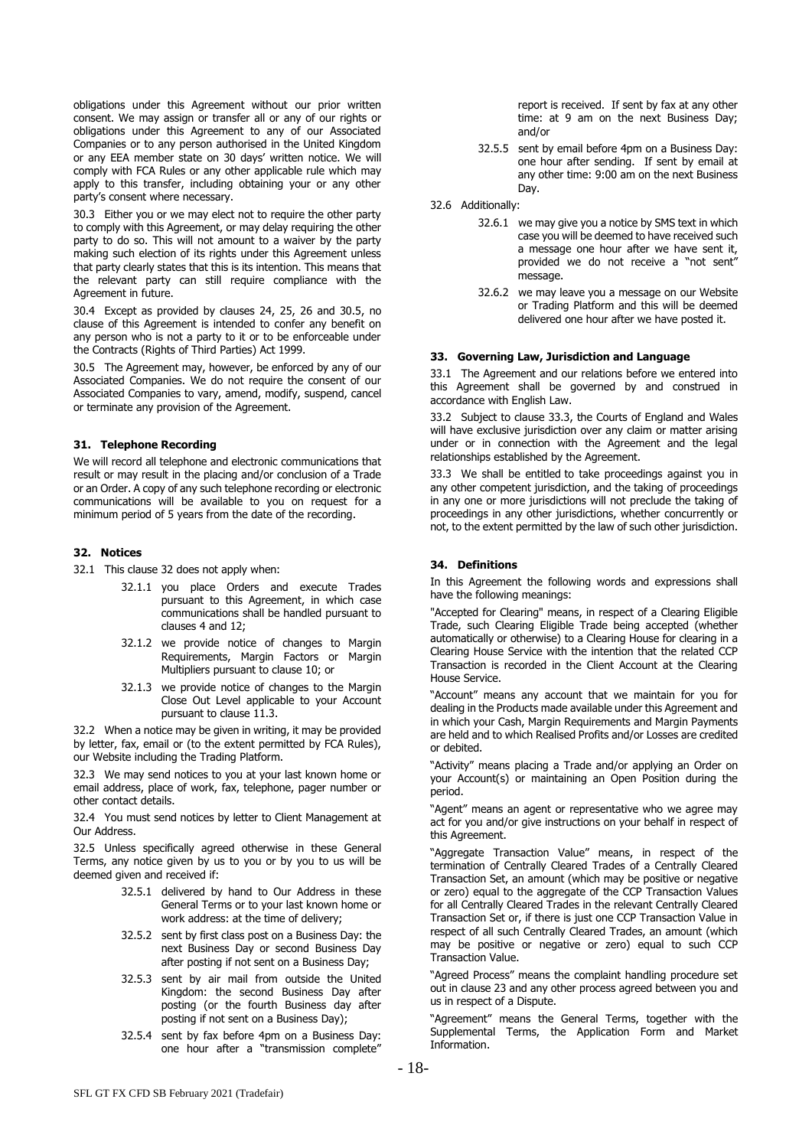obligations under this Agreement without our prior written consent. We may assign or transfer all or any of our rights or obligations under this Agreement to any of our Associated Companies or to any person authorised in the United Kingdom or any EEA member state on 30 days' written notice. We will comply with FCA Rules or any other applicable rule which may apply to this transfer, including obtaining your or any other party's consent where necessary.

30.3 Either you or we may elect not to require the other party to comply with this Agreement, or may delay requiring the other party to do so. This will not amount to a waiver by the party making such election of its rights under this Agreement unless that party clearly states that this is its intention. This means that the relevant party can still require compliance with the Agreement in future.

30.4 Except as provided by clauses [24,](#page-13-1) [25,](#page-13-0) [26](#page-14-3) and [30.5,](#page-17-1) no clause of this Agreement is intended to confer any benefit on any person who is not a party to it or to be enforceable under the Contracts (Rights of Third Parties) Act 1999.

<span id="page-17-1"></span>30.5 The Agreement may, however, be enforced by any of our Associated Companies. We do not require the consent of our Associated Companies to vary, amend, modify, suspend, cancel or terminate any provision of the Agreement.

## **31. Telephone Recording**

We will record all telephone and electronic communications that result or may result in the placing and/or conclusion of a Trade or an Order. A copy of any such telephone recording or electronic communications will be available to you on request for a minimum period of 5 years from the date of the recording.

# <span id="page-17-2"></span>**32. Notices**

32.1 This clause 32 does not apply when:

- 32.1.1 you place Orders and execute Trades pursuant to this Agreement, in which case communications shall be handled pursuant to clauses 4 and 12;
- 32.1.2 we provide notice of changes to Margin Requirements, Margin Factors or Margin Multipliers pursuant to clause 10; or
- 32.1.3 we provide notice of changes to the Margin Close Out Level applicable to your Account pursuant to clause 11.3.

32.2 When a notice may be given in writing, it may be provided by letter, fax, email or (to the extent permitted by FCA Rules), our Website including the Trading Platform.

32.3 We may send notices to you at your last known home or email address, place of work, fax, telephone, pager number or other contact details.

32.4 You must send notices by letter to Client Management at Our Address.

32.5 Unless specifically agreed otherwise in these General Terms, any notice given by us to you or by you to us will be deemed given and received if:

- 32.5.1 delivered by hand to Our Address in these General Terms or to your last known home or work address: at the time of delivery;
- 32.5.2 sent by first class post on a Business Day: the next Business Day or second Business Day after posting if not sent on a Business Day;
- 32.5.3 sent by air mail from outside the United Kingdom: the second Business Day after posting (or the fourth Business day after posting if not sent on a Business Day);
- 32.5.4 sent by fax before 4pm on a Business Day: one hour after a "transmission complete"

report is received. If sent by fax at any other time: at 9 am on the next Business Day; and/or

- 32.5.5 sent by email before 4pm on a Business Day: one hour after sending. If sent by email at any other time: 9:00 am on the next Business Day.
- 32.6 Additionally:
	- 32.6.1 we may give you a notice by SMS text in which case you will be deemed to have received such a message one hour after we have sent it, provided we do not receive a "not sent" message.
	- 32.6.2 we may leave you a message on our Website or Trading Platform and this will be deemed delivered one hour after we have posted it.

#### **33. Governing Law, Jurisdiction and Language**

33.1 The Agreement and our relations before we entered into this Agreement shall be governed by and construed in accordance with English Law.

33.2 Subject to clause 33.3, the Courts of England and Wales will have exclusive jurisdiction over any claim or matter arising under or in connection with the Agreement and the legal relationships established by the Agreement.

33.3 We shall be entitled to take proceedings against you in any other competent jurisdiction, and the taking of proceedings in any one or more jurisdictions will not preclude the taking of proceedings in any other jurisdictions, whether concurrently or not, to the extent permitted by the law of such other jurisdiction.

# <span id="page-17-0"></span>**34. Definitions**

In this Agreement the following words and expressions shall have the following meanings:

"Accepted for Clearing" means, in respect of a Clearing Eligible Trade, such Clearing Eligible Trade being accepted (whether automatically or otherwise) to a Clearing House for clearing in a Clearing House Service with the intention that the related CCP Transaction is recorded in the Client Account at the Clearing House Service.

"Account" means any account that we maintain for you for dealing in the Products made available under this Agreement and in which your Cash, Margin Requirements and Margin Payments are held and to which Realised Profits and/or Losses are credited or debited.

"Activity" means placing a Trade and/or applying an Order on your Account(s) or maintaining an Open Position during the period.

"Agent" means an agent or representative who we agree may act for you and/or give instructions on your behalf in respect of this Agreement.

"Aggregate Transaction Value" means, in respect of the termination of Centrally Cleared Trades of a Centrally Cleared Transaction Set, an amount (which may be positive or negative or zero) equal to the aggregate of the CCP Transaction Values for all Centrally Cleared Trades in the relevant Centrally Cleared Transaction Set or, if there is just one CCP Transaction Value in respect of all such Centrally Cleared Trades, an amount (which may be positive or negative or zero) equal to such CCP Transaction Value.

"Agreed Process" means the complaint handling procedure set out in claus[e 23](#page-12-0) and any other process agreed between you and us in respect of a Dispute.

"Agreement" means the General Terms, together with the Supplemental Terms, the Application Form and Market Information.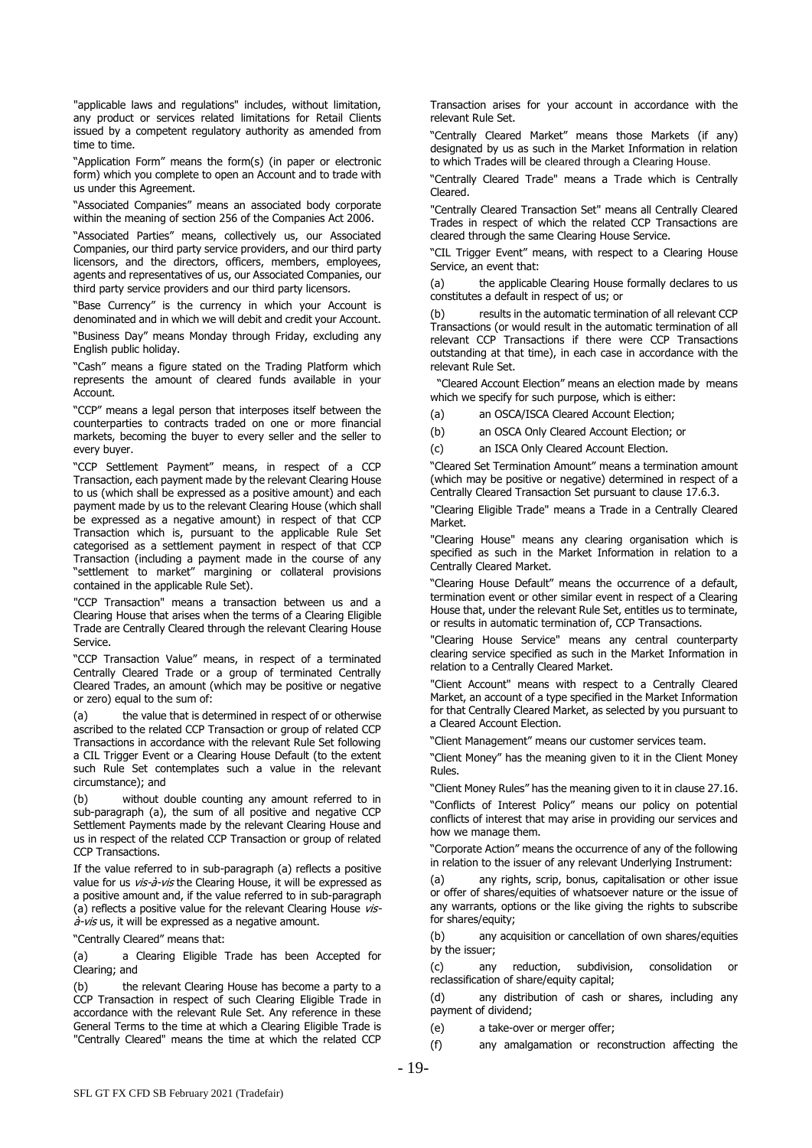"applicable laws and regulations" includes, without limitation, any product or services related limitations for Retail Clients issued by a competent regulatory authority as amended from time to time.

"Application Form" means the form(s) (in paper or electronic form) which you complete to open an Account and to trade with us under this Agreement.

"Associated Companies" means an associated body corporate within the meaning of section 256 of the Companies Act 2006.

"Associated Parties" means, collectively us, our Associated Companies, our third party service providers, and our third party licensors, and the directors, officers, members, employees, agents and representatives of us, our Associated Companies, our third party service providers and our third party licensors.

"Base Currency" is the currency in which your Account is denominated and in which we will debit and credit your Account.

"Business Day" means Monday through Friday, excluding any English public holiday.

"Cash" means a figure stated on the Trading Platform which represents the amount of cleared funds available in your Account.

"CCP" means a legal person that interposes itself between the counterparties to contracts traded on one or more financial markets, becoming the buyer to every seller and the seller to every buyer.

"CCP Settlement Payment" means, in respect of a CCP Transaction, each payment made by the relevant Clearing House to us (which shall be expressed as a positive amount) and each payment made by us to the relevant Clearing House (which shall be expressed as a negative amount) in respect of that CCP Transaction which is, pursuant to the applicable Rule Set categorised as a settlement payment in respect of that CCP Transaction (including a payment made in the course of any "settlement to market" margining or collateral provisions contained in the applicable Rule Set).

"CCP Transaction" means a transaction between us and a Clearing House that arises when the terms of a Clearing Eligible Trade are Centrally Cleared through the relevant Clearing House Service.

"CCP Transaction Value" means, in respect of a terminated Centrally Cleared Trade or a group of terminated Centrally Cleared Trades, an amount (which may be positive or negative or zero) equal to the sum of:

(a) the value that is determined in respect of or otherwise ascribed to the related CCP Transaction or group of related CCP Transactions in accordance with the relevant Rule Set following a CIL Trigger Event or a Clearing House Default (to the extent such Rule Set contemplates such a value in the relevant circumstance); and

(b) without double counting any amount referred to in sub-paragraph (a), the sum of all positive and negative CCP Settlement Payments made by the relevant Clearing House and us in respect of the related CCP Transaction or group of related CCP Transactions.

If the value referred to in sub-paragraph (a) reflects a positive value for us vis-à-vis the Clearing House, it will be expressed as a positive amount and, if the value referred to in sub-paragraph (a) reflects a positive value for the relevant Clearing House vis- $\dot{a}$ -vis us, it will be expressed as a negative amount.

"Centrally Cleared" means that:

(a) a Clearing Eligible Trade has been Accepted for Clearing; and

(b) the relevant Clearing House has become a party to a CCP Transaction in respect of such Clearing Eligible Trade in accordance with the relevant Rule Set. Any reference in these General Terms to the time at which a Clearing Eligible Trade is "Centrally Cleared" means the time at which the related CCP

Transaction arises for your account in accordance with the relevant Rule Set.

"Centrally Cleared Market" means those Markets (if any) designated by us as such in the Market Information in relation to which Trades will be cleared through a Clearing House.

"Centrally Cleared Trade" means a Trade which is Centrally Cleared.

"Centrally Cleared Transaction Set" means all Centrally Cleared Trades in respect of which the related CCP Transactions are cleared through the same Clearing House Service.

"CIL Trigger Event" means, with respect to a Clearing House Service, an event that:

(a) the applicable Clearing House formally declares to us constitutes a default in respect of us; or

(b) results in the automatic termination of all relevant CCP Transactions (or would result in the automatic termination of all relevant CCP Transactions if there were CCP Transactions outstanding at that time), in each case in accordance with the relevant Rule Set.

 "Cleared Account Election" means an election made by means which we specify for such purpose, which is either:

(a) an OSCA/ISCA Cleared Account Election;

(b) an OSCA Only Cleared Account Election; or

(c) an ISCA Only Cleared Account Election.

"Cleared Set Termination Amount" means a termination amount (which may be positive or negative) determined in respect of a Centrally Cleared Transaction Set pursuant to clause [17.6.3.](#page-10-4)

"Clearing Eligible Trade" means a Trade in a Centrally Cleared Market.

"Clearing House" means any clearing organisation which is specified as such in the Market Information in relation to a Centrally Cleared Market.

"Clearing House Default" means the occurrence of a default, termination event or other similar event in respect of a Clearing House that, under the relevant Rule Set, entitles us to terminate, or results in automatic termination of, CCP Transactions.

"Clearing House Service" means any central counterparty clearing service specified as such in the Market Information in relation to a Centrally Cleared Market.

"Client Account" means with respect to a Centrally Cleared Market, an account of a type specified in the Market Information for that Centrally Cleared Market, as selected by you pursuant to a Cleared Account Election.

"Client Management" means our customer services team.

"Client Money" has the meaning given to it in the Client Money Rules.

"Client Money Rules" has the meaning given to it in clause [27.16.](#page-16-2)

"Conflicts of Interest Policy" means our policy on potential conflicts of interest that may arise in providing our services and how we manage them.

"Corporate Action" means the occurrence of any of the following in relation to the issuer of any relevant Underlying Instrument:

any rights, scrip, bonus, capitalisation or other issue or offer of shares/equities of whatsoever nature or the issue of any warrants, options or the like giving the rights to subscribe for shares/equity;

(b) any acquisition or cancellation of own shares/equities by the issuer;

(c) any reduction, subdivision, consolidation or reclassification of share/equity capital;

(d) any distribution of cash or shares, including any payment of dividend;

(e) a take-over or merger offer;

(f) any amalgamation or reconstruction affecting the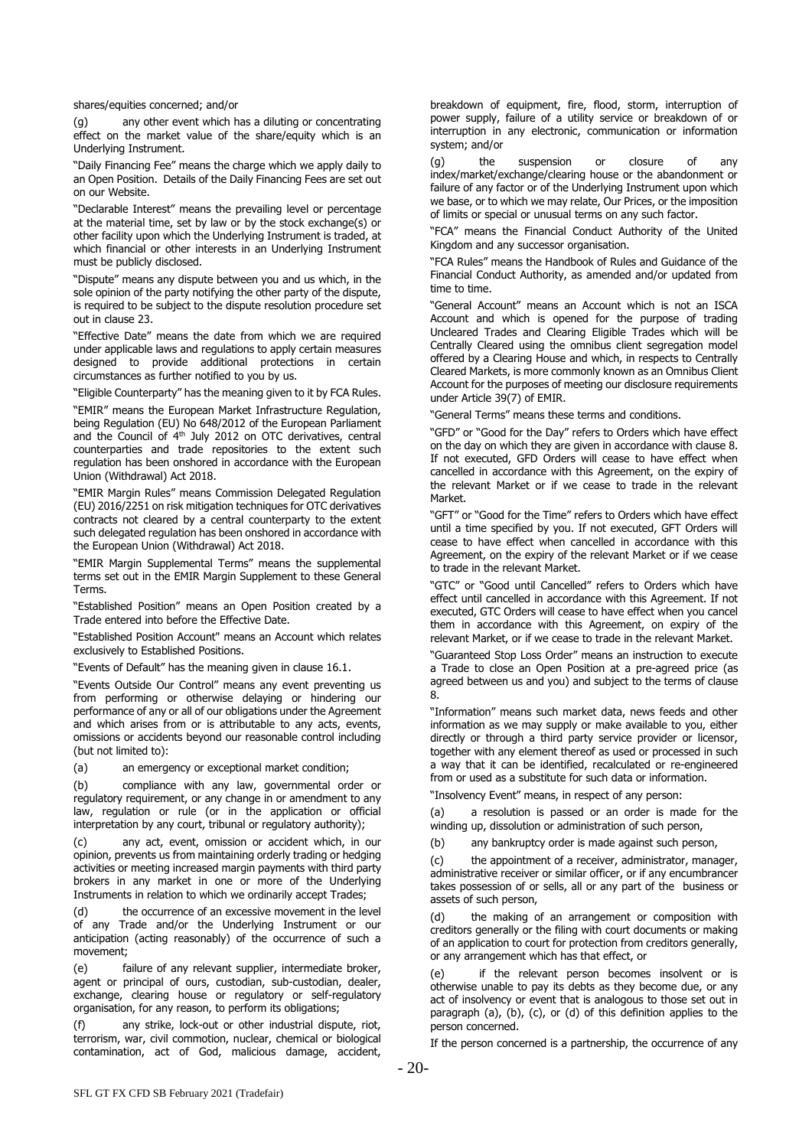shares/equities concerned; and/or

(g) any other event which has a diluting or concentrating effect on the market value of the share/equity which is an Underlying Instrument.

"Daily Financing Fee" means the charge which we apply daily to an Open Position. Details of the Daily Financing Fees are set out on our Website.

"Declarable Interest" means the prevailing level or percentage at the material time, set by law or by the stock exchange(s) or other facility upon which the Underlying Instrument is traded, at which financial or other interests in an Underlying Instrument must be publicly disclosed.

"Dispute" means any dispute between you and us which, in the sole opinion of the party notifying the other party of the dispute, is required to be subject to the dispute resolution procedure set out in clause [23.](#page-12-0)

"Effective Date" means the date from which we are required under applicable laws and regulations to apply certain measures designed to provide additional protections in certain circumstances as further notified to you by us.

"Eligible Counterparty" has the meaning given to it by FCA Rules.

"EMIR" means the European Market Infrastructure Regulation, being Regulation (EU) No 648/2012 of the European Parliament and the Council of 4<sup>th</sup> July 2012 on OTC derivatives, central counterparties and trade repositories to the extent such regulation has been onshored in accordance with the European Union (Withdrawal) Act 2018.

"EMIR Margin Rules" means Commission Delegated Regulation (EU) 2016/2251 on risk mitigation techniques for OTC derivatives contracts not cleared by a central counterparty to the extent such delegated regulation has been onshored in accordance with the European Union (Withdrawal) Act 2018.

"EMIR Margin Supplemental Terms" means the supplemental terms set out in the EMIR Margin Supplement to these General Terms.

"Established Position" means an Open Position created by a Trade entered into before the Effective Date.

"Established Position Account" means an Account which relates exclusively to Established Positions.

"Events of Default" has the meaning given in clause 16.1.

"Events Outside Our Control" means any event preventing us from performing or otherwise delaying or hindering our performance of any or all of our obligations under the Agreement and which arises from or is attributable to any acts, events, omissions or accidents beyond our reasonable control including (but not limited to):

(a) an emergency or exceptional market condition;

(b) compliance with any law, governmental order or regulatory requirement, or any change in or amendment to any law, regulation or rule (or in the application or official interpretation by any court, tribunal or regulatory authority);

(c) any act, event, omission or accident which, in our opinion, prevents us from maintaining orderly trading or hedging activities or meeting increased margin payments with third party brokers in any market in one or more of the Underlying Instruments in relation to which we ordinarily accept Trades;

(d) the occurrence of an excessive movement in the level of any Trade and/or the Underlying Instrument or our anticipation (acting reasonably) of the occurrence of such a movement;

(e) failure of any relevant supplier, intermediate broker, agent or principal of ours, custodian, sub-custodian, dealer, exchange, clearing house or regulatory or self-regulatory organisation, for any reason, to perform its obligations;

any strike, lock-out or other industrial dispute, riot, terrorism, war, civil commotion, nuclear, chemical or biological contamination, act of God, malicious damage, accident,

breakdown of equipment, fire, flood, storm, interruption of power supply, failure of a utility service or breakdown of or interruption in any electronic, communication or information system; and/or

(g) the suspension or closure of any index/market/exchange/clearing house or the abandonment or failure of any factor or of the Underlying Instrument upon which we base, or to which we may relate, Our Prices, or the imposition of limits or special or unusual terms on any such factor.

"FCA" means the Financial Conduct Authority of the United Kingdom and any successor organisation.

"FCA Rules" means the Handbook of Rules and Guidance of the Financial Conduct Authority, as amended and/or updated from time to time.

"General Account" means an Account which is not an ISCA Account and which is opened for the purpose of trading Uncleared Trades and Clearing Eligible Trades which will be Centrally Cleared using the omnibus client segregation model offered by a Clearing House and which, in respects to Centrally Cleared Markets, is more commonly known as an Omnibus Client Account for the purposes of meeting our disclosure requirements under Article 39(7) of EMIR.

"General Terms" means these terms and conditions.

"GFD" or "Good for the Day" refers to Orders which have effect on the day on which they are given in accordance with clause 8. If not executed, GFD Orders will cease to have effect when cancelled in accordance with this Agreement, on the expiry of the relevant Market or if we cease to trade in the relevant Market.

"GFT" or "Good for the Time" refers to Orders which have effect until a time specified by you. If not executed, GFT Orders will cease to have effect when cancelled in accordance with this Agreement, on the expiry of the relevant Market or if we cease to trade in the relevant Market.

"GTC" or "Good until Cancelled" refers to Orders which have effect until cancelled in accordance with this Agreement. If not executed, GTC Orders will cease to have effect when you cancel them in accordance with this Agreement, on expiry of the relevant Market, or if we cease to trade in the relevant Market.

"Guaranteed Stop Loss Order" means an instruction to execute a Trade to close an Open Position at a pre-agreed price (as agreed between us and you) and subject to the terms of clause 8.

"Information" means such market data, news feeds and other information as we may supply or make available to you, either directly or through a third party service provider or licensor, together with any element thereof as used or processed in such a way that it can be identified, recalculated or re-engineered from or used as a substitute for such data or information.

"Insolvency Event" means, in respect of any person:

(a) a resolution is passed or an order is made for the winding up, dissolution or administration of such person,

(b) any bankruptcy order is made against such person,

(c) the appointment of a receiver, administrator, manager, administrative receiver or similar officer, or if any encumbrancer takes possession of or sells, all or any part of the business or assets of such person,

the making of an arrangement or composition with creditors generally or the filing with court documents or making of an application to court for protection from creditors generally, or any arrangement which has that effect, or

(e) if the relevant person becomes insolvent or is otherwise unable to pay its debts as they become due, or any act of insolvency or event that is analogous to those set out in paragraph (a), (b), (c), or (d) of this definition applies to the person concerned.

If the person concerned is a partnership, the occurrence of any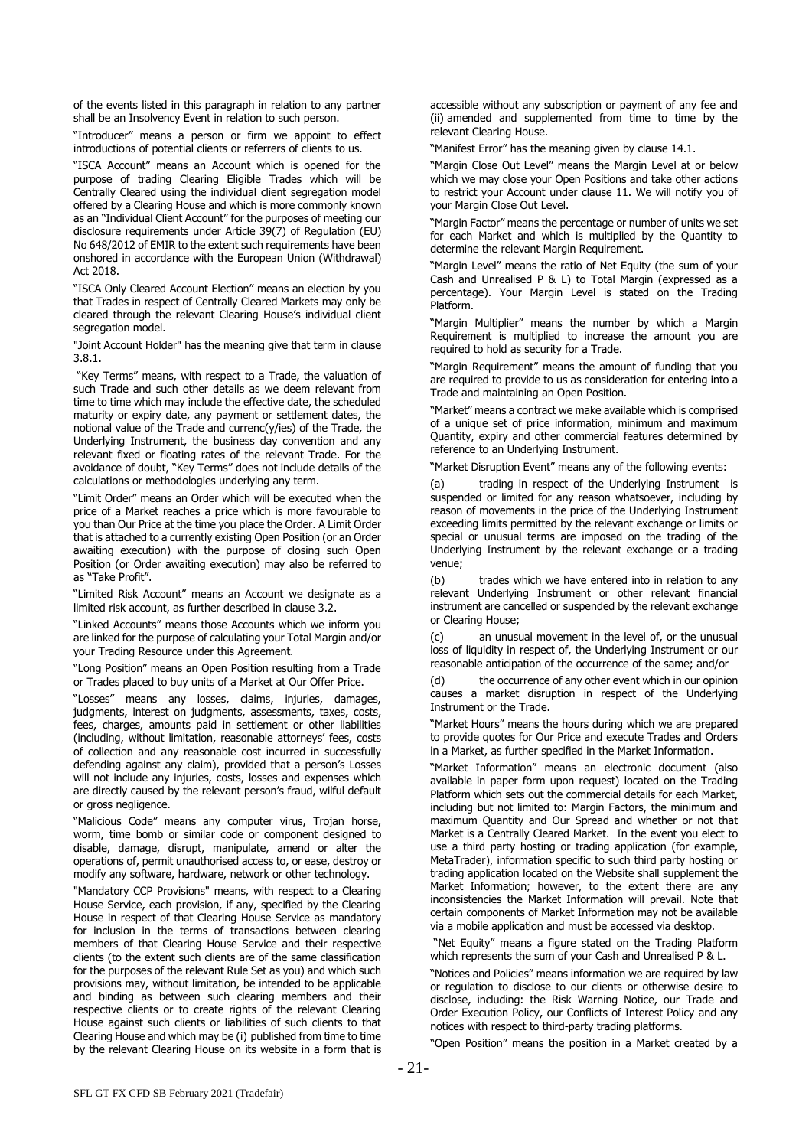of the events listed in this paragraph in relation to any partner shall be an Insolvency Event in relation to such person.

"Introducer" means a person or firm we appoint to effect introductions of potential clients or referrers of clients to us.

"ISCA Account" means an Account which is opened for the purpose of trading Clearing Eligible Trades which will be Centrally Cleared using the individual client segregation model offered by a Clearing House and which is more commonly known as an "Individual Client Account" for the purposes of meeting our disclosure requirements under Article 39(7) of Regulation (EU) No 648/2012 of EMIR to the extent such requirements have been onshored in accordance with the European Union (Withdrawal) Act 2018.

"ISCA Only Cleared Account Election" means an election by you that Trades in respect of Centrally Cleared Markets may only be cleared through the relevant Clearing House's individual client segregation model.

"Joint Account Holder" has the meaning give that term in clause [3.8.1.](#page-2-3)

"Key Terms" means, with respect to a Trade, the valuation of such Trade and such other details as we deem relevant from time to time which may include the effective date, the scheduled maturity or expiry date, any payment or settlement dates, the notional value of the Trade and currenc(y/ies) of the Trade, the Underlying Instrument, the business day convention and any relevant fixed or floating rates of the relevant Trade. For the avoidance of doubt, "Key Terms" does not include details of the calculations or methodologies underlying any term.

"Limit Order" means an Order which will be executed when the price of a Market reaches a price which is more favourable to you than Our Price at the time you place the Order. A Limit Order that is attached to a currently existing Open Position (or an Order awaiting execution) with the purpose of closing such Open Position (or Order awaiting execution) may also be referred to as "Take Profit".

"Limited Risk Account" means an Account we designate as a limited risk account, as further described in clause 3.2.

"Linked Accounts" means those Accounts which we inform you are linked for the purpose of calculating your Total Margin and/or your Trading Resource under this Agreement.

"Long Position" means an Open Position resulting from a Trade or Trades placed to buy units of a Market at Our Offer Price.

"Losses" means any losses, claims, injuries, damages, judgments, interest on judgments, assessments, taxes, costs, fees, charges, amounts paid in settlement or other liabilities (including, without limitation, reasonable attorneys' fees, costs of collection and any reasonable cost incurred in successfully defending against any claim), provided that a person's Losses will not include any injuries, costs, losses and expenses which are directly caused by the relevant person's fraud, wilful default or gross negligence.

"Malicious Code" means any computer virus, Trojan horse, worm, time bomb or similar code or component designed to disable, damage, disrupt, manipulate, amend or alter the operations of, permit unauthorised access to, or ease, destroy or modify any software, hardware, network or other technology.

"Mandatory CCP Provisions" means, with respect to a Clearing House Service, each provision, if any, specified by the Clearing House in respect of that Clearing House Service as mandatory for inclusion in the terms of transactions between clearing members of that Clearing House Service and their respective clients (to the extent such clients are of the same classification for the purposes of the relevant Rule Set as you) and which such provisions may, without limitation, be intended to be applicable and binding as between such clearing members and their respective clients or to create rights of the relevant Clearing House against such clients or liabilities of such clients to that Clearing House and which may be (i) published from time to time by the relevant Clearing House on its website in a form that is accessible without any subscription or payment of any fee and (ii) amended and supplemented from time to time by the relevant Clearing House.

"Manifest Error" has the meaning given by clause 14.1.

"Margin Close Out Level" means the Margin Level at or below which we may close your Open Positions and take other actions to restrict your Account under clause 11. We will notify you of your Margin Close Out Level.

"Margin Factor" means the percentage or number of units we set for each Market and which is multiplied by the Quantity to determine the relevant Margin Requirement.

"Margin Level" means the ratio of Net Equity (the sum of your Cash and Unrealised P & L) to Total Margin (expressed as a percentage). Your Margin Level is stated on the Trading Platform.

"Margin Multiplier" means the number by which a Margin Requirement is multiplied to increase the amount you are required to hold as security for a Trade.

"Margin Requirement" means the amount of funding that you are required to provide to us as consideration for entering into a Trade and maintaining an Open Position.

"Market" means a contract we make available which is comprised of a unique set of price information, minimum and maximum Quantity, expiry and other commercial features determined by reference to an Underlying Instrument.

"Market Disruption Event" means any of the following events:

(a) trading in respect of the Underlying Instrument is suspended or limited for any reason whatsoever, including by reason of movements in the price of the Underlying Instrument exceeding limits permitted by the relevant exchange or limits or special or unusual terms are imposed on the trading of the Underlying Instrument by the relevant exchange or a trading venue;

(b) trades which we have entered into in relation to any relevant Underlying Instrument or other relevant financial instrument are cancelled or suspended by the relevant exchange or Clearing House;

(c) an unusual movement in the level of, or the unusual loss of liquidity in respect of, the Underlying Instrument or our reasonable anticipation of the occurrence of the same; and/or

(d) the occurrence of any other event which in our opinion causes a market disruption in respect of the Underlying Instrument or the Trade.

"Market Hours" means the hours during which we are prepared to provide quotes for Our Price and execute Trades and Orders in a Market, as further specified in the Market Information.

"Market Information" means an electronic document (also available in paper form upon request) located on the Trading Platform which sets out the commercial details for each Market, including but not limited to: Margin Factors, the minimum and maximum Quantity and Our Spread and whether or not that Market is a Centrally Cleared Market. In the event you elect to use a third party hosting or trading application (for example, MetaTrader), information specific to such third party hosting or trading application located on the Website shall supplement the Market Information; however, to the extent there are any inconsistencies the Market Information will prevail. Note that certain components of Market Information may not be available via a mobile application and must be accessed via desktop.

"Net Equity" means a figure stated on the Trading Platform which represents the sum of your Cash and Unrealised P & L.

"Notices and Policies" means information we are required by law or regulation to disclose to our clients or otherwise desire to disclose, including: the Risk Warning Notice, our Trade and Order Execution Policy, our Conflicts of Interest Policy and any notices with respect to third-party trading platforms.

"Open Position" means the position in a Market created by a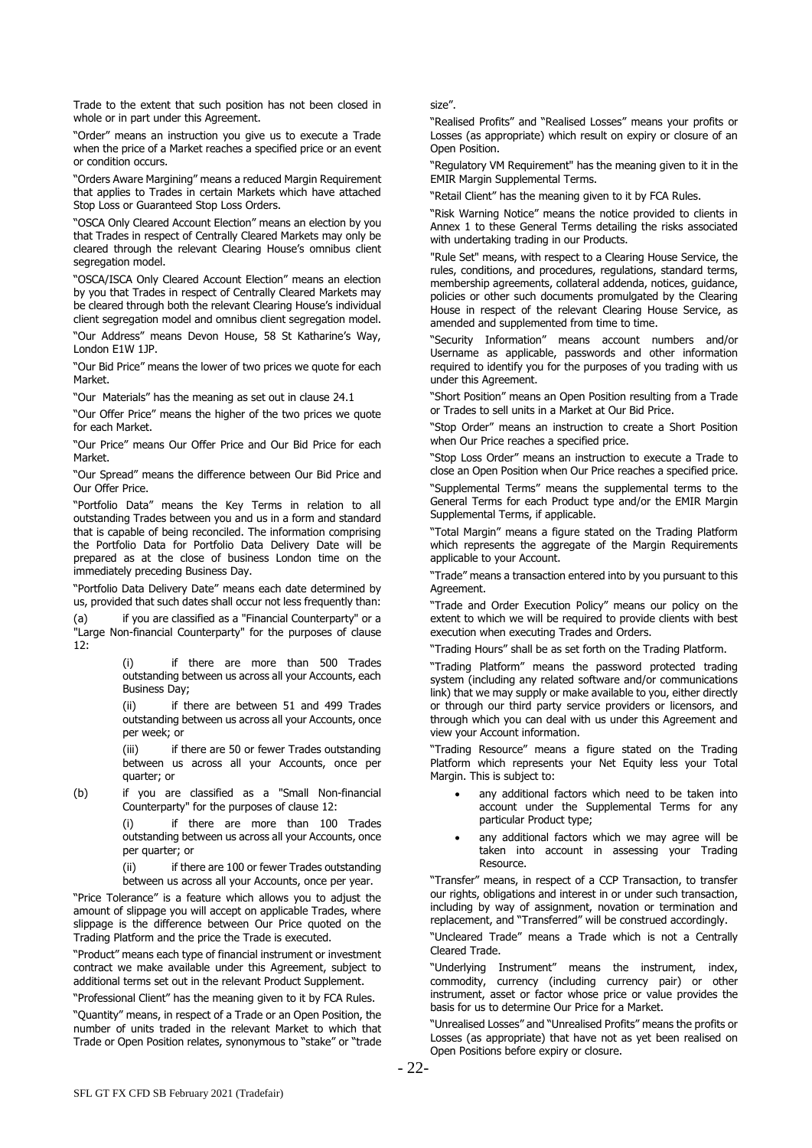Trade to the extent that such position has not been closed in whole or in part under this Agreement.

"Order" means an instruction you give us to execute a Trade when the price of a Market reaches a specified price or an event or condition occurs.

"Orders Aware Margining" means a reduced Margin Requirement that applies to Trades in certain Markets which have attached Stop Loss or Guaranteed Stop Loss Orders.

"OSCA Only Cleared Account Election" means an election by you that Trades in respect of Centrally Cleared Markets may only be cleared through the relevant Clearing House's omnibus client segregation model.

"OSCA/ISCA Only Cleared Account Election" means an election by you that Trades in respect of Centrally Cleared Markets may be cleared through both the relevant Clearing House's individual client segregation model and omnibus client segregation model.

"Our Address" means Devon House, 58 St Katharine's Way, London E1W 1JP.

"Our Bid Price" means the lower of two prices we quote for each Market.

"Our Materials" has the meaning as set out in clause [24.1](#page-13-2)

"Our Offer Price" means the higher of the two prices we quote for each Market.

"Our Price" means Our Offer Price and Our Bid Price for each Market.

"Our Spread" means the difference between Our Bid Price and Our Offer Price.

"Portfolio Data" means the Key Terms in relation to all outstanding Trades between you and us in a form and standard that is capable of being reconciled. The information comprising the Portfolio Data for Portfolio Data Delivery Date will be prepared as at the close of business London time on the immediately preceding Business Day.

"Portfolio Data Delivery Date" means each date determined by us, provided that such dates shall occur not less frequently than:

(a) if you are classified as a "Financial Counterparty" or a "Large Non-financial Counterparty" for the purposes of clause  $12.$ 

> (i) if there are more than 500 Trades outstanding between us across all your Accounts, each Business Day;

> (ii) if there are between 51 and 499 Trades outstanding between us across all your Accounts, once per week; or

> (iii) if there are 50 or fewer Trades outstanding between us across all your Accounts, once per quarter; or

(b) if you are classified as a "Small Non-financial Counterparty" for the purposes of clause [12:](#page-6-0)

> (i) if there are more than 100 Trades outstanding between us across all your Accounts, once per quarter; or

> (ii) if there are 100 or fewer Trades outstanding between us across all your Accounts, once per year.

"Price Tolerance" is a feature which allows you to adjust the amount of slippage you will accept on applicable Trades, where slippage is the difference between Our Price quoted on the Trading Platform and the price the Trade is executed.

"Product" means each type of financial instrument or investment contract we make available under this Agreement, subject to additional terms set out in the relevant Product Supplement.

"Professional Client" has the meaning given to it by FCA Rules.

"Quantity" means, in respect of a Trade or an Open Position, the number of units traded in the relevant Market to which that Trade or Open Position relates, synonymous to "stake" or "trade

size".

"Realised Profits" and "Realised Losses" means your profits or Losses (as appropriate) which result on expiry or closure of an Open Position.

"Regulatory VM Requirement" has the meaning given to it in the EMIR Margin Supplemental Terms.

"Retail Client" has the meaning given to it by FCA Rules.

"Risk Warning Notice" means the notice provided to clients in Annex 1 to these General Terms detailing the risks associated with undertaking trading in our Products.

"Rule Set" means, with respect to a Clearing House Service, the rules, conditions, and procedures, regulations, standard terms, membership agreements, collateral addenda, notices, guidance, policies or other such documents promulgated by the Clearing House in respect of the relevant Clearing House Service, as amended and supplemented from time to time.

"Security Information" means account numbers and/or Username as applicable, passwords and other information required to identify you for the purposes of you trading with us under this Agreement.

"Short Position" means an Open Position resulting from a Trade or Trades to sell units in a Market at Our Bid Price.

"Stop Order" means an instruction to create a Short Position when Our Price reaches a specified price.

"Stop Loss Order" means an instruction to execute a Trade to close an Open Position when Our Price reaches a specified price. "Supplemental Terms" means the supplemental terms to the General Terms for each Product type and/or the EMIR Margin Supplemental Terms, if applicable.

"Total Margin" means a figure stated on the Trading Platform which represents the aggregate of the Margin Requirements applicable to your Account.

"Trade" means a transaction entered into by you pursuant to this Agreement.

"Trade and Order Execution Policy" means our policy on the extent to which we will be required to provide clients with best execution when executing Trades and Orders.

"Trading Hours" shall be as set forth on the Trading Platform.

"Trading Platform" means the password protected trading system (including any related software and/or communications link) that we may supply or make available to you, either directly or through our third party service providers or licensors, and through which you can deal with us under this Agreement and view your Account information.

"Trading Resource" means a figure stated on the Trading Platform which represents your Net Equity less your Total Margin. This is subject to:

- any additional factors which need to be taken into account under the Supplemental Terms for any particular Product type;
- any additional factors which we may agree will be taken into account in assessing your Trading Resource.

"Transfer" means, in respect of a CCP Transaction, to transfer our rights, obligations and interest in or under such transaction, including by way of assignment, novation or termination and replacement, and "Transferred" will be construed accordingly.

"Uncleared Trade" means a Trade which is not a Centrally Cleared Trade.

"Underlying Instrument" means the instrument, index, commodity, currency (including currency pair) or other instrument, asset or factor whose price or value provides the basis for us to determine Our Price for a Market.

"Unrealised Losses" and "Unrealised Profits" means the profits or Losses (as appropriate) that have not as yet been realised on Open Positions before expiry or closure.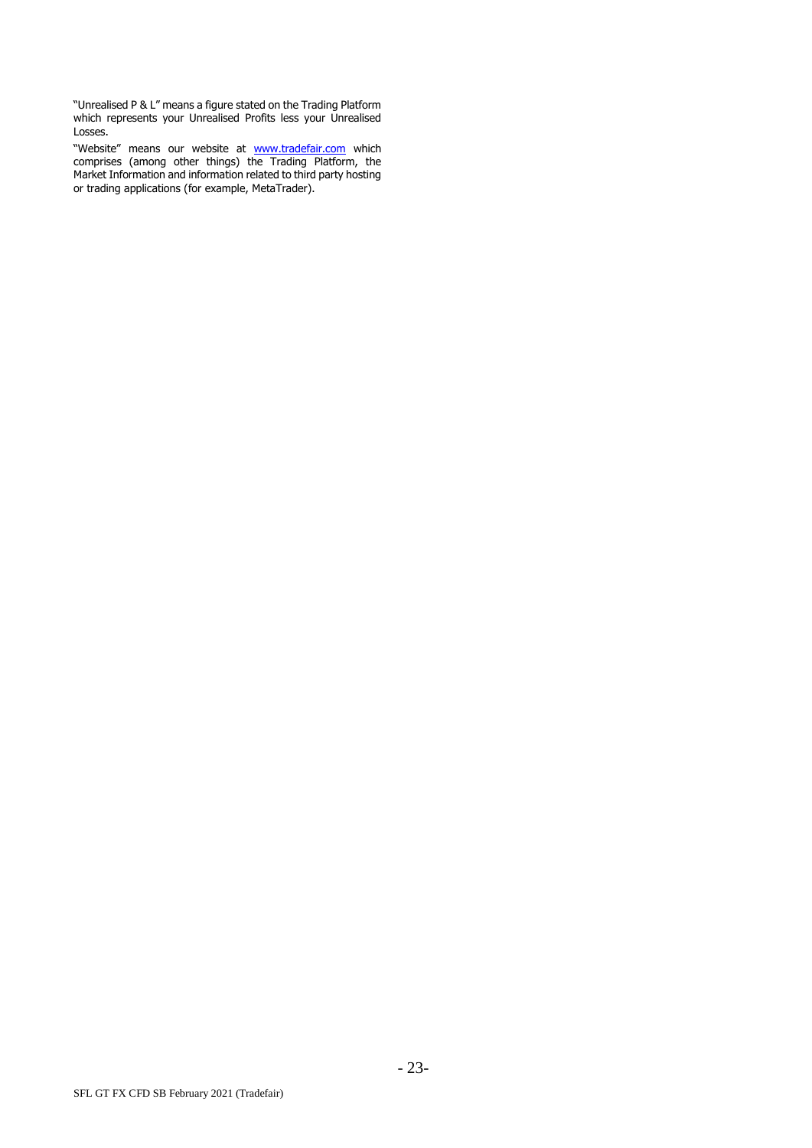"Unrealised P & L" means a figure stated on the Trading Platform which represents your Unrealised Profits less your Unrealised Losses.

"Website" means our website at <u>[www.tradefair.com](http://www.tradefair.com/)</u> which comprises (among other things) the Trading Platform, the Market Information and information related to third party hosting or trading applications (for example, MetaTrader).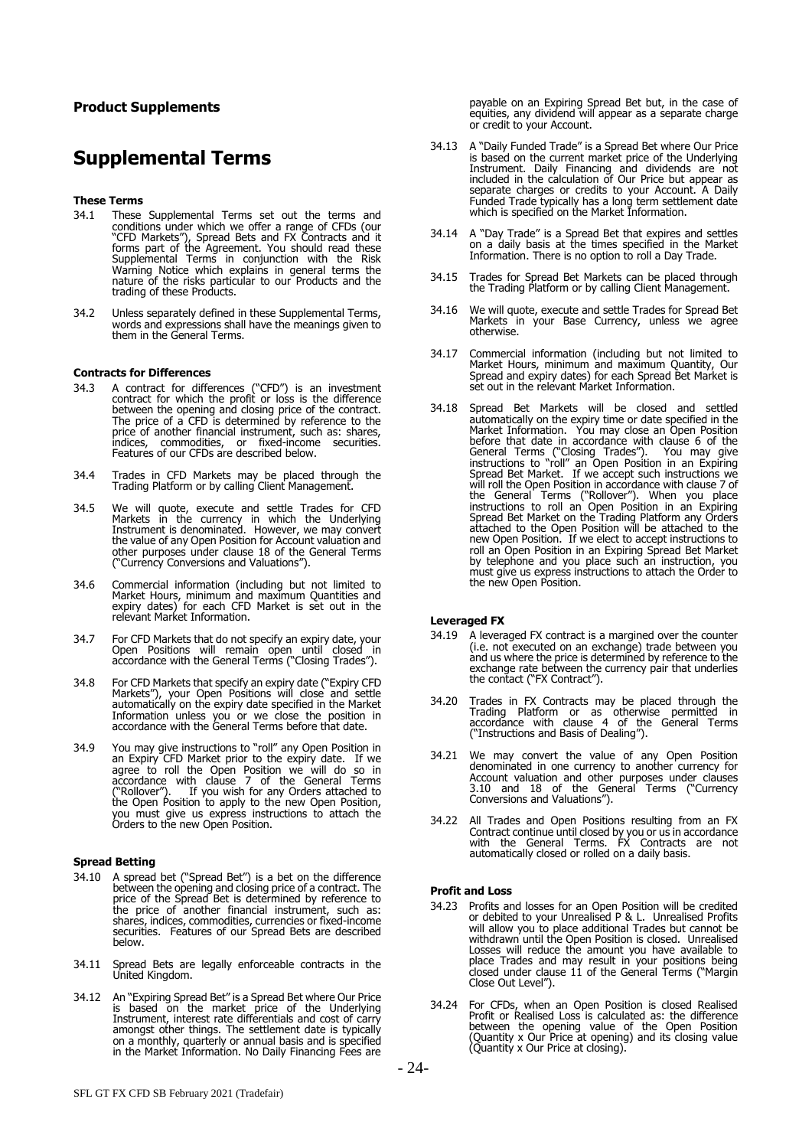# **Product Supplements**

# **Supplemental Terms**

#### **These Terms**

- 34.1 These Supplemental Terms set out the terms and conditions under which we offer a range of CFDs (our "CFD Markets"), Spread Bets and FX Contracts and it forms part of the Agreement. You should read these Supplemental Terms in conjunction with the Risk Warning Notice which explains in general terms the nature of the risks particular to our Products and the trading of these Products.
- 34.2 Unless separately defined in these Supplemental Terms, words and expressions shall have the meanings given to them in the General Terms.

#### **Contracts for Differences**

- 34.3 A contract for differences ("CFD") is an investment contract for which the profit or loss is the difference between the opening and closing price of the contract. The price of a CFD is determined by reference to the price of another financial instrument, such as: shares, indices, commodities, or fixed-income securities. Features of our CFDs are described below.
- 34.4 Trades in CFD Markets may be placed through the Trading Platform or by calling Client Management.
- 34.5 We will quote, execute and settle Trades for CFD Markets in the currency in which the Underlying Instrument is denominated. However, we may convert the value of any Open Position for Account valuation and other purposes under clause 18 of the General Terms ("Currency Conversions and Valuations").
- 34.6 Commercial information (including but not limited to Market Hours, minimum and maximum Quantities and expiry dates) for each CFD Market is set out in the relevant Market Information.
- 34.7 For CFD Markets that do not specify an expiry date, your Open Positions will remain open until closed in accordance with the General Terms ("Closing Trades").
- 34.8 For CFD Markets that specify an expiry date ("Expiry CFD Markets"), your Open Positions will close and settle automatically on the expiry date specified in the Market Information unless you or we close the position in accordance with the General Terms before that date.
- 34.9 You may give instructions to "roll" any Open Position in an Expiry CFD Market prior to the expiry date. If we agree to roll the Open Position we will do so in accordance with clause 7 of the General Terms ("Rollover"). If you wish for any Orders attached to the Open Position to apply to the new Open Position, you must give us express instructions to attach the Orders to the new Open Position.

# **Spread Betting**

- 34.10 A spread bet ("Spread Bet") is a bet on the difference between the opening and closing price of a contract. The price of the Spread Bet is determined by reference to the price of another financial instrument, such as: shares, indices, commodities, currencies or fixed-income securities. Features of our Spread Bets are described below.
- 34.11 Spread Bets are legally enforceable contracts in the United Kingdom.
- 34.12 An "Expiring Spread Bet" is a Spread Bet where Our Price is based on the market price of the Underlying Instrument, interest rate differentials and cost of carry amongst other things. The settlement date is typically on a monthly, quarterly or annual basis and is specified in the Market Information. No Daily Financing Fees are
- 34.13 A "Daily Funded Trade" is a Spread Bet where Our Price is based on the current market price of the Underlying Instrument. Daily Financing and dividends are not included in the calculation of Our Price but appear as separate charges or credits to your Account. A Daily Funded Trade typically has a long term settlement date which is specified on the Market Information.
- 34.14 A "Day Trade" is a Spread Bet that expires and settles on a daily basis at the times specified in the Market Information. There is no option to roll a Day Trade.
- 34.15 Trades for Spread Bet Markets can be placed through the Trading Platform or by calling Client Management.
- 34.16 We will quote, execute and settle Trades for Spread Bet Markets in your Base Currency, unless we agree otherwise.
- 34.17 Commercial information (including but not limited to Market Hours, minimum and maximum Quantity, Our Spread and expiry dates) for each Spread Bet Market is set out in the relevant Market Information.
- 34.18 Spread Bet Markets will be closed and settled automatically on the expiry time or date specified in the Market Information. You may close an Open Position before that date in accordance with clause 6 of the General Terms ("Closing Trades"). You may give instructions to "roll" an Open Position in an Expiring Spread Bet Market. If we accept such instructions we will roll the Open Position in accordance with clause 7 of the General Terms ("Rollover"). When you place instructions to roll an Open Position in an Expiring Spread Bet Market on the Trading Platform any Orders attached to the Open Position will be attached to the new Open Position. If we elect to accept instructions to roll an Open Position in an Expiring Spread Bet Market by telephone and you place such an instruction, you must give us express instructions to attach the Order to the new Open Position.

### **Leveraged FX**

- 34.19 A leveraged FX contract is a margined over the counter (i.e. not executed on an exchange) trade between you and us where the price is determined by reference to the exchange rate between the currency pair that underlies the contact ("FX Contract").
- 34.20 Trades in FX Contracts may be placed through the Trading Platform or as otherwise permitted in accordance with clause 4 of the General Terms ("Instructions and Basis of Dealing").
- 34.21 We may convert the value of any Open Position denominated in one currency to another currency for Account valuation and other purposes under clauses 3.10 and 18 of the General Terms ("Currency Conversions and Valuations").
- 34.22 All Trades and Open Positions resulting from an FX Contract continue until closed by you or us in accordance with the General Terms. FX Contracts are not automatically closed or rolled on a daily basis.

#### **Profit and Loss**

- 34.23 Profits and losses for an Open Position will be credited or debited to your Unrealised P & L. Unrealised Profits will allow you to place additional Trades but cannot be withdrawn until the Open Position is closed. Unrealised Losses will reduce the amount you have available to place Trades and may result in your positions being closed under clause 11 of the General Terms ("Margin Close Out Level").
- 34.24 For CFDs, when an Open Position is closed Realised Profit or Realised Loss is calculated as: the difference between the opening value of the Open Position (Quantity x Our Price at opening) and its closing value (Quantity x Our Price at closing).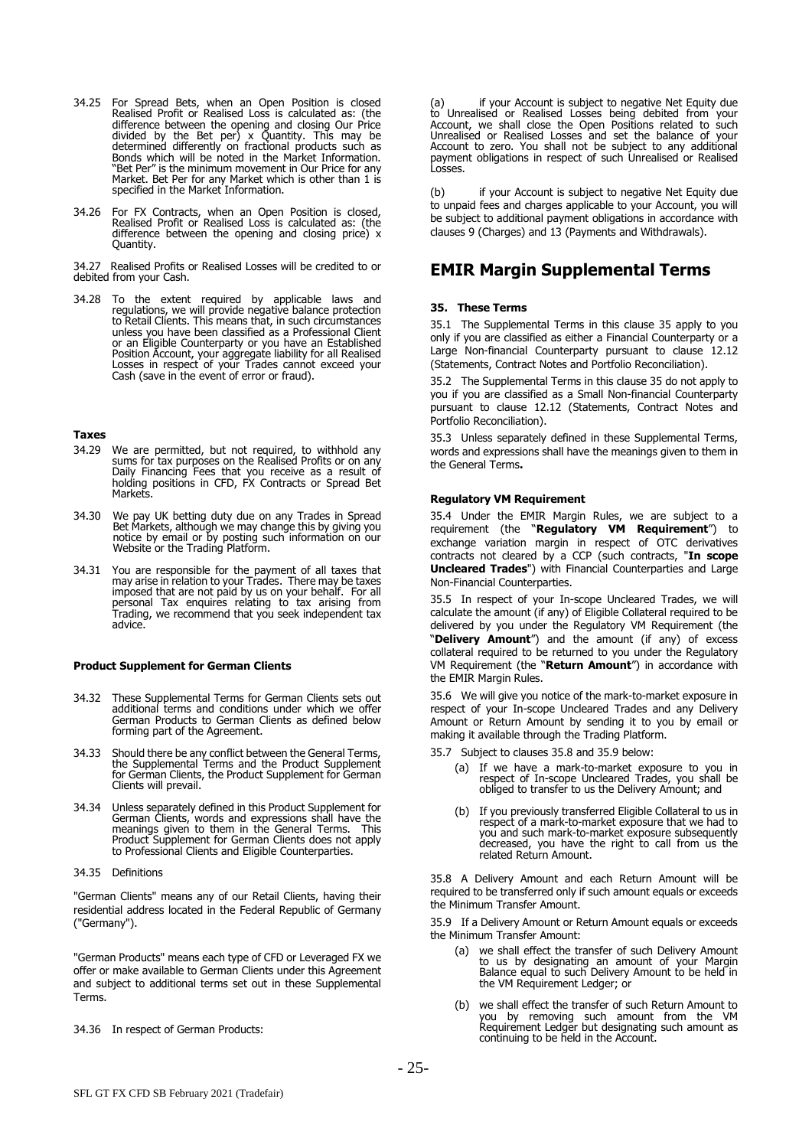- 34.25 For Spread Bets, when an Open Position is closed Realised Profit or Realised Loss is calculated as: (the difference between the opening and closing Our Price divided by the Bet per) x Quantity. This may be determined differently on fractional products such as Bonds which will be noted in the Market Information. "Bet Per" is the minimum movement in Our Price for any Market. Bet Per for any Market which is other than 1 is specified in the Market Information.
- 34.26 For FX Contracts, when an Open Position is closed, Realised Profit or Realised Loss is calculated as: (the difference between the opening and closing price) x Quantity.

34.27 Realised Profits or Realised Losses will be credited to or debited from your Cash.

34.28 To the extent required by applicable laws and regulations, we will provide negative balance protection to Retail Clients. This means that, in such circumstances unless you have been classified as a Professional Client or an Eligible Counterparty or you have an Established Position Account, your aggregate liability for all Realised Losses in respect of your Trades cannot exceed your Cash (save in the event of error or fraud).

#### **Taxes**

- 34.29 We are permitted, but not required, to withhold any sums for tax purposes on the Realised Profits or on any Daily Financing Fees that you receive as a result of holding positions in CFD, FX Contracts or Spread Bet **Markets**
- 34.30 We pay UK betting duty due on any Trades in Spread Bet Markets, although we may change this by giving you notice by email or by posting such information on our Website or the Trading Platform.
- 34.31 You are responsible for the payment of all taxes that may arise in relation to your Trades. There may be taxes imposed that are not paid by us on your behalf. For all personal Tax enquires relating to tax arising from Trading, we recommend that you seek independent tax advice.

#### **Product Supplement for German Clients**

- 34.32 These Supplemental Terms for German Clients sets out additional terms and conditions under which we offer German Products to German Clients as defined below forming part of the Agreement.
- 34.33 Should there be any conflict between the General Terms, the Supplemental Terms and the Product Supplement for German Clients, the Product Supplement for German Clients will prevail.
- 34.34 Unless separately defined in this Product Supplement for German Clients, words and expressions shall have the meanings given to them in the General Terms. This Product Supplement for German Clients does not apply to Professional Clients and Eligible Counterparties.

#### 34.35 Definitions

"German Clients" means any of our Retail Clients, having their residential address located in the Federal Republic of Germany ("Germany").

"German Products" means each type of CFD or Leveraged FX we offer or make available to German Clients under this Agreement and subject to additional terms set out in these Supplemental Terms.

34.36 In respect of German Products:

(a) if your Account is subject to negative Net Equity due to Unrealised or Realised Losses being debited from your Account, we shall close the Open Positions related to such Unrealised or Realised Losses and set the balance of your Account to zero. You shall not be subject to any additional payment obligations in respect of such Unrealised or Realised Losses.

(b) if your Account is subject to negative Net Equity due to unpaid fees and charges applicable to your Account, you will be subject to additional payment obligations in accordance with clauses 9 (Charges) and 13 (Payments and Withdrawals).

# **EMIR Margin Supplemental Terms**

## <span id="page-24-0"></span>**35. These Terms**

35.1 The Supplemental Terms in this clause [35](#page-24-0) apply to you only if you are classified as either a Financial Counterparty or a Large Non-financial Counterparty pursuant to clause [12.12](#page-7-3) (Statements, Contract Notes and Portfolio Reconciliation).

35.2 The Supplemental Terms in this clause [35](#page-24-0) do not apply to you if you are classified as a Small Non-financial Counterparty pursuant to clause [12.12](#page-7-3) (Statements, Contract Notes and Portfolio Reconciliation).

35.3 Unless separately defined in these Supplemental Terms, words and expressions shall have the meanings given to them in the General Terms**.**

#### **Regulatory VM Requirement**

35.4 Under the EMIR Margin Rules, we are subject to a requirement (the "**Regulatory VM Requirement**") to exchange variation margin in respect of OTC derivatives contracts not cleared by a CCP (such contracts, "**In scope Uncleared Trades**") with Financial Counterparties and Large Non-Financial Counterparties.

35.5 In respect of your In-scope Uncleared Trades, we will calculate the amount (if any) of Eligible Collateral required to be delivered by you under the Regulatory VM Requirement (the "**Delivery Amount**") and the amount (if any) of excess collateral required to be returned to you under the Regulatory VM Requirement (the "**Return Amount**") in accordance with the EMIR Margin Rules.

35.6 We will give you notice of the mark-to-market exposure in respect of your In-scope Uncleared Trades and any Delivery Amount or Return Amount by sending it to you by email or making it available through the Trading Platform.

- 35.7 Subject to clause[s 35.8](#page-24-1) and [35.9](#page-24-2) below:
	- (a) If we have a mark-to-market exposure to you in respect of In-scope Uncleared Trades, you shall be obliged to transfer to us the Delivery Amount; and
	- (b) If you previously transferred Eligible Collateral to us in respect of a mark-to-market exposure that we had to you and such mark-to-market exposure subsequently decreased, you have the right to call from us the related Return Amount.

<span id="page-24-1"></span>35.8 A Delivery Amount and each Return Amount will be required to be transferred only if such amount equals or exceeds the Minimum Transfer Amount.

<span id="page-24-2"></span>35.9 If a Delivery Amount or Return Amount equals or exceeds the Minimum Transfer Amount:

- (a) we shall effect the transfer of such Delivery Amount to us by designating an amount of your Margin Balance equal to such Delivery Amount to be held in the VM Requirement Ledger; or
- (b) we shall effect the transfer of such Return Amount to you by removing such amount from the VM Requirement Ledger but designating such amount as continuing to be held in the Account.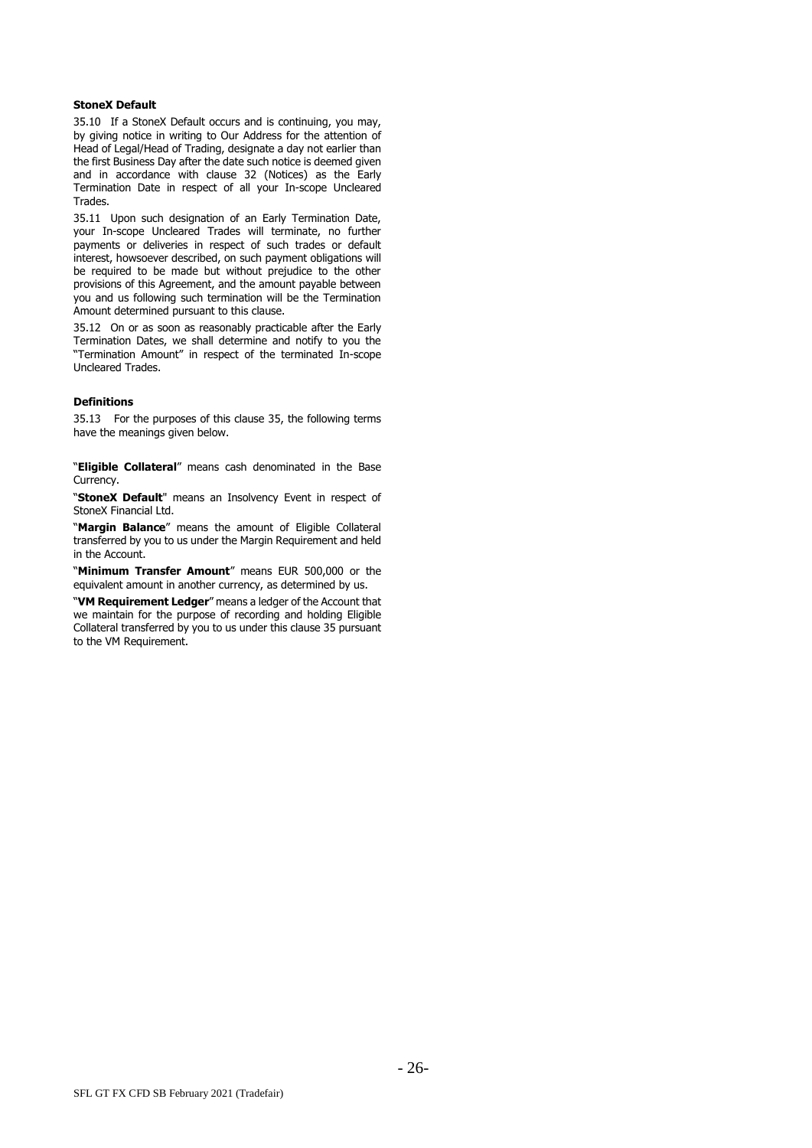#### **StoneX Default**

35.10 If a StoneX Default occurs and is continuing, you may, by giving notice in writing to Our Address for the attention of Head of Legal/Head of Trading, designate a day not earlier than the first Business Day after the date such notice is deemed given and in accordance with clause [32](#page-17-2) (Notices) as the Early Termination Date in respect of all your In-scope Uncleared Trades.

35.11 Upon such designation of an Early Termination Date, your In-scope Uncleared Trades will terminate, no further payments or deliveries in respect of such trades or default interest, howsoever described, on such payment obligations will be required to be made but without prejudice to the other provisions of this Agreement, and the amount payable between you and us following such termination will be the Termination Amount determined pursuant to this clause.

35.12 On or as soon as reasonably practicable after the Early Termination Dates, we shall determine and notify to you the "Termination Amount" in respect of the terminated In-scope Uncleared Trades.

#### **Definitions**

35.13 For the purposes of this clause [35,](#page-24-0) the following terms have the meanings given below.

"**Eligible Collateral**" means cash denominated in the Base Currency.

"**StoneX Default**" means an Insolvency Event in respect of StoneX Financial Ltd.

"**Margin Balance**" means the amount of Eligible Collateral transferred by you to us under the Margin Requirement and held in the Account.

"**Minimum Transfer Amount**" means EUR 500,000 or the equivalent amount in another currency, as determined by us.

"**VM Requirement Ledger**" means a ledger of the Account that we maintain for the purpose of recording and holding Eligible Collateral transferred by you to us under this claus[e 35](#page-24-0) pursuant to the VM Requirement.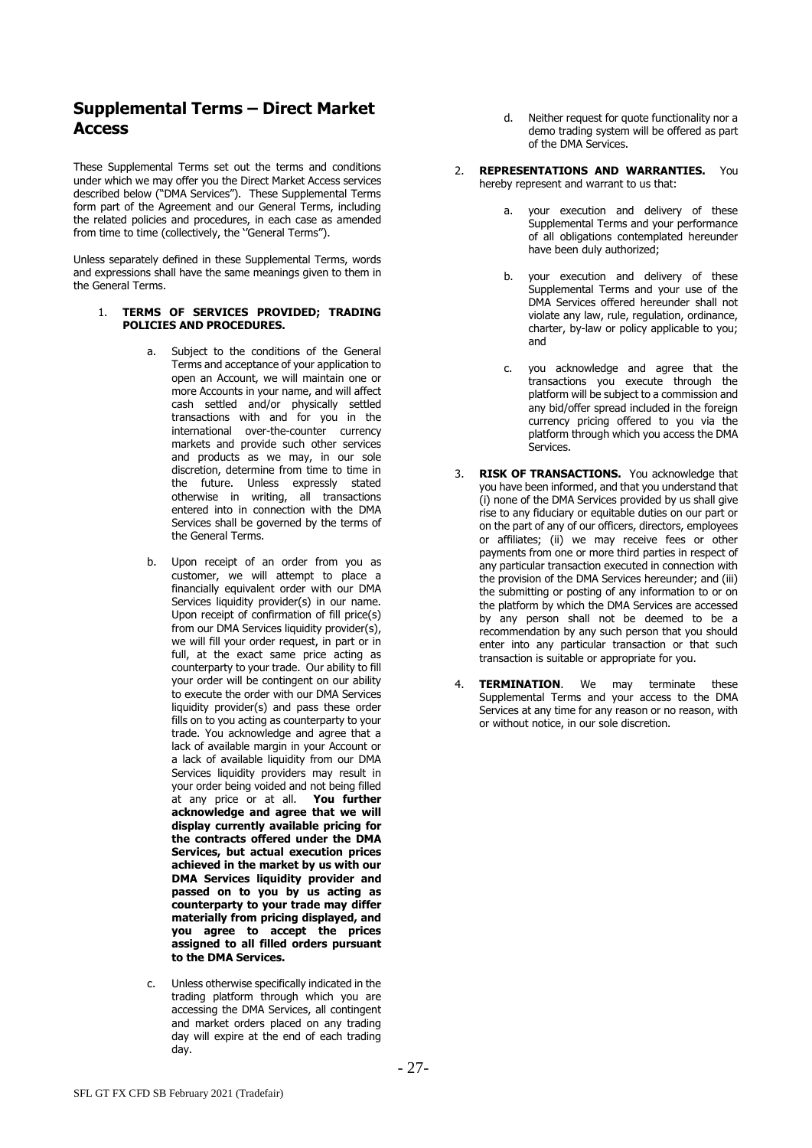# **Supplemental Terms – Direct Market Access**

These Supplemental Terms set out the terms and conditions under which we may offer you the Direct Market Access services described below ("DMA Services"). These Supplemental Terms form part of the Agreement and our General Terms, including the related policies and procedures, in each case as amended from time to time (collectively, the ''General Terms'').

Unless separately defined in these Supplemental Terms, words and expressions shall have the same meanings given to them in the General Terms.

# 1. **TERMS OF SERVICES PROVIDED; TRADING POLICIES AND PROCEDURES.**

- Subject to the conditions of the General Terms and acceptance of your application to open an Account, we will maintain one or more Accounts in your name, and will affect cash settled and/or physically settled transactions with and for you in the international over-the-counter currency markets and provide such other services and products as we may, in our sole discretion, determine from time to time in the future. Unless expressly stated otherwise in writing, all transactions entered into in connection with the DMA Services shall be governed by the terms of the General Terms.
- b. Upon receipt of an order from you as customer, we will attempt to place a financially equivalent order with our DMA Services liquidity provider(s) in our name. Upon receipt of confirmation of fill price(s) from our DMA Services liquidity provider(s), we will fill your order request, in part or in full, at the exact same price acting as counterparty to your trade. Our ability to fill your order will be contingent on our ability to execute the order with our DMA Services liquidity provider(s) and pass these order fills on to you acting as counterparty to your trade. You acknowledge and agree that a lack of available margin in your Account or a lack of available liquidity from our DMA Services liquidity providers may result in your order being voided and not being filled at any price or at all. **You further acknowledge and agree that we will display currently available pricing for the contracts offered under the DMA Services, but actual execution prices achieved in the market by us with our DMA Services liquidity provider and passed on to you by us acting as counterparty to your trade may differ materially from pricing displayed, and you agree to accept the prices assigned to all filled orders pursuant to the DMA Services.**
- c. Unless otherwise specifically indicated in the trading platform through which you are accessing the DMA Services, all contingent and market orders placed on any trading day will expire at the end of each trading day.
- d. Neither request for quote functionality nor a demo trading system will be offered as part of the DMA Services.
- 2. **REPRESENTATIONS AND WARRANTIES.** You hereby represent and warrant to us that:
	- your execution and delivery of these Supplemental Terms and your performance of all obligations contemplated hereunder have been duly authorized;
	- b. your execution and delivery of these Supplemental Terms and your use of the DMA Services offered hereunder shall not violate any law, rule, regulation, ordinance, charter, by-law or policy applicable to you; and
	- c. you acknowledge and agree that the transactions you execute through the platform will be subject to a commission and any bid/offer spread included in the foreign currency pricing offered to you via the platform through which you access the DMA **Services**
- 3. **RISK OF TRANSACTIONS.** You acknowledge that you have been informed, and that you understand that (i) none of the DMA Services provided by us shall give rise to any fiduciary or equitable duties on our part or on the part of any of our officers, directors, employees or affiliates; (ii) we may receive fees or other payments from one or more third parties in respect of any particular transaction executed in connection with the provision of the DMA Services hereunder; and (iii) the submitting or posting of any information to or on the platform by which the DMA Services are accessed by any person shall not be deemed to be a recommendation by any such person that you should enter into any particular transaction or that such transaction is suitable or appropriate for you.
- 4. **TERMINATION**. We may terminate these Supplemental Terms and your access to the DMA Services at any time for any reason or no reason, with or without notice, in our sole discretion.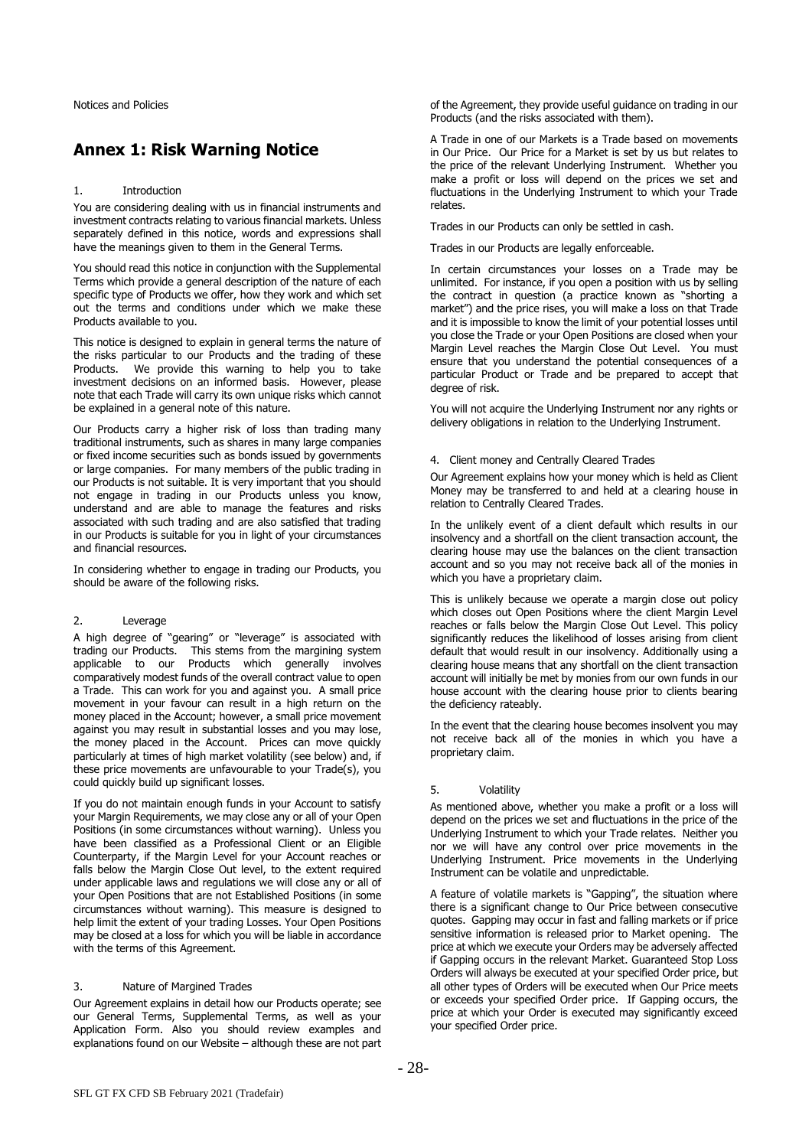# **Annex 1: Risk Warning Notice**

#### 1. Introduction

You are considering dealing with us in financial instruments and investment contracts relating to various financial markets. Unless separately defined in this notice, words and expressions shall have the meanings given to them in the General Terms.

You should read this notice in conjunction with the Supplemental Terms which provide a general description of the nature of each specific type of Products we offer, how they work and which set out the terms and conditions under which we make these Products available to you.

This notice is designed to explain in general terms the nature of the risks particular to our Products and the trading of these Products. We provide this warning to help you to take investment decisions on an informed basis. However, please note that each Trade will carry its own unique risks which cannot be explained in a general note of this nature.

Our Products carry a higher risk of loss than trading many traditional instruments, such as shares in many large companies or fixed income securities such as bonds issued by governments or large companies. For many members of the public trading in our Products is not suitable. It is very important that you should not engage in trading in our Products unless you know, understand and are able to manage the features and risks associated with such trading and are also satisfied that trading in our Products is suitable for you in light of your circumstances and financial resources.

In considering whether to engage in trading our Products, you should be aware of the following risks.

### 2. Leverage

A high degree of "gearing" or "leverage" is associated with trading our Products. This stems from the margining system applicable to our Products which generally involves comparatively modest funds of the overall contract value to open a Trade. This can work for you and against you. A small price movement in your favour can result in a high return on the money placed in the Account; however, a small price movement against you may result in substantial losses and you may lose, the money placed in the Account. Prices can move quickly particularly at times of high market volatility (see below) and, if these price movements are unfavourable to your Trade(s), you could quickly build up significant losses.

If you do not maintain enough funds in your Account to satisfy your Margin Requirements, we may close any or all of your Open Positions (in some circumstances without warning). Unless you have been classified as a Professional Client or an Eligible Counterparty, if the Margin Level for your Account reaches or falls below the Margin Close Out level, to the extent required under applicable laws and regulations we will close any or all of your Open Positions that are not Established Positions (in some circumstances without warning). This measure is designed to help limit the extent of your trading Losses. Your Open Positions may be closed at a loss for which you will be liable in accordance with the terms of this Agreement.

#### 3. Nature of Margined Trades

Our Agreement explains in detail how our Products operate; see our General Terms, Supplemental Terms, as well as your Application Form. Also you should review examples and explanations found on our Website – although these are not part of the Agreement, they provide useful guidance on trading in our Products (and the risks associated with them).

A Trade in one of our Markets is a Trade based on movements in Our Price. Our Price for a Market is set by us but relates to the price of the relevant Underlying Instrument. Whether you make a profit or loss will depend on the prices we set and fluctuations in the Underlying Instrument to which your Trade relates.

Trades in our Products can only be settled in cash.

Trades in our Products are legally enforceable.

In certain circumstances your losses on a Trade may be unlimited. For instance, if you open a position with us by selling the contract in question (a practice known as "shorting a market") and the price rises, you will make a loss on that Trade and it is impossible to know the limit of your potential losses until you close the Trade or your Open Positions are closed when your Margin Level reaches the Margin Close Out Level. You must ensure that you understand the potential consequences of a particular Product or Trade and be prepared to accept that degree of risk.

You will not acquire the Underlying Instrument nor any rights or delivery obligations in relation to the Underlying Instrument.

## 4. Client money and Centrally Cleared Trades

Our Agreement explains how your money which is held as Client Money may be transferred to and held at a clearing house in relation to Centrally Cleared Trades.

In the unlikely event of a client default which results in our insolvency and a shortfall on the client transaction account, the clearing house may use the balances on the client transaction account and so you may not receive back all of the monies in which you have a proprietary claim.

This is unlikely because we operate a margin close out policy which closes out Open Positions where the client Margin Level reaches or falls below the Margin Close Out Level. This policy significantly reduces the likelihood of losses arising from client default that would result in our insolvency. Additionally using a clearing house means that any shortfall on the client transaction account will initially be met by monies from our own funds in our house account with the clearing house prior to clients bearing the deficiency rateably.

In the event that the clearing house becomes insolvent you may not receive back all of the monies in which you have a proprietary claim.

#### 5. Volatility

As mentioned above, whether you make a profit or a loss will depend on the prices we set and fluctuations in the price of the Underlying Instrument to which your Trade relates. Neither you nor we will have any control over price movements in the Underlying Instrument. Price movements in the Underlying Instrument can be volatile and unpredictable.

A feature of volatile markets is "Gapping", the situation where there is a significant change to Our Price between consecutive quotes. Gapping may occur in fast and falling markets or if price sensitive information is released prior to Market opening. The price at which we execute your Orders may be adversely affected if Gapping occurs in the relevant Market. Guaranteed Stop Loss Orders will always be executed at your specified Order price, but all other types of Orders will be executed when Our Price meets or exceeds your specified Order price. If Gapping occurs, the price at which your Order is executed may significantly exceed your specified Order price.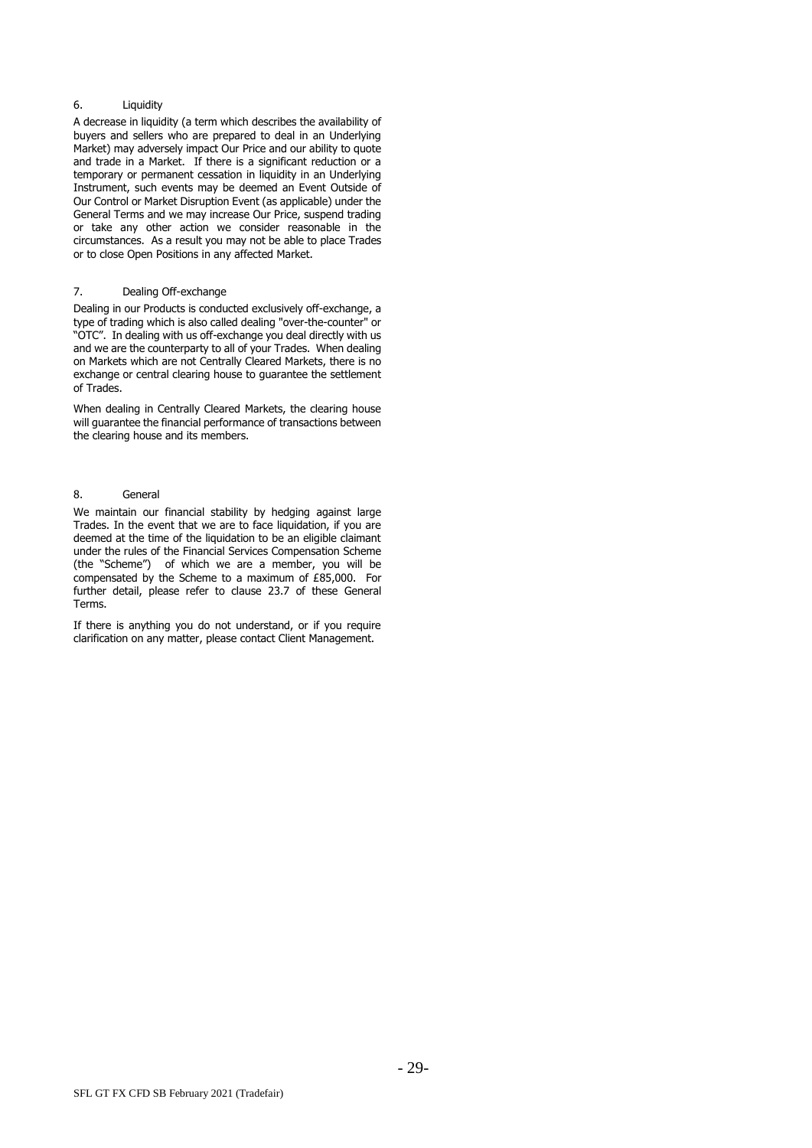#### 6. Liquidity

A decrease in liquidity (a term which describes the availability of buyers and sellers who are prepared to deal in an Underlying Market) may adversely impact Our Price and our ability to quote and trade in a Market. If there is a significant reduction or a temporary or permanent cessation in liquidity in an Underlying Instrument, such events may be deemed an Event Outside of Our Control or Market Disruption Event (as applicable) under the General Terms and we may increase Our Price, suspend trading or take any other action we consider reasonable in the circumstances. As a result you may not be able to place Trades or to close Open Positions in any affected Market.

## 7. Dealing Off-exchange

Dealing in our Products is conducted exclusively off-exchange, a type of trading which is also called dealing "over-the-counter" or "OTC". In dealing with us off-exchange you deal directly with us and we are the counterparty to all of your Trades. When dealing on Markets which are not Centrally Cleared Markets, there is no exchange or central clearing house to guarantee the settlement of Trades.

When dealing in Centrally Cleared Markets, the clearing house will guarantee the financial performance of transactions between the clearing house and its members.

## 8. General

We maintain our financial stability by hedging against large Trades. In the event that we are to face liquidation, if you are deemed at the time of the liquidation to be an eligible claimant under the rules of the Financial Services Compensation Scheme (the "Scheme") of which we are a member, you will be compensated by the Scheme to a maximum of £85,000. For further detail, please refer to clause [23.7](#page-13-3) of these General Terms.

If there is anything you do not understand, or if you require clarification on any matter, please contact Client Management.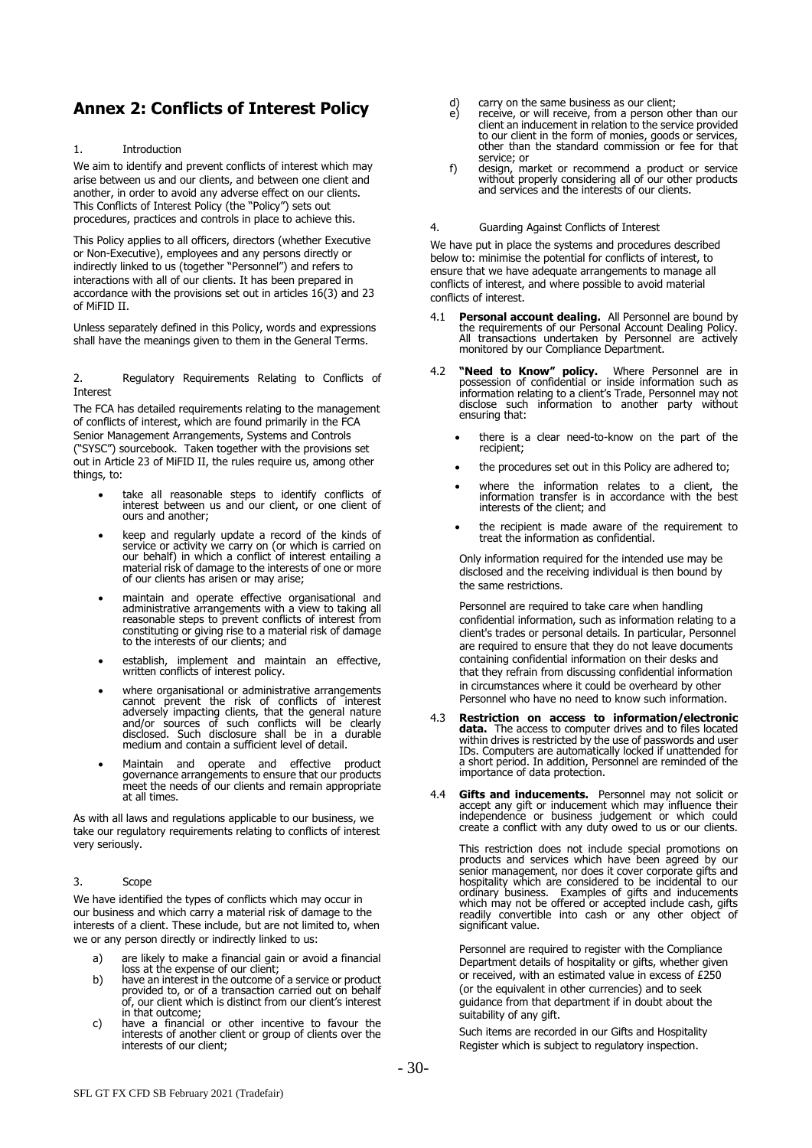# **Annex 2: Conflicts of Interest Policy**

#### 1. Introduction

We aim to identify and prevent conflicts of interest which may arise between us and our clients, and between one client and another, in order to avoid any adverse effect on our clients. This Conflicts of Interest Policy (the "Policy") sets out procedures, practices and controls in place to achieve this.

This Policy applies to all officers, directors (whether Executive or Non-Executive), employees and any persons directly or indirectly linked to us (together "Personnel") and refers to interactions with all of our clients. It has been prepared in accordance with the provisions set out in articles 16(3) and 23 of MiFID II.

Unless separately defined in this Policy, words and expressions shall have the meanings given to them in the General Terms.

2. Regulatory Requirements Relating to Conflicts of Interest

The FCA has detailed requirements relating to the management of conflicts of interest, which are found primarily in the FCA Senior Management Arrangements, Systems and Controls ("SYSC") sourcebook. Taken together with the provisions set out in Article 23 of MiFID II, the rules require us, among other things, to:

- take all reasonable steps to identify conflicts of interest between us and our client, or one client of ours and another;
- keep and regularly update a record of the kinds of service or activity we carry on (or which is carried on our behalf) in which a conflict of interest entailing a material risk of damage to the interests of one or more of our clients has arisen or may arise;
- maintain and operate effective organisational and administrative arrangements with a view to taking all reasonable steps to prevent conflicts of interest from constituting or giving rise to a material risk of damage to the interests of our clients; and
- establish, implement and maintain an effective, written conflicts of interest policy.
- where organisational or administrative arrangements cannot prevent the risk of conflicts of interest adversely impacting clients, that the general nature and/or sources of such conflicts will be clearly disclosed. Such disclosure shall be in a durable medium and contain a sufficient level of detail.
- Maintain and operate and effective product governance arrangements to ensure that our products meet the needs of our clients and remain appropriate at all times.

As with all laws and regulations applicable to our business, we take our regulatory requirements relating to conflicts of interest very seriously.

# 3. Scope

We have identified the types of conflicts which may occur in our business and which carry a material risk of damage to the interests of a client. These include, but are not limited to, when we or any person directly or indirectly linked to us:

- a) are likely to make a financial gain or avoid a financial
- loss at the expense of our client; b) have an interest in the outcome of a service or product provided to, or of a transaction carried out on behalf of, our client which is distinct from our client's interest in that outcome;
- c) have a financial or other incentive to favour the interests of another client or group of clients over the interests of our client;
- d) carry on the same business as our client;<br>e) receive, or will receive, from a person of
- receive, or will receive, from a person other than our client an inducement in relation to the service provided to our client in the form of monies, goods or services, other than the standard commission or fee for that service; or
- f) design, market or recommend a product or service without properly considering all of our other products and services and the interests of our clients.

4. Guarding Against Conflicts of Interest

We have put in place the systems and procedures described below to: minimise the potential for conflicts of interest, to ensure that we have adequate arrangements to manage all conflicts of interest, and where possible to avoid material conflicts of interest.

- 4.1 **Personal account dealing.** All Personnel are bound by the requirements of our Personal Account Dealing Policy. All transactions undertaken by Personnel are actively monitored by our Compliance Department.
- 4.2 **"Need to Know" policy.** Where Personnel are in possession of confidential or inside information such as information relating to a client's Trade, Personnel may not disclose such information to another party without ensuring that:
	- there is a clear need-to-know on the part of the recipient;
	- the procedures set out in this Policy are adhered to;
	- where the information relates to a client, the information transfer is in accordance with the best interests of the client; and
	- the recipient is made aware of the requirement to treat the information as confidential.

Only information required for the intended use may be disclosed and the receiving individual is then bound by the same restrictions.

Personnel are required to take care when handling confidential information, such as information relating to a client's trades or personal details. In particular, Personnel are required to ensure that they do not leave documents containing confidential information on their desks and that they refrain from discussing confidential information in circumstances where it could be overheard by other Personnel who have no need to know such information.

- 4.3 **Restriction on access to information/electronic data.** The access to computer drives and to files located within drives is restricted by the use of passwords and user IDs. Computers are automatically locked if unattended for a short period. In addition, Personnel are reminded of the importance of data protection.
- 4.4 **Gifts and inducements.** Personnel may not solicit or accept any gift or inducement which may influence their independence or business judgement or which could create a conflict with any duty owed to us or our clients.

This restriction does not include special promotions on products and services which have been agreed by our senior management, nor does it cover corporate gifts and hospitality which are considered to be incidental to our ordinary business. Examples of gifts and inducements which may not be offered or accepted include cash, gifts readily convertible into cash or any other object of significant value.

Personnel are required to register with the Compliance Department details of hospitality or gifts, whether given or received, with an estimated value in excess of £250 (or the equivalent in other currencies) and to seek guidance from that department if in doubt about the suitability of any gift.

Such items are recorded in our Gifts and Hospitality Register which is subject to regulatory inspection.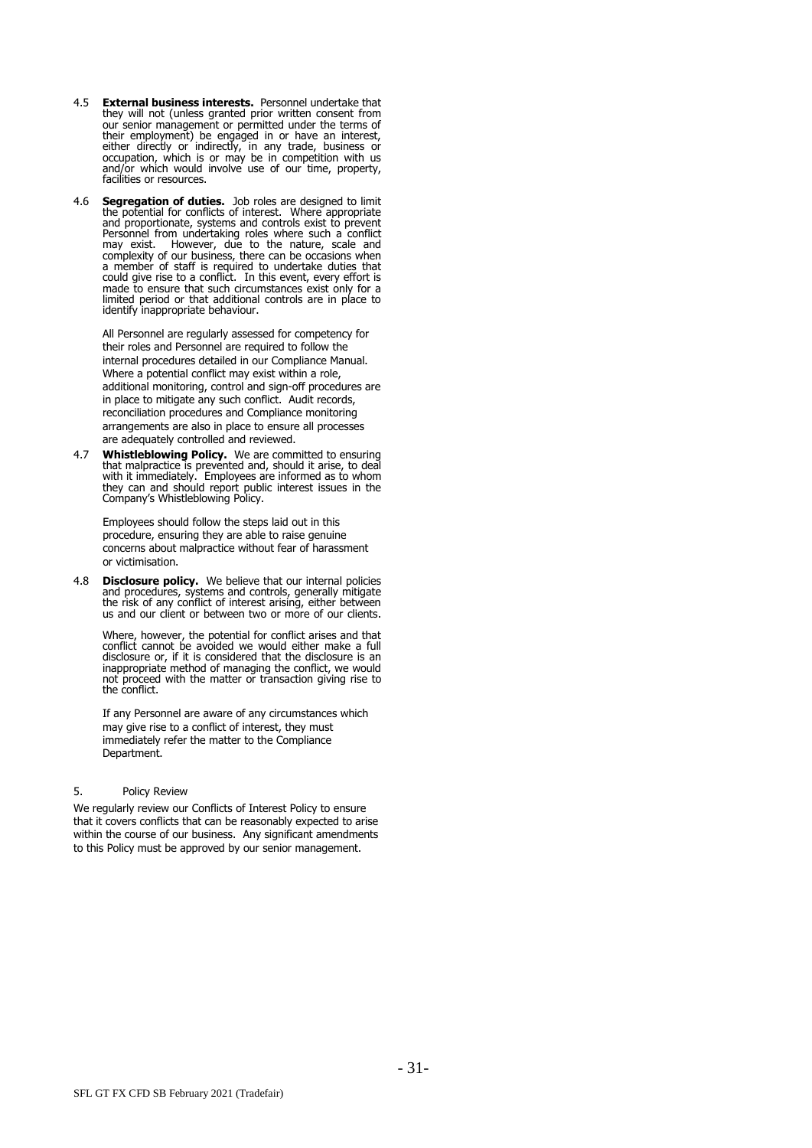- 4.5 **External business interests.** Personnel undertake that they will not (unless granted prior written consent from our senior management or permitted under the terms of their employment) be engaged in or have an interest, either directly or indirectly, in any trade, business or occupation, which is or may be in competition with us and/or which would involve use of our time, property, facilities or resources.
- 4.6 **Segregation of duties.** Job roles are designed to limit the potential for conflicts of interest. Where appropriate and proportionate, systems and controls exist to prevent Personnel from undertaking roles where such a conflict may exist. However, due to the nature, scale and complexity of our business, there can be occasions when a member of staff is required to undertake duties that could give rise to a conflict. In this event, every effort is made to ensure that such circumstances exist only for a limited period or that additional controls are in place to identify inappropriate behaviour.

All Personnel are regularly assessed for competency for their roles and Personnel are required to follow the internal procedures detailed in our Compliance Manual. Where a potential conflict may exist within a role, additional monitoring, control and sign-off procedures are in place to mitigate any such conflict. Audit records, reconciliation procedures and Compliance monitoring arrangements are also in place to ensure all processes are adequately controlled and reviewed.

4.7 **Whistleblowing Policy.** We are committed to ensuring that malpractice is prevented and, should it arise, to deal with it immediately. Employees are informed as to whom they can and should report public interest issues in the Company's Whistleblowing Policy.

Employees should follow the steps laid out in this procedure, ensuring they are able to raise genuine concerns about malpractice without fear of harassment or victimisation.

4.8 **Disclosure policy.** We believe that our internal policies and procedures, systems and controls, generally mitigate the risk of any conflict of interest arising, either between us and our client or between two or more of our clients.

Where, however, the potential for conflict arises and that conflict cannot be avoided we would either make a full disclosure or, if it is considered that the disclosure is an inappropriate method of managing the conflict, we would not proceed with the matter or transaction giving rise to the conflict.

If any Personnel are aware of any circumstances which may give rise to a conflict of interest, they must immediately refer the matter to the Compliance Department.

#### 5. Policy Review

We regularly review our Conflicts of Interest Policy to ensure that it covers conflicts that can be reasonably expected to arise within the course of our business. Any significant amendments to this Policy must be approved by our senior management.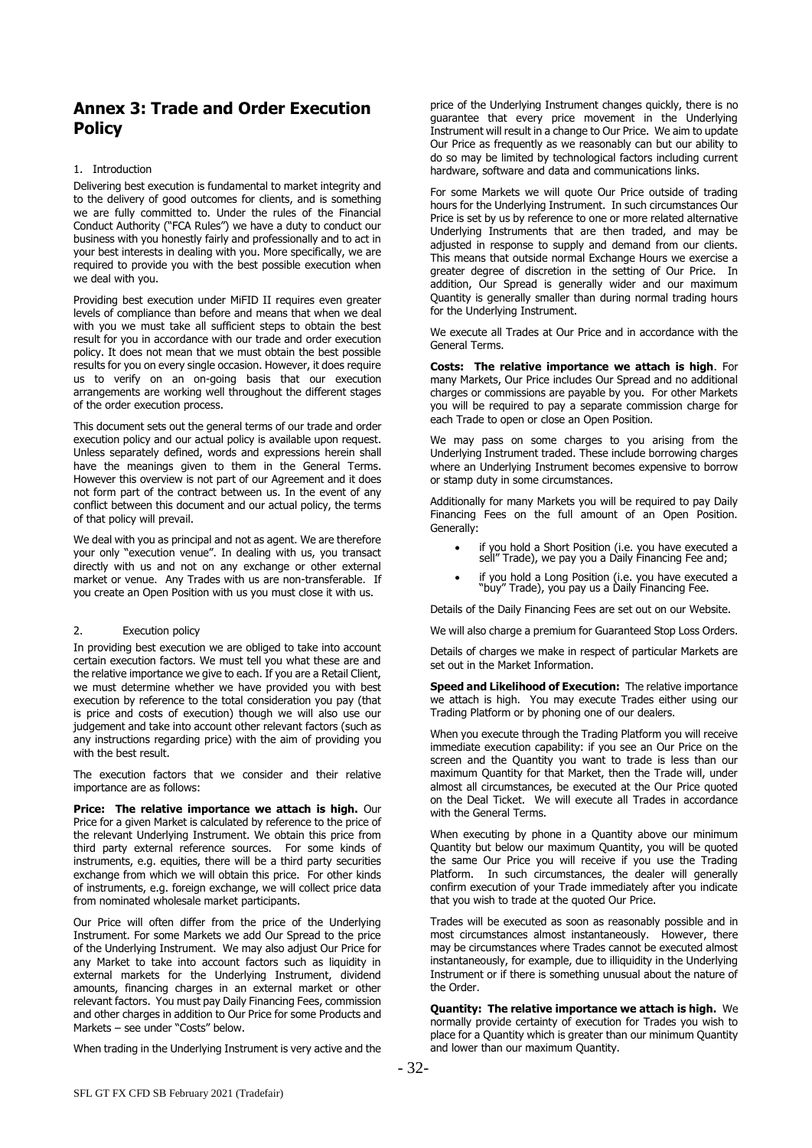# **Annex 3: Trade and Order Execution Policy**

## 1. Introduction

Delivering best execution is fundamental to market integrity and to the delivery of good outcomes for clients, and is something we are fully committed to. Under the rules of the Financial Conduct Authority ("FCA Rules") we have a duty to conduct our business with you honestly fairly and professionally and to act in your best interests in dealing with you. More specifically, we are required to provide you with the best possible execution when we deal with you.

Providing best execution under MiFID II requires even greater levels of compliance than before and means that when we deal with you we must take all sufficient steps to obtain the best result for you in accordance with our trade and order execution policy. It does not mean that we must obtain the best possible results for you on every single occasion. However, it does require us to verify on an on-going basis that our execution arrangements are working well throughout the different stages of the order execution process.

This document sets out the general terms of our trade and order execution policy and our actual policy is available upon request. Unless separately defined, words and expressions herein shall have the meanings given to them in the General Terms. However this overview is not part of our Agreement and it does not form part of the contract between us. In the event of any conflict between this document and our actual policy, the terms of that policy will prevail.

We deal with you as principal and not as agent. We are therefore your only "execution venue". In dealing with us, you transact directly with us and not on any exchange or other external market or venue. Any Trades with us are non-transferable. If you create an Open Position with us you must close it with us.

#### 2. Execution policy

In providing best execution we are obliged to take into account certain execution factors. We must tell you what these are and the relative importance we give to each. If you are a Retail Client, we must determine whether we have provided you with best execution by reference to the total consideration you pay (that is price and costs of execution) though we will also use our judgement and take into account other relevant factors (such as any instructions regarding price) with the aim of providing you with the best result.

The execution factors that we consider and their relative importance are as follows:

**Price: The relative importance we attach is high.** Our Price for a given Market is calculated by reference to the price of the relevant Underlying Instrument. We obtain this price from third party external reference sources. For some kinds of instruments, e.g. equities, there will be a third party securities exchange from which we will obtain this price. For other kinds of instruments, e.g. foreign exchange, we will collect price data from nominated wholesale market participants.

Our Price will often differ from the price of the Underlying Instrument. For some Markets we add Our Spread to the price of the Underlying Instrument. We may also adjust Our Price for any Market to take into account factors such as liquidity in external markets for the Underlying Instrument, dividend amounts, financing charges in an external market or other relevant factors. You must pay Daily Financing Fees, commission and other charges in addition to Our Price for some Products and Markets – see under "Costs" below.

When trading in the Underlying Instrument is very active and the

price of the Underlying Instrument changes quickly, there is no guarantee that every price movement in the Underlying Instrument will result in a change to Our Price. We aim to update Our Price as frequently as we reasonably can but our ability to do so may be limited by technological factors including current hardware, software and data and communications links.

For some Markets we will quote Our Price outside of trading hours for the Underlying Instrument. In such circumstances Our Price is set by us by reference to one or more related alternative Underlying Instruments that are then traded, and may be adjusted in response to supply and demand from our clients. This means that outside normal Exchange Hours we exercise a greater degree of discretion in the setting of Our Price. In addition, Our Spread is generally wider and our maximum Quantity is generally smaller than during normal trading hours for the Underlying Instrument.

We execute all Trades at Our Price and in accordance with the General Terms.

**Costs: The relative importance we attach is high**. For many Markets, Our Price includes Our Spread and no additional charges or commissions are payable by you. For other Markets you will be required to pay a separate commission charge for each Trade to open or close an Open Position.

We may pass on some charges to you arising from the Underlying Instrument traded. These include borrowing charges where an Underlying Instrument becomes expensive to borrow or stamp duty in some circumstances.

Additionally for many Markets you will be required to pay Daily Financing Fees on the full amount of an Open Position. Generally:

- if you hold a Short Position (i.e. you have executed a sell" Trade), we pay you a Daily Financing Fee and;
- if you hold a Long Position (i.e. you have executed a "buy" Trade), you pay us a Daily Financing Fee.

Details of the Daily Financing Fees are set out on our Website.

We will also charge a premium for Guaranteed Stop Loss Orders.

Details of charges we make in respect of particular Markets are set out in the Market Information.

**Speed and Likelihood of Execution:** The relative importance we attach is high. You may execute Trades either using our Trading Platform or by phoning one of our dealers.

When you execute through the Trading Platform you will receive immediate execution capability: if you see an Our Price on the screen and the Quantity you want to trade is less than our maximum Quantity for that Market, then the Trade will, under almost all circumstances, be executed at the Our Price quoted on the Deal Ticket. We will execute all Trades in accordance with the General Terms.

When executing by phone in a Quantity above our minimum Quantity but below our maximum Quantity, you will be quoted the same Our Price you will receive if you use the Trading Platform. In such circumstances, the dealer will generally confirm execution of your Trade immediately after you indicate that you wish to trade at the quoted Our Price.

Trades will be executed as soon as reasonably possible and in most circumstances almost instantaneously. However, there may be circumstances where Trades cannot be executed almost instantaneously, for example, due to illiquidity in the Underlying Instrument or if there is something unusual about the nature of the Order.

**Quantity: The relative importance we attach is high.** We normally provide certainty of execution for Trades you wish to place for a Quantity which is greater than our minimum Quantity and lower than our maximum Quantity.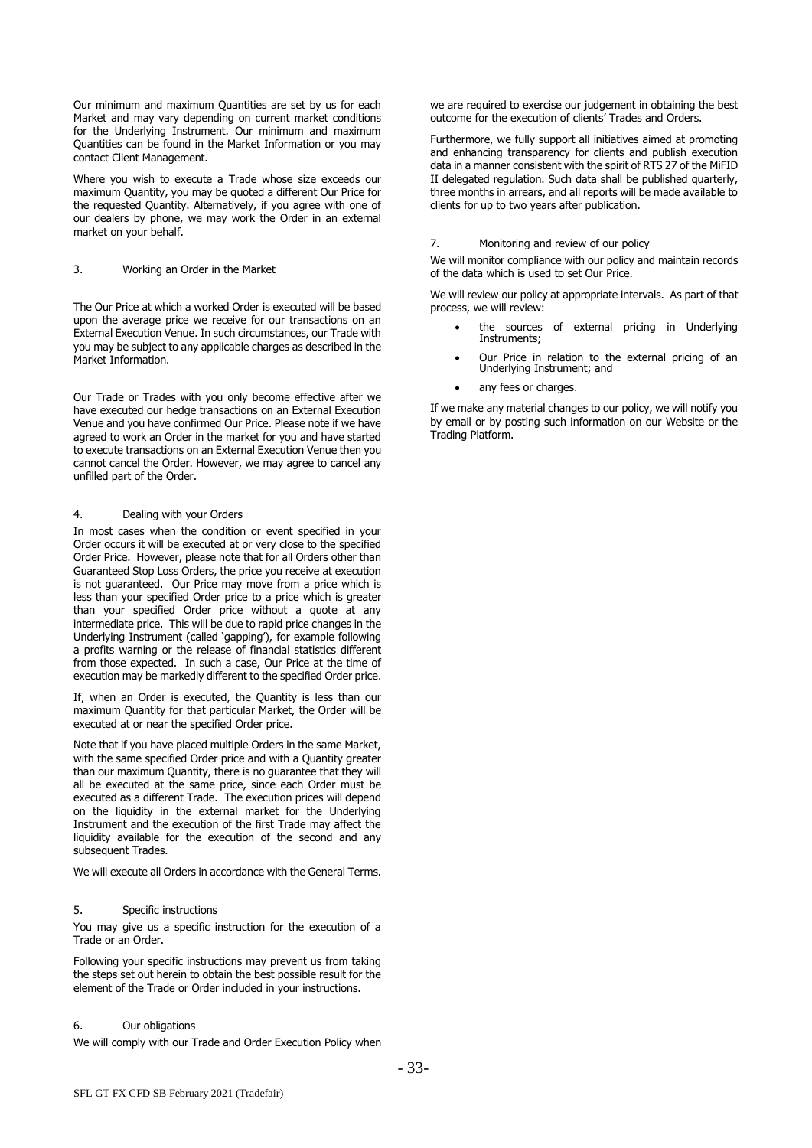Our minimum and maximum Quantities are set by us for each Market and may vary depending on current market conditions for the Underlying Instrument. Our minimum and maximum Quantities can be found in the Market Information or you may contact Client Management.

Where you wish to execute a Trade whose size exceeds our maximum Quantity, you may be quoted a different Our Price for the requested Quantity. Alternatively, if you agree with one of our dealers by phone, we may work the Order in an external market on your behalf.

#### 3. Working an Order in the Market

The Our Price at which a worked Order is executed will be based upon the average price we receive for our transactions on an External Execution Venue. In such circumstances, our Trade with you may be subject to any applicable charges as described in the Market Information.

Our Trade or Trades with you only become effective after we have executed our hedge transactions on an External Execution Venue and you have confirmed Our Price. Please note if we have agreed to work an Order in the market for you and have started to execute transactions on an External Execution Venue then you cannot cancel the Order. However, we may agree to cancel any unfilled part of the Order.

## 4. Dealing with your Orders

In most cases when the condition or event specified in your Order occurs it will be executed at or very close to the specified Order Price. However, please note that for all Orders other than Guaranteed Stop Loss Orders, the price you receive at execution is not guaranteed. Our Price may move from a price which is less than your specified Order price to a price which is greater than your specified Order price without a quote at any intermediate price. This will be due to rapid price changes in the Underlying Instrument (called 'gapping'), for example following a profits warning or the release of financial statistics different from those expected. In such a case, Our Price at the time of execution may be markedly different to the specified Order price.

If, when an Order is executed, the Quantity is less than our maximum Quantity for that particular Market, the Order will be executed at or near the specified Order price.

Note that if you have placed multiple Orders in the same Market, with the same specified Order price and with a Quantity greater than our maximum Quantity, there is no guarantee that they will all be executed at the same price, since each Order must be executed as a different Trade. The execution prices will depend on the liquidity in the external market for the Underlying Instrument and the execution of the first Trade may affect the liquidity available for the execution of the second and any subsequent Trades.

We will execute all Orders in accordance with the General Terms.

#### 5. Specific instructions

You may give us a specific instruction for the execution of a Trade or an Order.

Following your specific instructions may prevent us from taking the steps set out herein to obtain the best possible result for the element of the Trade or Order included in your instructions.

#### 6. Our obligations

We will comply with our Trade and Order Execution Policy when

we are required to exercise our judgement in obtaining the best outcome for the execution of clients' Trades and Orders.

Furthermore, we fully support all initiatives aimed at promoting and enhancing transparency for clients and publish execution data in a manner consistent with the spirit of RTS 27 of the MiFID II delegated regulation. Such data shall be published quarterly, three months in arrears, and all reports will be made available to clients for up to two years after publication.

#### 7. Monitoring and review of our policy

We will monitor compliance with our policy and maintain records of the data which is used to set Our Price.

We will review our policy at appropriate intervals. As part of that process, we will review:

- the sources of external pricing in Underlying Instruments;
- Our Price in relation to the external pricing of an Underlying Instrument; and
- any fees or charges.

If we make any material changes to our policy, we will notify you by email or by posting such information on our Website or the Trading Platform.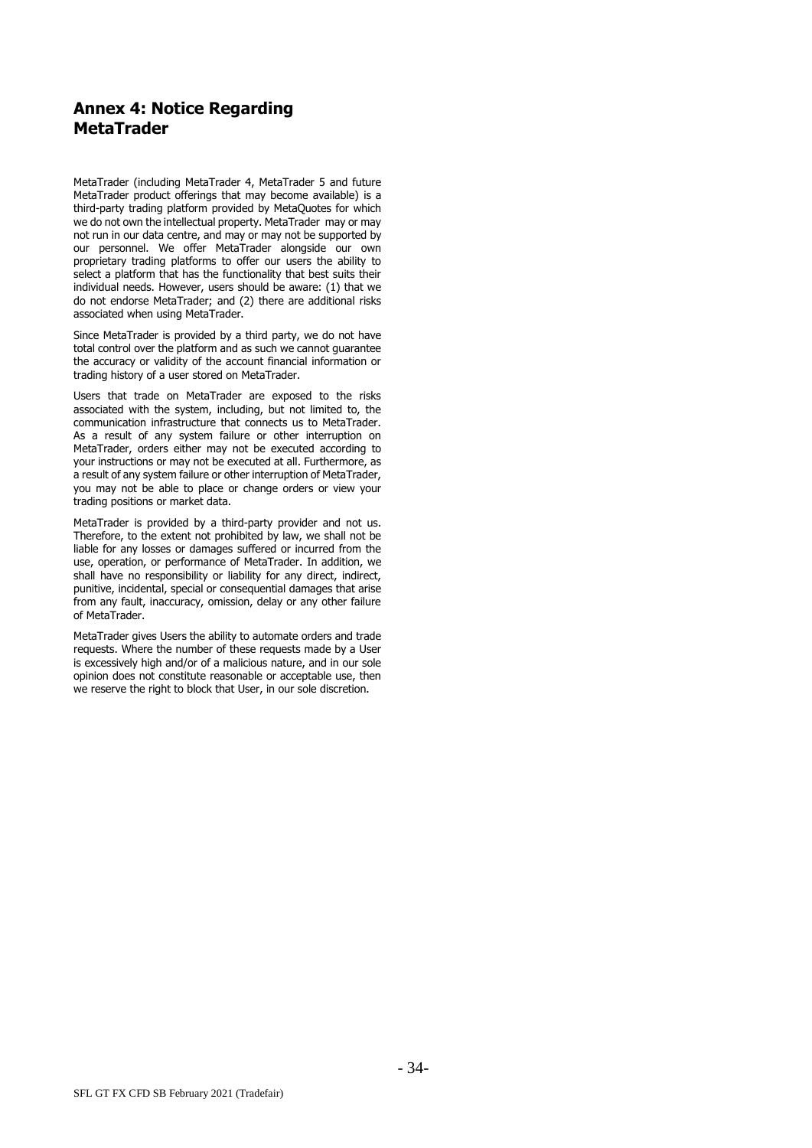# **Annex 4: Notice Regarding MetaTrader**

MetaTrader (including MetaTrader 4, MetaTrader 5 and future MetaTrader product offerings that may become available) is a third-party trading platform provided by MetaQuotes for which we do not own the intellectual property. MetaTrader may or may not run in our data centre, and may or may not be supported by our personnel. We offer MetaTrader alongside our own proprietary trading platforms to offer our users the ability to select a platform that has the functionality that best suits their individual needs. However, users should be aware: (1) that we do not endorse MetaTrader; and (2) there are additional risks associated when using MetaTrader.

Since MetaTrader is provided by a third party, we do not have total control over the platform and as such we cannot guarantee the accuracy or validity of the account financial information or trading history of a user stored on MetaTrader.

Users that trade on MetaTrader are exposed to the risks associated with the system, including, but not limited to, the communication infrastructure that connects us to MetaTrader. As a result of any system failure or other interruption on MetaTrader, orders either may not be executed according to your instructions or may not be executed at all. Furthermore, as a result of any system failure or other interruption of MetaTrader, you may not be able to place or change orders or view your trading positions or market data.

MetaTrader is provided by a third-party provider and not us. Therefore, to the extent not prohibited by law, we shall not be liable for any losses or damages suffered or incurred from the use, operation, or performance of MetaTrader. In addition, we shall have no responsibility or liability for any direct, indirect, punitive, incidental, special or consequential damages that arise from any fault, inaccuracy, omission, delay or any other failure of MetaTrader.

MetaTrader gives Users the ability to automate orders and trade requests. Where the number of these requests made by a User is excessively high and/or of a malicious nature, and in our sole opinion does not constitute reasonable or acceptable use, then we reserve the right to block that User, in our sole discretion.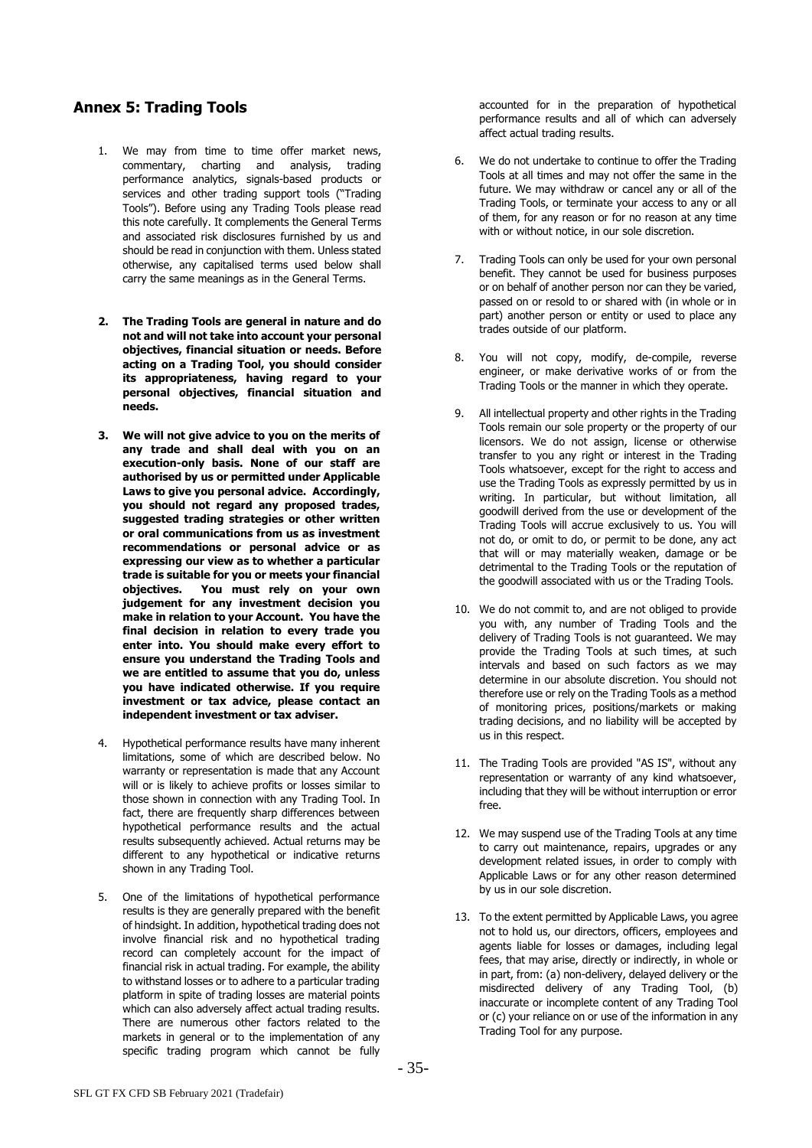# **Annex 5: Trading Tools**

- 1. We may from time to time offer market news, commentary, charting and analysis, trading performance analytics, signals-based products or services and other trading support tools ("Trading Tools"). Before using any Trading Tools please read this note carefully. It complements the General Terms and associated risk disclosures furnished by us and should be read in conjunction with them. Unless stated otherwise, any capitalised terms used below shall carry the same meanings as in the General Terms.
- **2. The Trading Tools are general in nature and do not and will not take into account your personal objectives, financial situation or needs. Before acting on a Trading Tool, you should consider its appropriateness, having regard to your personal objectives, financial situation and needs.**
- **3. We will not give advice to you on the merits of any trade and shall deal with you on an execution-only basis. None of our staff are authorised by us or permitted under Applicable Laws to give you personal advice. Accordingly, you should not regard any proposed trades, suggested trading strategies or other written or oral communications from us as investment recommendations or personal advice or as expressing our view as to whether a particular trade is suitable for you or meets your financial objectives. You must rely on your own judgement for any investment decision you make in relation to your Account. You have the final decision in relation to every trade you enter into. You should make every effort to ensure you understand the Trading Tools and we are entitled to assume that you do, unless you have indicated otherwise. If you require investment or tax advice, please contact an independent investment or tax adviser.**
- 4. Hypothetical performance results have many inherent limitations, some of which are described below. No warranty or representation is made that any Account will or is likely to achieve profits or losses similar to those shown in connection with any Trading Tool. In fact, there are frequently sharp differences between hypothetical performance results and the actual results subsequently achieved. Actual returns may be different to any hypothetical or indicative returns shown in any Trading Tool.
- 5. One of the limitations of hypothetical performance results is they are generally prepared with the benefit of hindsight. In addition, hypothetical trading does not involve financial risk and no hypothetical trading record can completely account for the impact of financial risk in actual trading. For example, the ability to withstand losses or to adhere to a particular trading platform in spite of trading losses are material points which can also adversely affect actual trading results. There are numerous other factors related to the markets in general or to the implementation of any specific trading program which cannot be fully

accounted for in the preparation of hypothetical performance results and all of which can adversely affect actual trading results.

- 6. We do not undertake to continue to offer the Trading Tools at all times and may not offer the same in the future. We may withdraw or cancel any or all of the Trading Tools, or terminate your access to any or all of them, for any reason or for no reason at any time with or without notice, in our sole discretion.
- 7. Trading Tools can only be used for your own personal benefit. They cannot be used for business purposes or on behalf of another person nor can they be varied, passed on or resold to or shared with (in whole or in part) another person or entity or used to place any trades outside of our platform.
- 8. You will not copy, modify, de-compile, reverse engineer, or make derivative works of or from the Trading Tools or the manner in which they operate.
- 9. All intellectual property and other rights in the Trading Tools remain our sole property or the property of our licensors. We do not assign, license or otherwise transfer to you any right or interest in the Trading Tools whatsoever, except for the right to access and use the Trading Tools as expressly permitted by us in writing. In particular, but without limitation, all goodwill derived from the use or development of the Trading Tools will accrue exclusively to us. You will not do, or omit to do, or permit to be done, any act that will or may materially weaken, damage or be detrimental to the Trading Tools or the reputation of the goodwill associated with us or the Trading Tools.
- 10. We do not commit to, and are not obliged to provide you with, any number of Trading Tools and the delivery of Trading Tools is not guaranteed. We may provide the Trading Tools at such times, at such intervals and based on such factors as we may determine in our absolute discretion. You should not therefore use or rely on the Trading Tools as a method of monitoring prices, positions/markets or making trading decisions, and no liability will be accepted by us in this respect.
- 11. The Trading Tools are provided "AS IS", without any representation or warranty of any kind whatsoever, including that they will be without interruption or error free.
- 12. We may suspend use of the Trading Tools at any time to carry out maintenance, repairs, upgrades or any development related issues, in order to comply with Applicable Laws or for any other reason determined by us in our sole discretion.
- 13. To the extent permitted by Applicable Laws, you agree not to hold us, our directors, officers, employees and agents liable for losses or damages, including legal fees, that may arise, directly or indirectly, in whole or in part, from: (a) non-delivery, delayed delivery or the misdirected delivery of any Trading Tool, (b) inaccurate or incomplete content of any Trading Tool or (c) your reliance on or use of the information in any Trading Tool for any purpose.